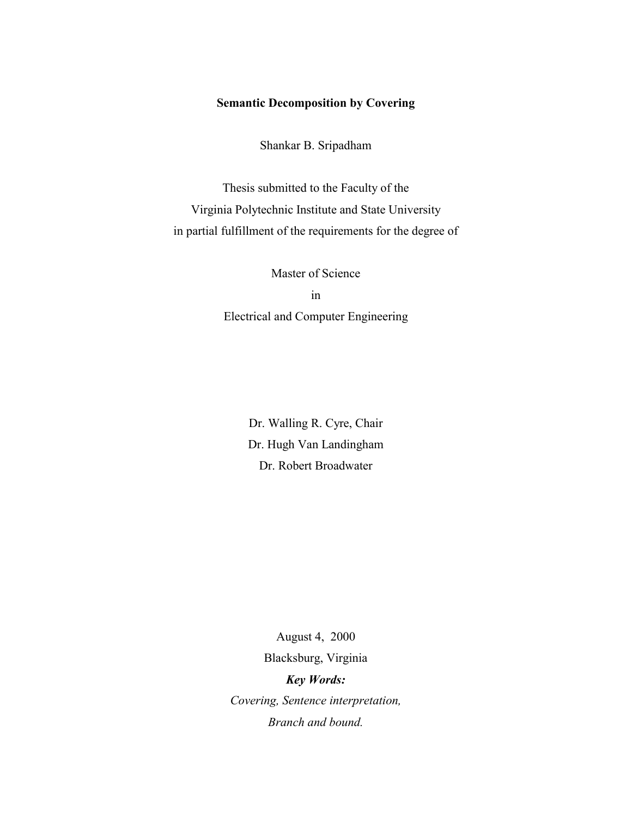### **Semantic Decomposition by Covering**

Shankar B. Sripadham

Thesis submitted to the Faculty of the Virginia Polytechnic Institute and State University in partial fulfillment of the requirements for the degree of

> Master of Science in Electrical and Computer Engineering

> > Dr. Walling R. Cyre, Chair Dr. Hugh Van Landingham Dr. Robert Broadwater

August 4, 2000 Blacksburg, Virginia *Key Words: Covering, Sentence interpretation, Branch and bound.*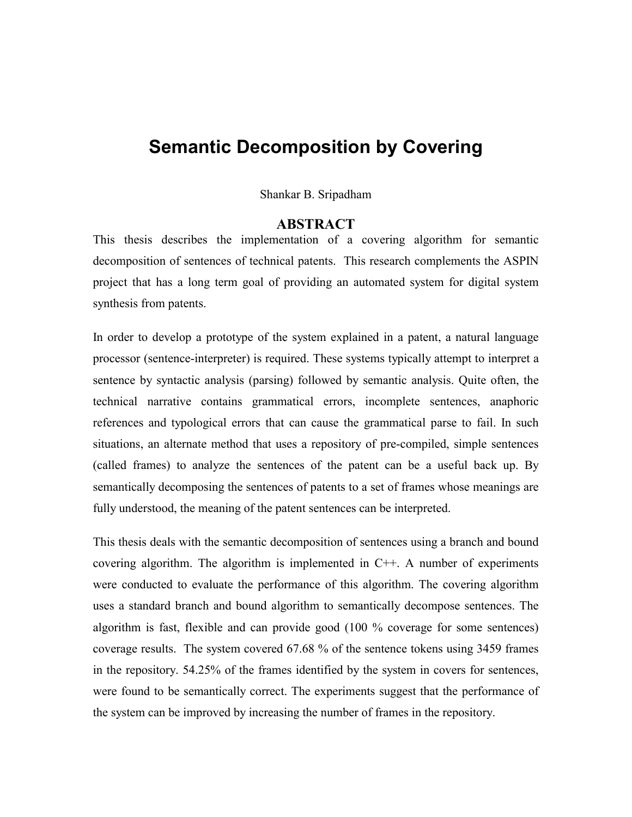# **Semantic Decomposition by Covering**

Shankar B. Sripadham

### **ABSTRACT**

This thesis describes the implementation of a covering algorithm for semantic decomposition of sentences of technical patents. This research complements the ASPIN project that has a long term goal of providing an automated system for digital system synthesis from patents.

In order to develop a prototype of the system explained in a patent, a natural language processor (sentence-interpreter) is required. These systems typically attempt to interpret a sentence by syntactic analysis (parsing) followed by semantic analysis. Quite often, the technical narrative contains grammatical errors, incomplete sentences, anaphoric references and typological errors that can cause the grammatical parse to fail. In such situations, an alternate method that uses a repository of pre-compiled, simple sentences (called frames) to analyze the sentences of the patent can be a useful back up. By semantically decomposing the sentences of patents to a set of frames whose meanings are fully understood, the meaning of the patent sentences can be interpreted.

This thesis deals with the semantic decomposition of sentences using a branch and bound covering algorithm. The algorithm is implemented in C++. A number of experiments were conducted to evaluate the performance of this algorithm. The covering algorithm uses a standard branch and bound algorithm to semantically decompose sentences. The algorithm is fast, flexible and can provide good (100 % coverage for some sentences) coverage results. The system covered 67.68 % of the sentence tokens using 3459 frames in the repository. 54.25% of the frames identified by the system in covers for sentences, were found to be semantically correct. The experiments suggest that the performance of the system can be improved by increasing the number of frames in the repository.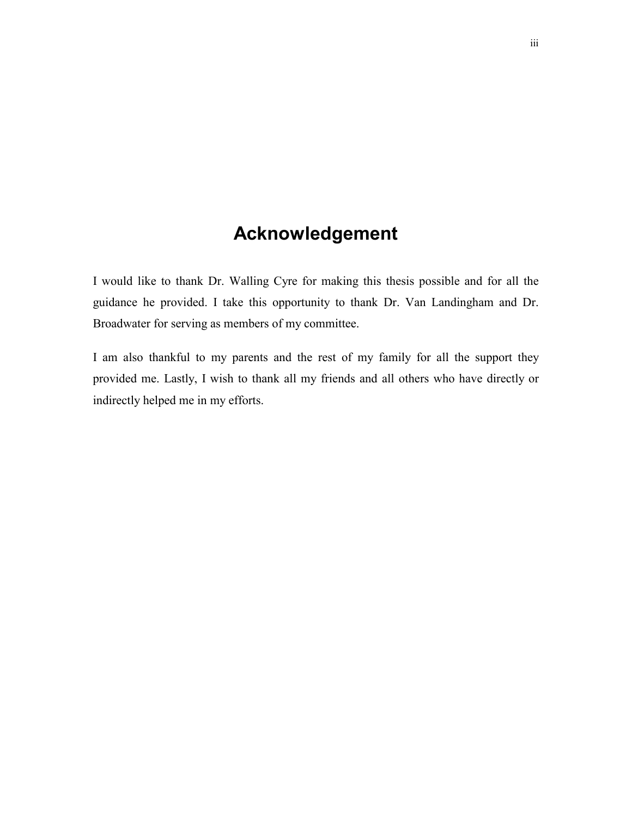# **Acknowledgement**

I would like to thank Dr. Walling Cyre for making this thesis possible and for all the guidance he provided. I take this opportunity to thank Dr. Van Landingham and Dr. Broadwater for serving as members of my committee.

I am also thankful to my parents and the rest of my family for all the support they provided me. Lastly, I wish to thank all my friends and all others who have directly or indirectly helped me in my efforts.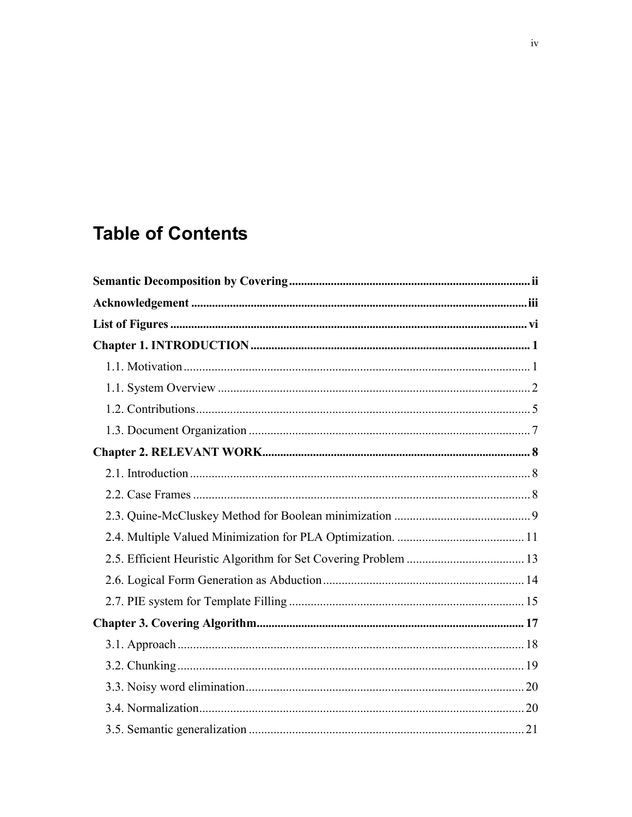# **Table of Contents**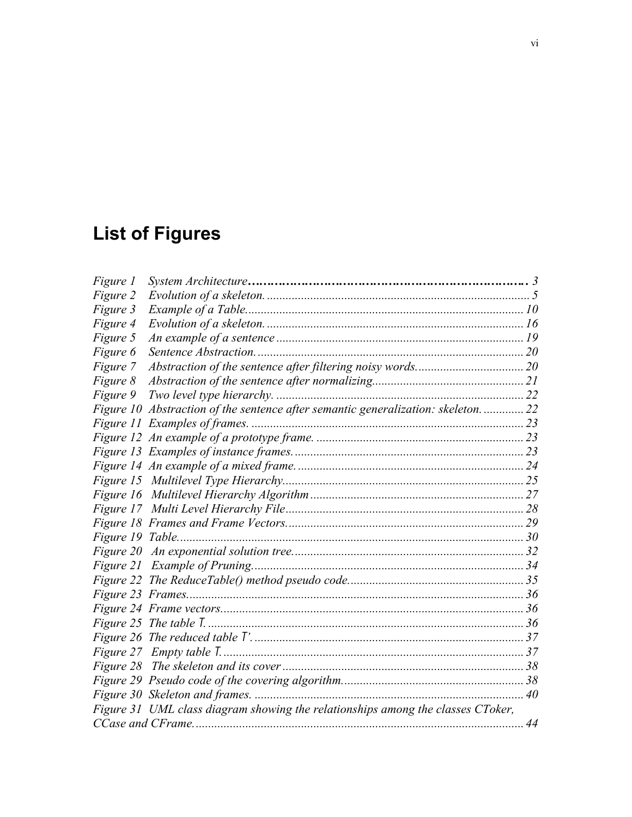# **List of Figures**

| Figure 1 |                                                                                  |  |
|----------|----------------------------------------------------------------------------------|--|
| Figure 2 |                                                                                  |  |
| Figure 3 |                                                                                  |  |
| Figure 4 |                                                                                  |  |
| Figure 5 |                                                                                  |  |
| Figure 6 |                                                                                  |  |
| Figure 7 |                                                                                  |  |
| Figure 8 |                                                                                  |  |
| Figure 9 |                                                                                  |  |
|          | Figure 10 Abstraction of the sentence after semantic generalization: skeleton 22 |  |
|          |                                                                                  |  |
|          |                                                                                  |  |
|          |                                                                                  |  |
|          |                                                                                  |  |
|          |                                                                                  |  |
|          |                                                                                  |  |
|          |                                                                                  |  |
|          |                                                                                  |  |
|          |                                                                                  |  |
|          |                                                                                  |  |
|          |                                                                                  |  |
|          |                                                                                  |  |
|          |                                                                                  |  |
|          |                                                                                  |  |
|          |                                                                                  |  |
|          |                                                                                  |  |
|          |                                                                                  |  |
|          |                                                                                  |  |
|          |                                                                                  |  |
|          |                                                                                  |  |
|          | Figure 31 UML class diagram showing the relationships among the classes CToker,  |  |
|          |                                                                                  |  |
|          |                                                                                  |  |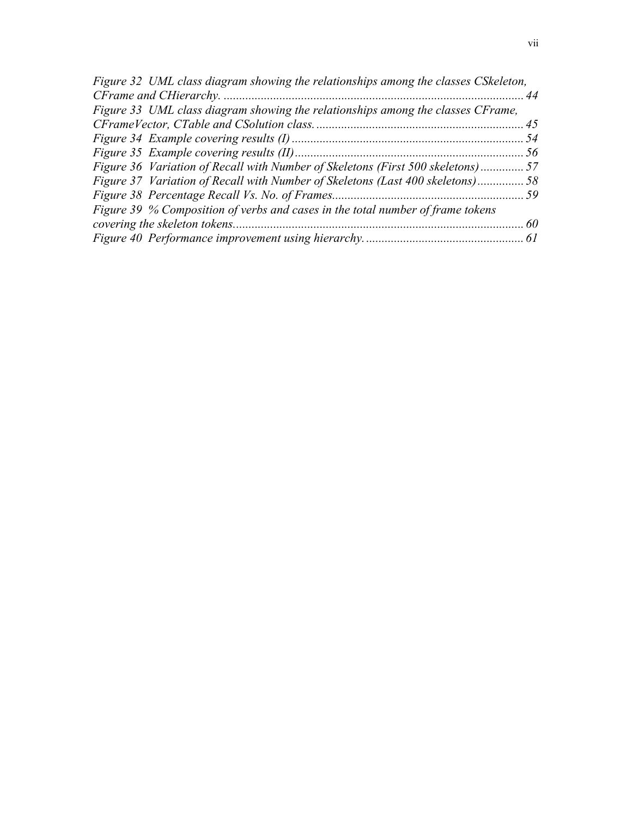| Figure 36 Variation of Recall with Number of Skeletons (First 500 skeletons)57 |
|--------------------------------------------------------------------------------|
| Figure 37 Variation of Recall with Number of Skeletons (Last 400 skeletons)58  |
|                                                                                |
|                                                                                |
|                                                                                |
|                                                                                |
|                                                                                |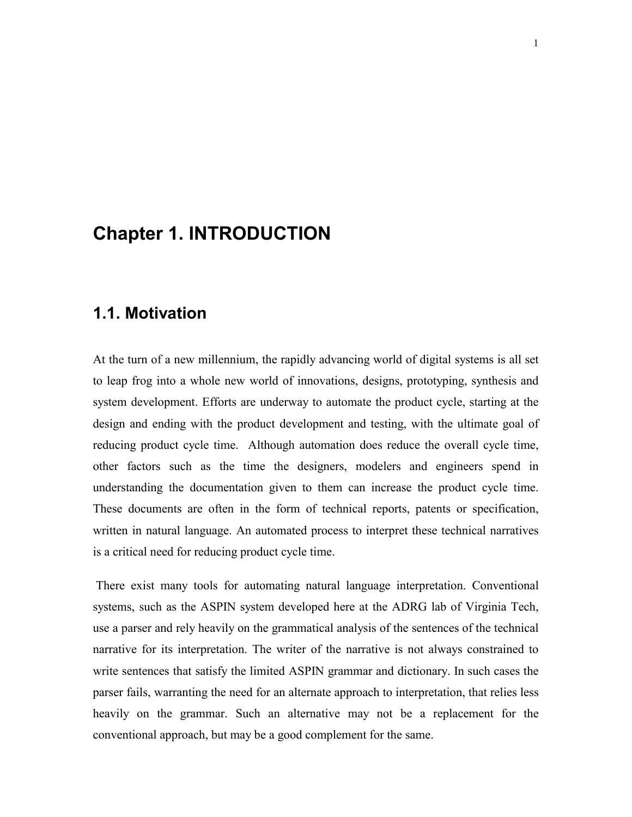# **Chapter 1. INTRODUCTION**

# **1.1. Motivation**

At the turn of a new millennium, the rapidly advancing world of digital systems is all set to leap frog into a whole new world of innovations, designs, prototyping, synthesis and system development. Efforts are underway to automate the product cycle, starting at the design and ending with the product development and testing, with the ultimate goal of reducing product cycle time. Although automation does reduce the overall cycle time, other factors such as the time the designers, modelers and engineers spend in understanding the documentation given to them can increase the product cycle time. These documents are often in the form of technical reports, patents or specification, written in natural language. An automated process to interpret these technical narratives is a critical need for reducing product cycle time.

 There exist many tools for automating natural language interpretation. Conventional systems, such as the ASPIN system developed here at the ADRG lab of Virginia Tech, use a parser and rely heavily on the grammatical analysis of the sentences of the technical narrative for its interpretation. The writer of the narrative is not always constrained to write sentences that satisfy the limited ASPIN grammar and dictionary. In such cases the parser fails, warranting the need for an alternate approach to interpretation, that relies less heavily on the grammar. Such an alternative may not be a replacement for the conventional approach, but may be a good complement for the same.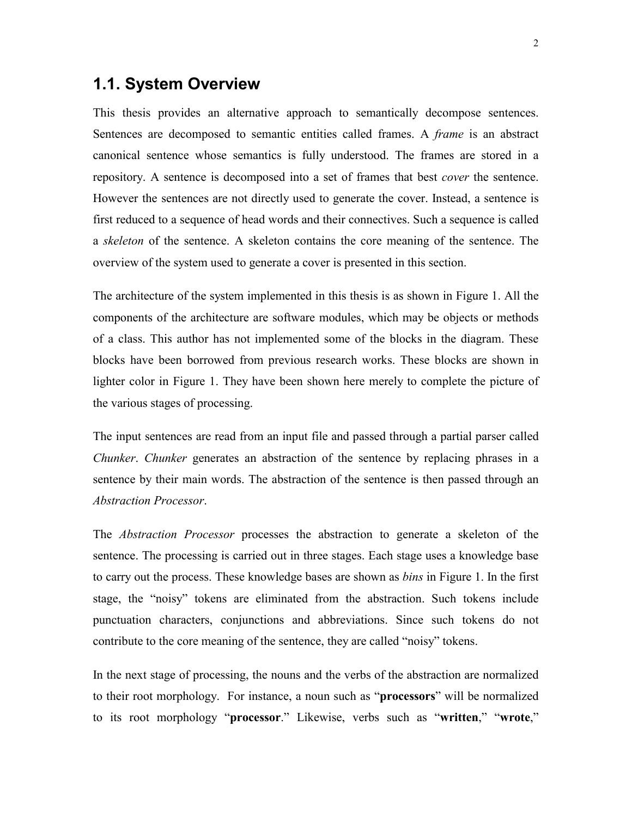## **1.1. System Overview**

This thesis provides an alternative approach to semantically decompose sentences. Sentences are decomposed to semantic entities called frames. A *frame* is an abstract canonical sentence whose semantics is fully understood. The frames are stored in a repository. A sentence is decomposed into a set of frames that best *cover* the sentence. However the sentences are not directly used to generate the cover. Instead, a sentence is first reduced to a sequence of head words and their connectives. Such a sequence is called a *skeleton* of the sentence. A skeleton contains the core meaning of the sentence. The overview of the system used to generate a cover is presented in this section.

The architecture of the system implemented in this thesis is as shown in Figure 1. All the components of the architecture are software modules, which may be objects or methods of a class. This author has not implemented some of the blocks in the diagram. These blocks have been borrowed from previous research works. These blocks are shown in lighter color in Figure 1. They have been shown here merely to complete the picture of the various stages of processing.

The input sentences are read from an input file and passed through a partial parser called *Chunker. Chunker* generates an abstraction of the sentence by replacing phrases in a sentence by their main words. The abstraction of the sentence is then passed through an *Abstraction Processor*.

The *Abstraction Processor* processes the abstraction to generate a skeleton of the sentence. The processing is carried out in three stages. Each stage uses a knowledge base to carry out the process. These knowledge bases are shown as *bins* in Figure 1. In the first stage, the "noisy" tokens are eliminated from the abstraction. Such tokens include punctuation characters, conjunctions and abbreviations. Since such tokens do not contribute to the core meaning of the sentence, they are called "noisy" tokens.

In the next stage of processing, the nouns and the verbs of the abstraction are normalized to their root morphology. For instance, a noun such as "**processors**" will be normalized to its root morphology "**processor**." Likewise, verbs such as "written," "wrote,"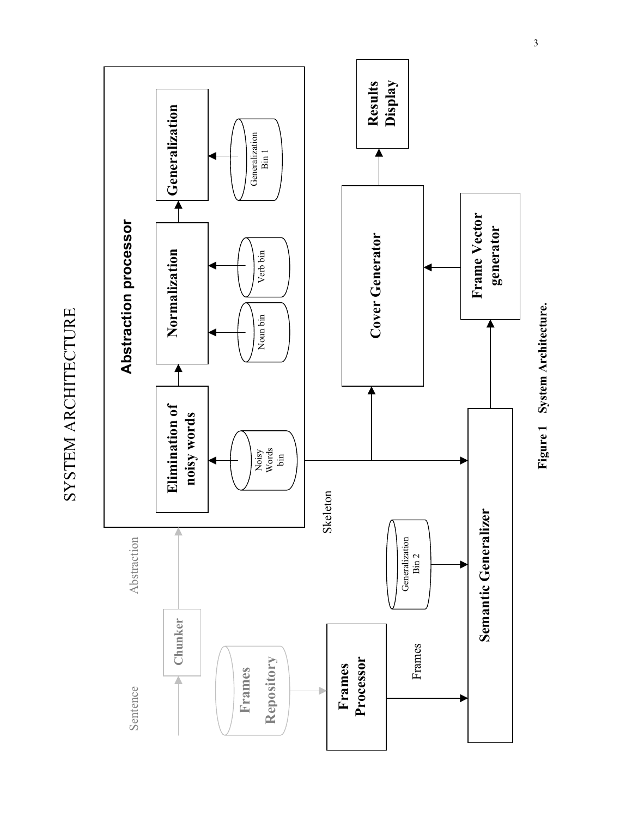

SYSTEM ARCHITECTURE SYSTEM ARCHITECTURE

**Figure 1 System Architecture.** Figure 1 System Architecture.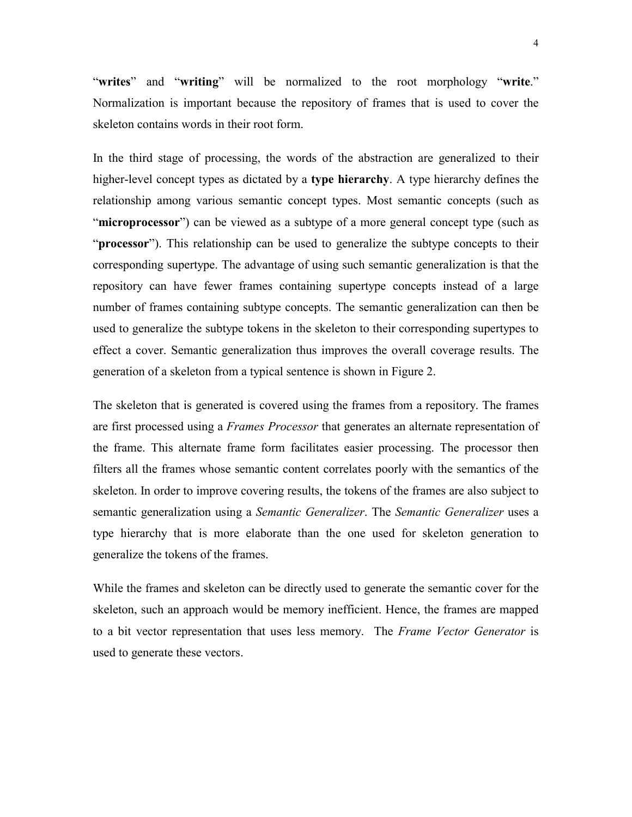"writes" and "writing" will be normalized to the root morphology "write." Normalization is important because the repository of frames that is used to cover the skeleton contains words in their root form.

In the third stage of processing, the words of the abstraction are generalized to their higher-level concept types as dictated by a **type hierarchy**. A type hierarchy defines the relationship among various semantic concept types. Most semantic concepts (such as **inicroprocessor**<sup>?</sup>) can be viewed as a subtype of a more general concept type (such as ì**processor**î). This relationship can be used to generalize the subtype concepts to their corresponding supertype. The advantage of using such semantic generalization is that the repository can have fewer frames containing supertype concepts instead of a large number of frames containing subtype concepts. The semantic generalization can then be used to generalize the subtype tokens in the skeleton to their corresponding supertypes to effect a cover. Semantic generalization thus improves the overall coverage results. The generation of a skeleton from a typical sentence is shown in Figure 2.

The skeleton that is generated is covered using the frames from a repository. The frames are first processed using a *Frames Processor* that generates an alternate representation of the frame. This alternate frame form facilitates easier processing. The processor then filters all the frames whose semantic content correlates poorly with the semantics of the skeleton. In order to improve covering results, the tokens of the frames are also subject to semantic generalization using a *Semantic Generalizer*. The *Semantic Generalizer* uses a type hierarchy that is more elaborate than the one used for skeleton generation to generalize the tokens of the frames.

While the frames and skeleton can be directly used to generate the semantic cover for the skeleton, such an approach would be memory inefficient. Hence, the frames are mapped to a bit vector representation that uses less memory. The *Frame Vector Generator* is used to generate these vectors.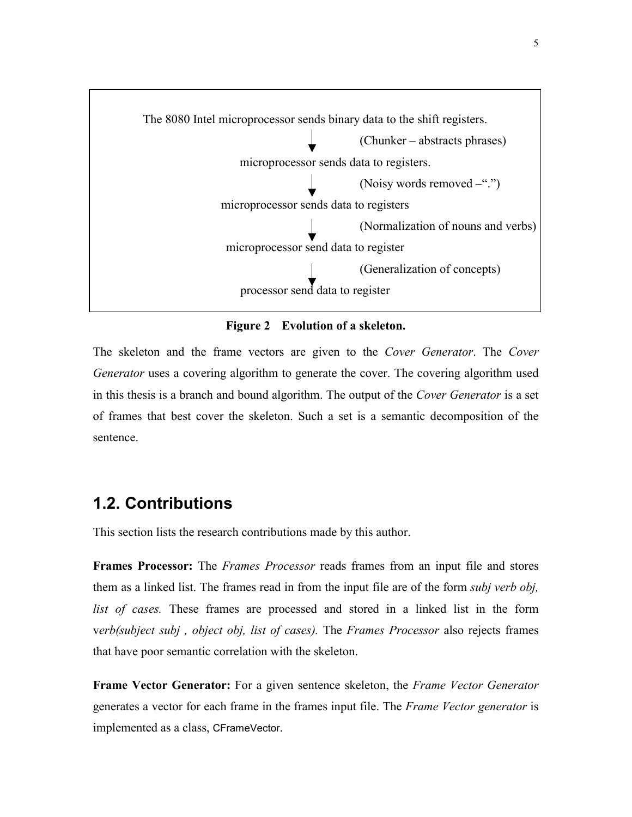

**Figure 2 Evolution of a skeleton.** 

The skeleton and the frame vectors are given to the *Cover Generator*. The *Cover Generator* uses a covering algorithm to generate the cover. The covering algorithm used in this thesis is a branch and bound algorithm. The output of the *Cover Generator* is a set of frames that best cover the skeleton. Such a set is a semantic decomposition of the sentence.

### **1.2. Contributions**

This section lists the research contributions made by this author.

**Frames Processor:** The *Frames Processor* reads frames from an input file and stores them as a linked list. The frames read in from the input file are of the form *subj verb obj, list of cases.* These frames are processed and stored in a linked list in the form v*erb(subject subj , object obj, list of cases).* The *Frames Processor* also rejects frames that have poor semantic correlation with the skeleton.

**Frame Vector Generator:** For a given sentence skeleton, the *Frame Vector Generator* generates a vector for each frame in the frames input file. The *Frame Vector generator* is implemented as a class, CFrameVector.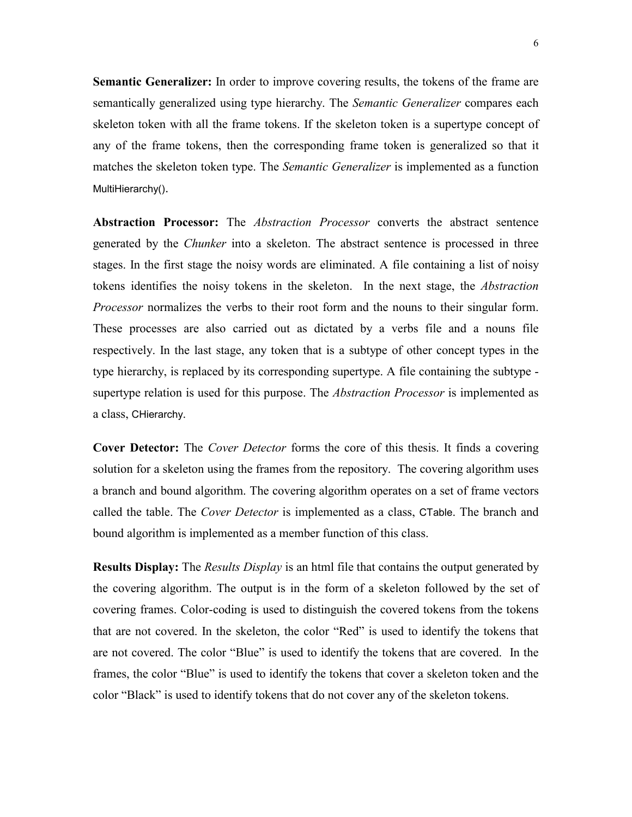**Semantic Generalizer:** In order to improve covering results, the tokens of the frame are semantically generalized using type hierarchy. The *Semantic Generalizer* compares each skeleton token with all the frame tokens. If the skeleton token is a supertype concept of any of the frame tokens, then the corresponding frame token is generalized so that it matches the skeleton token type. The *Semantic Generalizer* is implemented as a function MultiHierarchy().

**Abstraction Processor:** The *Abstraction Processor* converts the abstract sentence generated by the *Chunker* into a skeleton. The abstract sentence is processed in three stages. In the first stage the noisy words are eliminated. A file containing a list of noisy tokens identifies the noisy tokens in the skeleton. In the next stage, the *Abstraction Processor* normalizes the verbs to their root form and the nouns to their singular form. These processes are also carried out as dictated by a verbs file and a nouns file respectively. In the last stage, any token that is a subtype of other concept types in the type hierarchy, is replaced by its corresponding supertype. A file containing the subtype supertype relation is used for this purpose. The *Abstraction Processor* is implemented as a class, CHierarchy.

**Cover Detector:** The *Cover Detector* forms the core of this thesis. It finds a covering solution for a skeleton using the frames from the repository. The covering algorithm uses a branch and bound algorithm. The covering algorithm operates on a set of frame vectors called the table. The *Cover Detector* is implemented as a class, CTable. The branch and bound algorithm is implemented as a member function of this class.

**Results Display:** The *Results Display* is an html file that contains the output generated by the covering algorithm. The output is in the form of a skeleton followed by the set of covering frames. Color-coding is used to distinguish the covered tokens from the tokens that are not covered. In the skeleton, the color "Red" is used to identify the tokens that are not covered. The color "Blue" is used to identify the tokens that are covered. In the frames, the color "Blue" is used to identify the tokens that cover a skeleton token and the color "Black" is used to identify tokens that do not cover any of the skeleton tokens.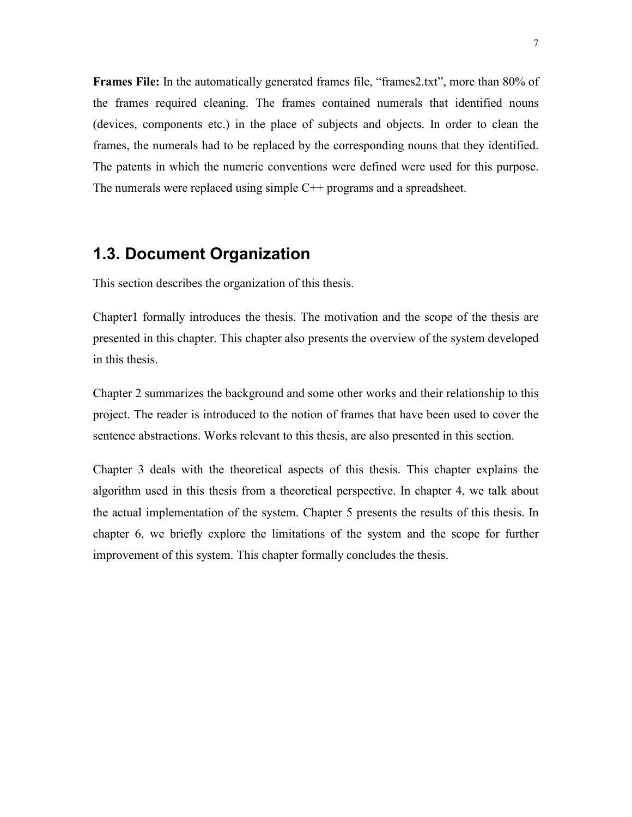**Frames File:** In the automatically generated frames file, "frames2.txt", more than 80% of the frames required cleaning. The frames contained numerals that identified nouns (devices, components etc.) in the place of subjects and objects. In order to clean the frames, the numerals had to be replaced by the corresponding nouns that they identified. The patents in which the numeric conventions were defined were used for this purpose. The numerals were replaced using simple C<sup>++</sup> programs and a spreadsheet.

# **1.3. Document Organization**

This section describes the organization of this thesis.

Chapter1 formally introduces the thesis. The motivation and the scope of the thesis are presented in this chapter. This chapter also presents the overview of the system developed in this thesis.

Chapter 2 summarizes the background and some other works and their relationship to this project. The reader is introduced to the notion of frames that have been used to cover the sentence abstractions. Works relevant to this thesis, are also presented in this section.

Chapter 3 deals with the theoretical aspects of this thesis. This chapter explains the algorithm used in this thesis from a theoretical perspective. In chapter 4, we talk about the actual implementation of the system. Chapter 5 presents the results of this thesis. In chapter 6, we briefly explore the limitations of the system and the scope for further improvement of this system. This chapter formally concludes the thesis.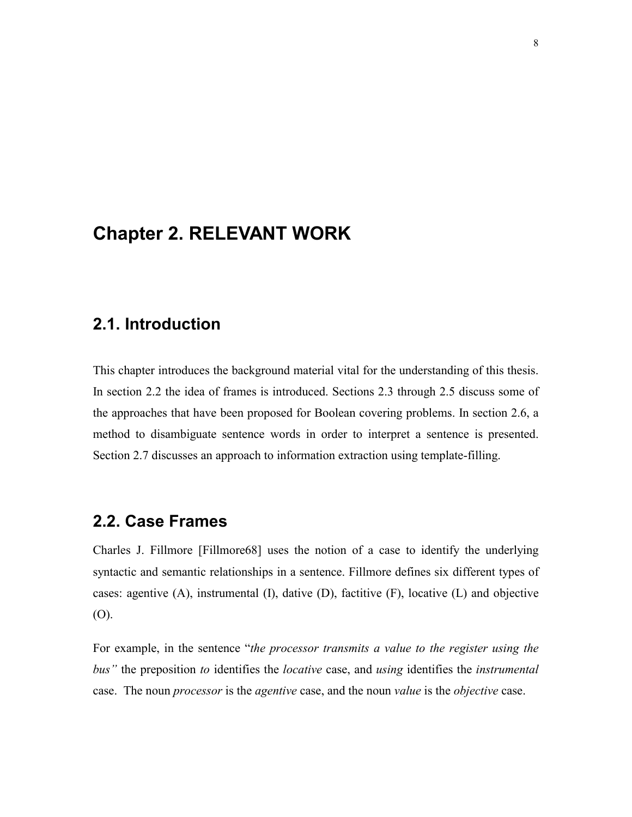# **Chapter 2. RELEVANT WORK**

# **2.1. Introduction**

This chapter introduces the background material vital for the understanding of this thesis. In section 2.2 the idea of frames is introduced. Sections 2.3 through 2.5 discuss some of the approaches that have been proposed for Boolean covering problems. In section 2.6, a method to disambiguate sentence words in order to interpret a sentence is presented. Section 2.7 discusses an approach to information extraction using template-filling.

# **2.2. Case Frames**

Charles J. Fillmore [Fillmore68] uses the notion of a case to identify the underlying syntactic and semantic relationships in a sentence. Fillmore defines six different types of cases: agentive  $(A)$ , instrumental  $(I)$ , dative  $(D)$ , factitive  $(F)$ , locative  $(L)$  and objective (O).

For example, in the sentence "*the processor transmits a value to the register using the busî* the preposition *to* identifies the *locative* case, and *using* identifies the *instrumental* case. The noun *processor* is the *agentive* case, and the noun *value* is the *objective* case.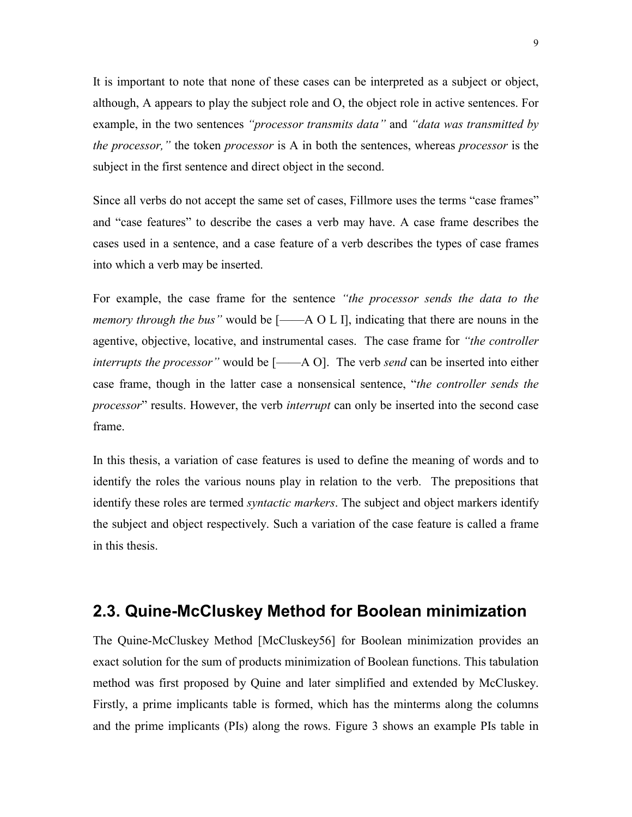It is important to note that none of these cases can be interpreted as a subject or object, although, A appears to play the subject role and O, the object role in active sentences. For example, in the two sentences *"processor transmits data"* and *"data was transmitted by the processor*," the token *processor* is A in both the sentences, whereas *processor* is the subject in the first sentence and direct object in the second.

Since all verbs do not accept the same set of cases, Fillmore uses the terms "case frames" and "case features" to describe the cases a verb may have. A case frame describes the cases used in a sentence, and a case feature of a verb describes the types of case frames into which a verb may be inserted.

For example, the case frame for the sentence *<i>the processor sends the data to the memory through the bus*" would be  $[-\text{A} \Omega L]$ , indicating that there are nouns in the agentive, objective, locative, and instrumental cases. The case frame for *ìthe controller interrupts the processor*" would be  $[-\text{A } O]$ . The verb *send* can be inserted into either case frame, though in the latter case a nonsensical sentence, "*the controller sends the processor*<sup>"</sup> results. However, the verb *interrupt* can only be inserted into the second case frame.

In this thesis, a variation of case features is used to define the meaning of words and to identify the roles the various nouns play in relation to the verb. The prepositions that identify these roles are termed *syntactic markers*. The subject and object markers identify the subject and object respectively. Such a variation of the case feature is called a frame in this thesis.

### **2.3. Quine-McCluskey Method for Boolean minimization**

The Quine-McCluskey Method [McCluskey56] for Boolean minimization provides an exact solution for the sum of products minimization of Boolean functions. This tabulation method was first proposed by Quine and later simplified and extended by McCluskey. Firstly, a prime implicants table is formed, which has the minterms along the columns and the prime implicants (PIs) along the rows. Figure 3 shows an example PIs table in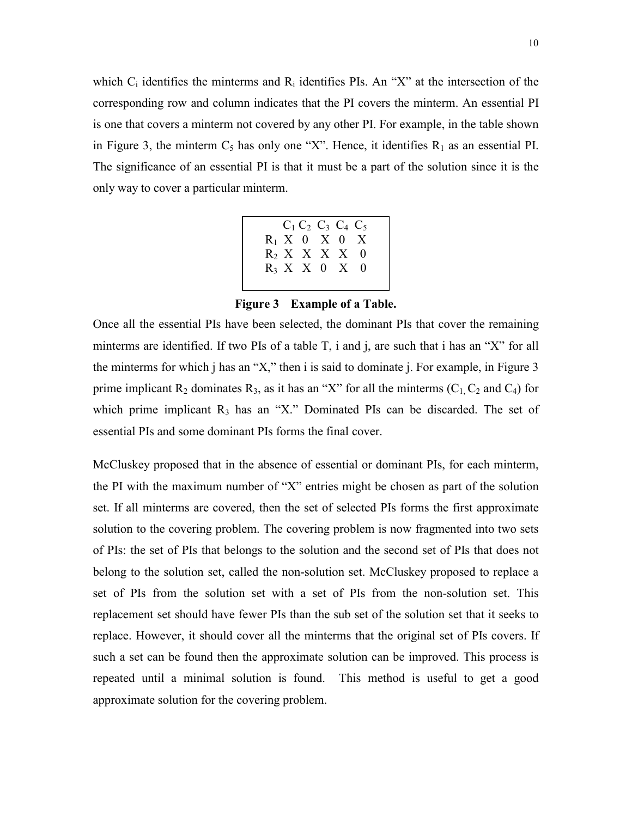which  $C_i$  identifies the minterms and  $R_i$  identifies PIs. An "X" at the intersection of the corresponding row and column indicates that the PI covers the minterm. An essential PI is one that covers a minterm not covered by any other PI. For example, in the table shown in Figure 3, the minterm  $C_5$  has only one "X". Hence, it identifies  $R_1$  as an essential PI. The significance of an essential PI is that it must be a part of the solution since it is the only way to cover a particular minterm.

|  | $C_1 C_2 C_3 C_4 C_5$ |  |  |
|--|-----------------------|--|--|
|  | $R_1$ X 0 X 0 X       |  |  |
|  | $R_2$ X X X X 0       |  |  |
|  | $R_3$ X X 0 X 0       |  |  |
|  |                       |  |  |

**Figure 3 Example of a Table.** 

Once all the essential PIs have been selected, the dominant PIs that cover the remaining minterms are identified. If two PIs of a table  $T$ , i and j, are such that i has an "X" for all the minterms for which j has an "X," then i is said to dominate j. For example, in Figure  $3$ prime implicant  $R_2$  dominates  $R_3$ , as it has an "X" for all the minterms (C<sub>1</sub>, C<sub>2</sub> and C<sub>4</sub>) for which prime implicant  $R_3$  has an "X." Dominated PIs can be discarded. The set of essential PIs and some dominant PIs forms the final cover.

McCluskey proposed that in the absence of essential or dominant PIs, for each minterm, the PI with the maximum number of "X" entries might be chosen as part of the solution set. If all minterms are covered, then the set of selected PIs forms the first approximate solution to the covering problem. The covering problem is now fragmented into two sets of PIs: the set of PIs that belongs to the solution and the second set of PIs that does not belong to the solution set, called the non-solution set. McCluskey proposed to replace a set of PIs from the solution set with a set of PIs from the non-solution set. This replacement set should have fewer PIs than the sub set of the solution set that it seeks to replace. However, it should cover all the minterms that the original set of PIs covers. If such a set can be found then the approximate solution can be improved. This process is repeated until a minimal solution is found. This method is useful to get a good approximate solution for the covering problem.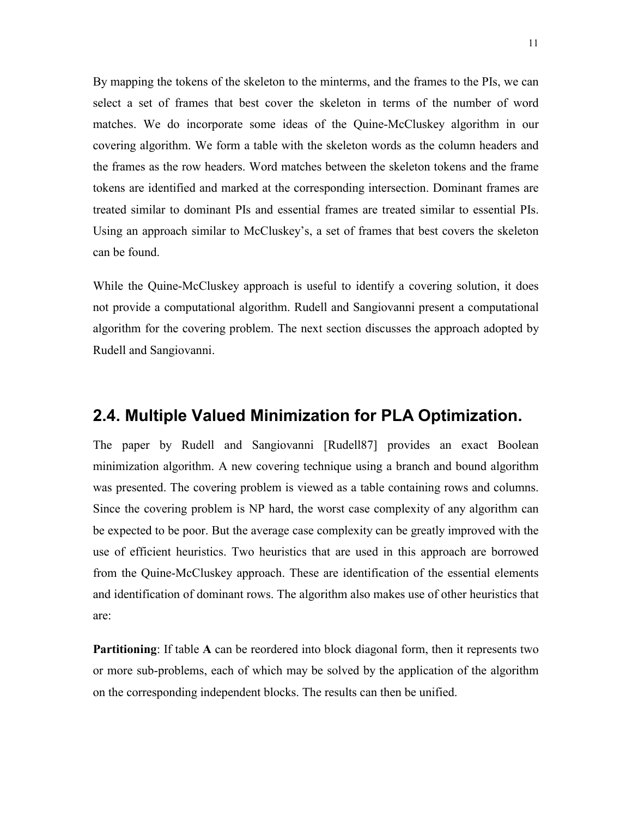By mapping the tokens of the skeleton to the minterms, and the frames to the PIs, we can select a set of frames that best cover the skeleton in terms of the number of word matches. We do incorporate some ideas of the Quine-McCluskey algorithm in our covering algorithm. We form a table with the skeleton words as the column headers and the frames as the row headers. Word matches between the skeleton tokens and the frame tokens are identified and marked at the corresponding intersection. Dominant frames are treated similar to dominant PIs and essential frames are treated similar to essential PIs. Using an approach similar to McCluskey's, a set of frames that best covers the skeleton can be found.

While the Quine-McCluskey approach is useful to identify a covering solution, it does not provide a computational algorithm. Rudell and Sangiovanni present a computational algorithm for the covering problem. The next section discusses the approach adopted by Rudell and Sangiovanni.

### **2.4. Multiple Valued Minimization for PLA Optimization.**

The paper by Rudell and Sangiovanni [Rudell87] provides an exact Boolean minimization algorithm. A new covering technique using a branch and bound algorithm was presented. The covering problem is viewed as a table containing rows and columns. Since the covering problem is NP hard, the worst case complexity of any algorithm can be expected to be poor. But the average case complexity can be greatly improved with the use of efficient heuristics. Two heuristics that are used in this approach are borrowed from the Quine-McCluskey approach. These are identification of the essential elements and identification of dominant rows. The algorithm also makes use of other heuristics that are:

**Partitioning**: If table **A** can be reordered into block diagonal form, then it represents two or more sub-problems, each of which may be solved by the application of the algorithm on the corresponding independent blocks. The results can then be unified.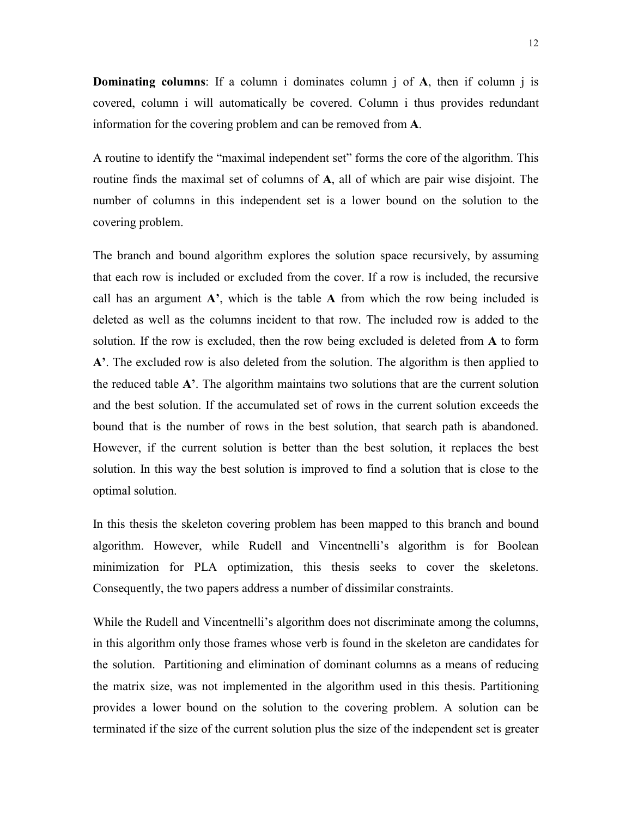**Dominating columns**: If a column i dominates column j of **A**, then if column j is covered, column i will automatically be covered. Column i thus provides redundant information for the covering problem and can be removed from **A**.

A routine to identify the "maximal independent set" forms the core of the algorithm. This routine finds the maximal set of columns of **A**, all of which are pair wise disjoint. The number of columns in this independent set is a lower bound on the solution to the covering problem.

The branch and bound algorithm explores the solution space recursively, by assuming that each row is included or excluded from the cover. If a row is included, the recursive call has an argument  $A'$ , which is the table  $A$  from which the row being included is deleted as well as the columns incident to that row. The included row is added to the solution. If the row is excluded, then the row being excluded is deleted from **A** to form A<sup> $\cdot$ </sup>. The excluded row is also deleted from the solution. The algorithm is then applied to the reduced table  $A'$ . The algorithm maintains two solutions that are the current solution and the best solution. If the accumulated set of rows in the current solution exceeds the bound that is the number of rows in the best solution, that search path is abandoned. However, if the current solution is better than the best solution, it replaces the best solution. In this way the best solution is improved to find a solution that is close to the optimal solution.

In this thesis the skeleton covering problem has been mapped to this branch and bound algorithm. However, while Rudell and Vincentnelli's algorithm is for Boolean minimization for PLA optimization, this thesis seeks to cover the skeletons. Consequently, the two papers address a number of dissimilar constraints.

While the Rudell and Vincentnelli's algorithm does not discriminate among the columns, in this algorithm only those frames whose verb is found in the skeleton are candidates for the solution. Partitioning and elimination of dominant columns as a means of reducing the matrix size, was not implemented in the algorithm used in this thesis. Partitioning provides a lower bound on the solution to the covering problem. A solution can be terminated if the size of the current solution plus the size of the independent set is greater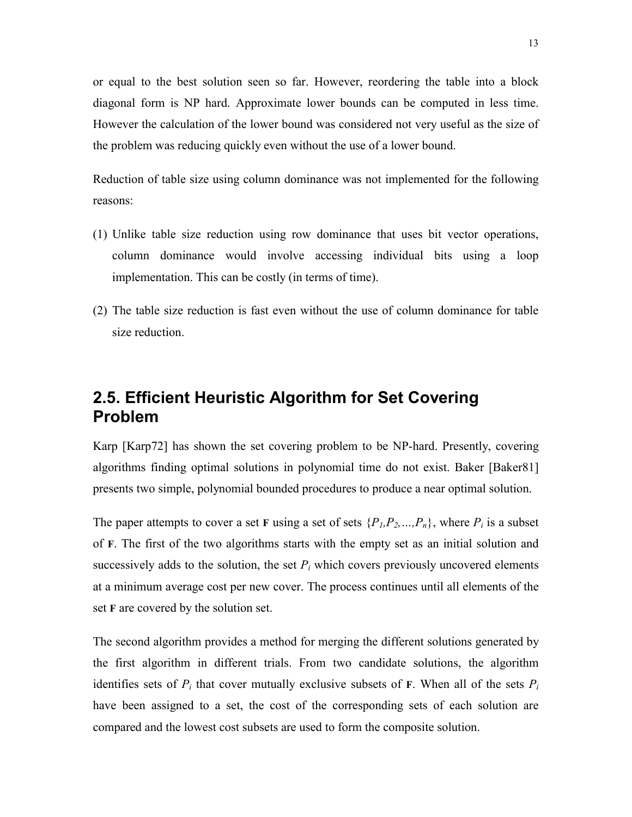or equal to the best solution seen so far. However, reordering the table into a block diagonal form is NP hard. Approximate lower bounds can be computed in less time. However the calculation of the lower bound was considered not very useful as the size of the problem was reducing quickly even without the use of a lower bound.

Reduction of table size using column dominance was not implemented for the following reasons:

- (1) Unlike table size reduction using row dominance that uses bit vector operations, column dominance would involve accessing individual bits using a loop implementation. This can be costly (in terms of time).
- (2) The table size reduction is fast even without the use of column dominance for table size reduction.

# **2.5. Efficient Heuristic Algorithm for Set Covering Problem**

Karp [Karp72] has shown the set covering problem to be NP-hard. Presently, covering algorithms finding optimal solutions in polynomial time do not exist. Baker [Baker81] presents two simple, polynomial bounded procedures to produce a near optimal solution.

The paper attempts to cover a set **F** using a set of sets  $\{P_1, P_2, ..., P_n\}$ , where  $P_i$  is a subset of **F**. The first of the two algorithms starts with the empty set as an initial solution and successively adds to the solution, the set  $P_i$  which covers previously uncovered elements at a minimum average cost per new cover. The process continues until all elements of the set **F** are covered by the solution set.

The second algorithm provides a method for merging the different solutions generated by the first algorithm in different trials. From two candidate solutions, the algorithm identifies sets of  $P_i$  that cover mutually exclusive subsets of **F**. When all of the sets  $P_i$ have been assigned to a set, the cost of the corresponding sets of each solution are compared and the lowest cost subsets are used to form the composite solution.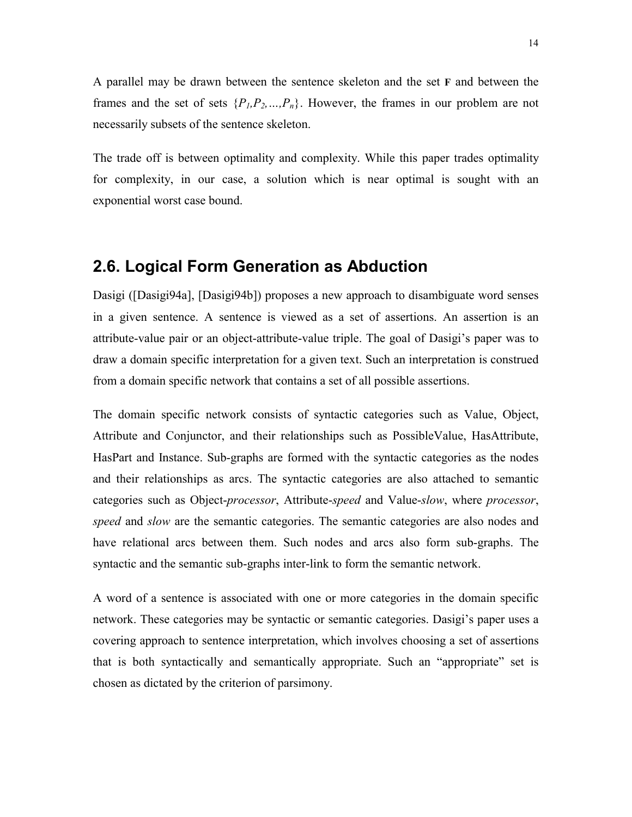A parallel may be drawn between the sentence skeleton and the set **F** and between the frames and the set of sets  $\{P_l, P_2, ..., P_n\}$ . However, the frames in our problem are not necessarily subsets of the sentence skeleton.

The trade off is between optimality and complexity. While this paper trades optimality for complexity, in our case, a solution which is near optimal is sought with an exponential worst case bound.

### **2.6. Logical Form Generation as Abduction**

Dasigi ([Dasigi94a], [Dasigi94b]) proposes a new approach to disambiguate word senses in a given sentence. A sentence is viewed as a set of assertions. An assertion is an attribute-value pair or an object-attribute-value triple. The goal of Dasigi's paper was to draw a domain specific interpretation for a given text. Such an interpretation is construed from a domain specific network that contains a set of all possible assertions.

The domain specific network consists of syntactic categories such as Value, Object, Attribute and Conjunctor, and their relationships such as PossibleValue, HasAttribute, HasPart and Instance. Sub-graphs are formed with the syntactic categories as the nodes and their relationships as arcs. The syntactic categories are also attached to semantic categories such as Object-*processor*, Attribute-*speed* and Value-*slow*, where *processor*, *speed* and *slow* are the semantic categories. The semantic categories are also nodes and have relational arcs between them. Such nodes and arcs also form sub-graphs. The syntactic and the semantic sub-graphs inter-link to form the semantic network.

A word of a sentence is associated with one or more categories in the domain specific network. These categories may be syntactic or semantic categories. Dasigi's paper uses a covering approach to sentence interpretation, which involves choosing a set of assertions that is both syntactically and semantically appropriate. Such an "appropriate" set is chosen as dictated by the criterion of parsimony.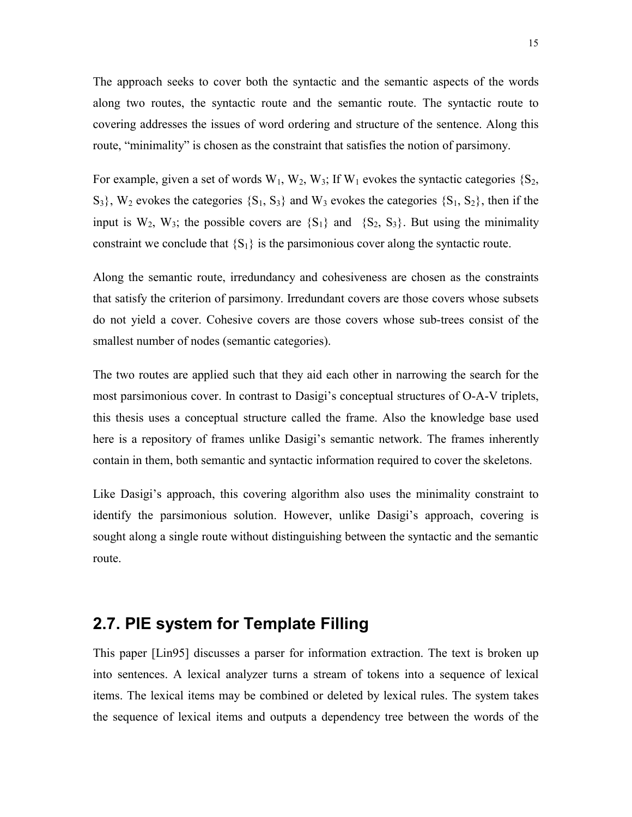The approach seeks to cover both the syntactic and the semantic aspects of the words along two routes, the syntactic route and the semantic route. The syntactic route to covering addresses the issues of word ordering and structure of the sentence. Along this route, "minimality" is chosen as the constraint that satisfies the notion of parsimony.

For example, given a set of words  $W_1$ ,  $W_2$ ,  $W_3$ ; If  $W_1$  evokes the syntactic categories  $\{S_2,$  $S_3$ ,  $W_2$  evokes the categories  $\{S_1, S_3\}$  and  $W_3$  evokes the categories  $\{S_1, S_2\}$ , then if the input is  $W_2$ ,  $W_3$ ; the possible covers are  $\{S_1\}$  and  $\{S_2, S_3\}$ . But using the minimality constraint we conclude that  ${S_1}$  is the parsimonious cover along the syntactic route.

Along the semantic route, irredundancy and cohesiveness are chosen as the constraints that satisfy the criterion of parsimony. Irredundant covers are those covers whose subsets do not yield a cover. Cohesive covers are those covers whose sub-trees consist of the smallest number of nodes (semantic categories).

The two routes are applied such that they aid each other in narrowing the search for the most parsimonious cover. In contrast to Dasigi's conceptual structures of O-A-V triplets, this thesis uses a conceptual structure called the frame. Also the knowledge base used here is a repository of frames unlike Dasigi's semantic network. The frames inherently contain in them, both semantic and syntactic information required to cover the skeletons.

Like Dasigi's approach, this covering algorithm also uses the minimality constraint to identify the parsimonious solution. However, unlike Dasigi's approach, covering is sought along a single route without distinguishing between the syntactic and the semantic route.

## **2.7. PIE system for Template Filling**

This paper [Lin95] discusses a parser for information extraction. The text is broken up into sentences. A lexical analyzer turns a stream of tokens into a sequence of lexical items. The lexical items may be combined or deleted by lexical rules. The system takes the sequence of lexical items and outputs a dependency tree between the words of the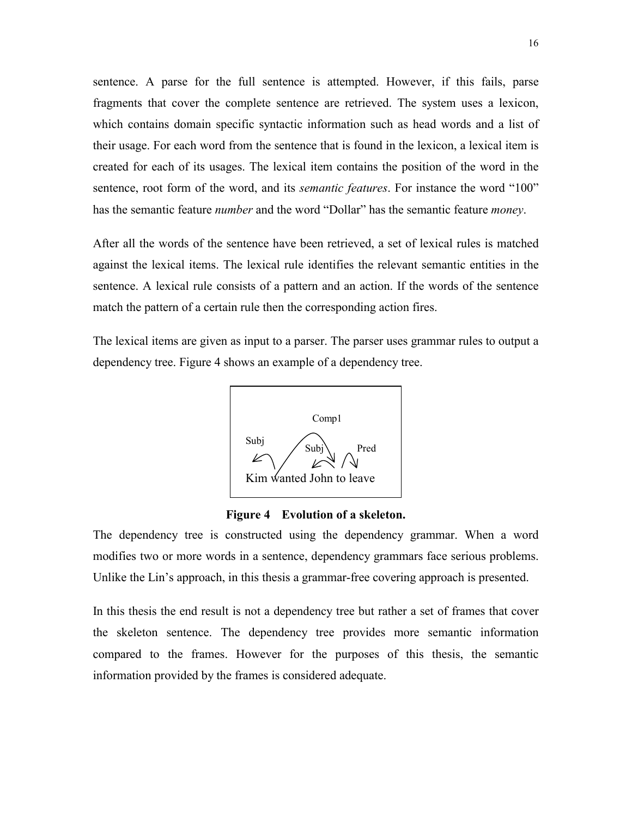sentence. A parse for the full sentence is attempted. However, if this fails, parse fragments that cover the complete sentence are retrieved. The system uses a lexicon, which contains domain specific syntactic information such as head words and a list of their usage. For each word from the sentence that is found in the lexicon, a lexical item is created for each of its usages. The lexical item contains the position of the word in the sentence, root form of the word, and its *semantic features*. For instance the word "100" has the semantic feature *number* and the word "Dollar" has the semantic feature *money*.

After all the words of the sentence have been retrieved, a set of lexical rules is matched against the lexical items. The lexical rule identifies the relevant semantic entities in the sentence. A lexical rule consists of a pattern and an action. If the words of the sentence match the pattern of a certain rule then the corresponding action fires.

The lexical items are given as input to a parser. The parser uses grammar rules to output a dependency tree. Figure 4 shows an example of a dependency tree.



**Figure 4 Evolution of a skeleton.** 

The dependency tree is constructed using the dependency grammar. When a word modifies two or more words in a sentence, dependency grammars face serious problems. Unlike the Lin's approach, in this thesis a grammar-free covering approach is presented.

In this thesis the end result is not a dependency tree but rather a set of frames that cover the skeleton sentence. The dependency tree provides more semantic information compared to the frames. However for the purposes of this thesis, the semantic information provided by the frames is considered adequate.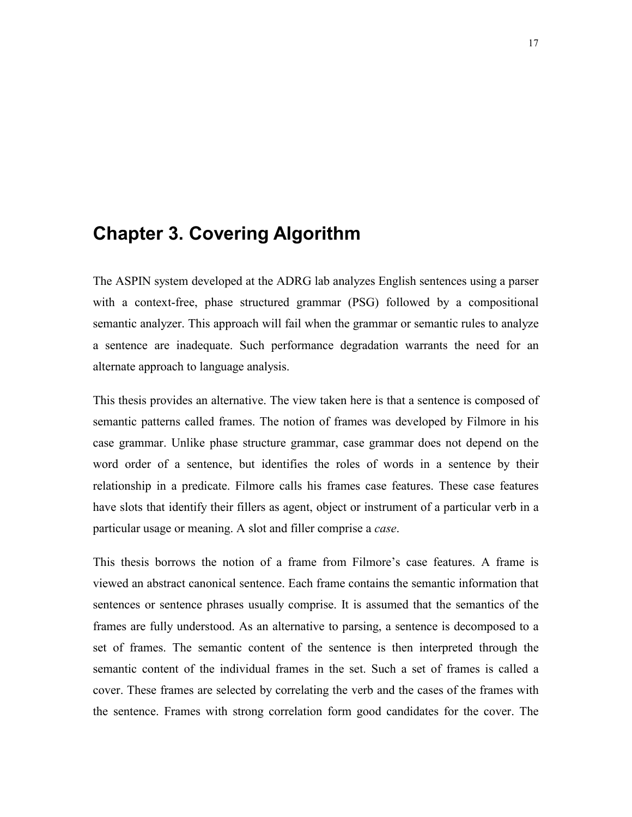# **Chapter 3. Covering Algorithm**

The ASPIN system developed at the ADRG lab analyzes English sentences using a parser with a context-free, phase structured grammar (PSG) followed by a compositional semantic analyzer. This approach will fail when the grammar or semantic rules to analyze a sentence are inadequate. Such performance degradation warrants the need for an alternate approach to language analysis.

This thesis provides an alternative. The view taken here is that a sentence is composed of semantic patterns called frames. The notion of frames was developed by Filmore in his case grammar. Unlike phase structure grammar, case grammar does not depend on the word order of a sentence, but identifies the roles of words in a sentence by their relationship in a predicate. Filmore calls his frames case features. These case features have slots that identify their fillers as agent, object or instrument of a particular verb in a particular usage or meaning. A slot and filler comprise a *case*.

This thesis borrows the notion of a frame from Filmore's case features. A frame is viewed an abstract canonical sentence. Each frame contains the semantic information that sentences or sentence phrases usually comprise. It is assumed that the semantics of the frames are fully understood. As an alternative to parsing, a sentence is decomposed to a set of frames. The semantic content of the sentence is then interpreted through the semantic content of the individual frames in the set. Such a set of frames is called a cover. These frames are selected by correlating the verb and the cases of the frames with the sentence. Frames with strong correlation form good candidates for the cover. The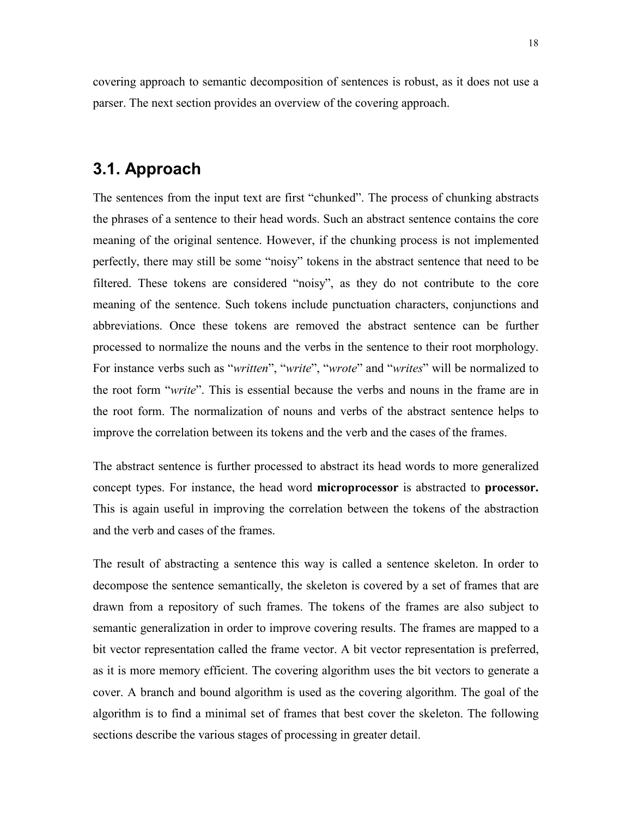covering approach to semantic decomposition of sentences is robust, as it does not use a parser. The next section provides an overview of the covering approach.

# **3.1. Approach**

The sentences from the input text are first "chunked". The process of chunking abstracts the phrases of a sentence to their head words. Such an abstract sentence contains the core meaning of the original sentence. However, if the chunking process is not implemented perfectly, there may still be some "noisy" tokens in the abstract sentence that need to be filtered. These tokens are considered "noisy", as they do not contribute to the core meaning of the sentence. Such tokens include punctuation characters, conjunctions and abbreviations. Once these tokens are removed the abstract sentence can be further processed to normalize the nouns and the verbs in the sentence to their root morphology. For instance verbs such as "*written*", "*write*", "*wrote*" and "*writes*" will be normalized to the root form *<sup><i>write*"</sup>. This is essential because the verbs and nouns in the frame are in the root form. The normalization of nouns and verbs of the abstract sentence helps to improve the correlation between its tokens and the verb and the cases of the frames.

The abstract sentence is further processed to abstract its head words to more generalized concept types. For instance, the head word **microprocessor** is abstracted to **processor.** This is again useful in improving the correlation between the tokens of the abstraction and the verb and cases of the frames.

The result of abstracting a sentence this way is called a sentence skeleton. In order to decompose the sentence semantically, the skeleton is covered by a set of frames that are drawn from a repository of such frames. The tokens of the frames are also subject to semantic generalization in order to improve covering results. The frames are mapped to a bit vector representation called the frame vector. A bit vector representation is preferred, as it is more memory efficient. The covering algorithm uses the bit vectors to generate a cover. A branch and bound algorithm is used as the covering algorithm. The goal of the algorithm is to find a minimal set of frames that best cover the skeleton. The following sections describe the various stages of processing in greater detail.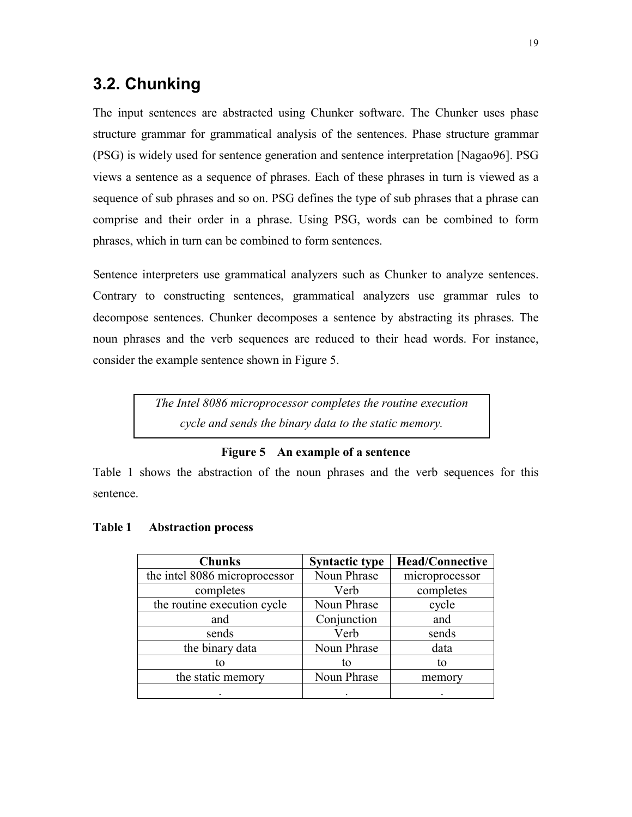# **3.2. Chunking**

The input sentences are abstracted using Chunker software. The Chunker uses phase structure grammar for grammatical analysis of the sentences. Phase structure grammar (PSG) is widely used for sentence generation and sentence interpretation [Nagao96]. PSG views a sentence as a sequence of phrases. Each of these phrases in turn is viewed as a sequence of sub phrases and so on. PSG defines the type of sub phrases that a phrase can comprise and their order in a phrase. Using PSG, words can be combined to form phrases, which in turn can be combined to form sentences.

Sentence interpreters use grammatical analyzers such as Chunker to analyze sentences. Contrary to constructing sentences, grammatical analyzers use grammar rules to decompose sentences. Chunker decomposes a sentence by abstracting its phrases. The noun phrases and the verb sequences are reduced to their head words. For instance, consider the example sentence shown in Figure 5.

> *The Intel 8086 microprocessor completes the routine execution cycle and sends the binary data to the static memory.*

#### **Figure 5 An example of a sentence**

Table 1 shows the abstraction of the noun phrases and the verb sequences for this sentence.

| <b>Chunks</b>                 | <b>Syntactic type</b> | <b>Head/Connective</b> |
|-------------------------------|-----------------------|------------------------|
| the intel 8086 microprocessor | Noun Phrase           | microprocessor         |
| completes                     | Verb                  | completes              |
| the routine execution cycle   | Noun Phrase           | cycle                  |
| and                           | Conjunction           | and                    |
| sends                         | Verb                  | sends                  |
| the binary data               | Noun Phrase           | data                   |
| tο                            | to                    | tο                     |
| the static memory             | Noun Phrase           | memory                 |
|                               |                       |                        |

#### **Table 1 Abstraction process**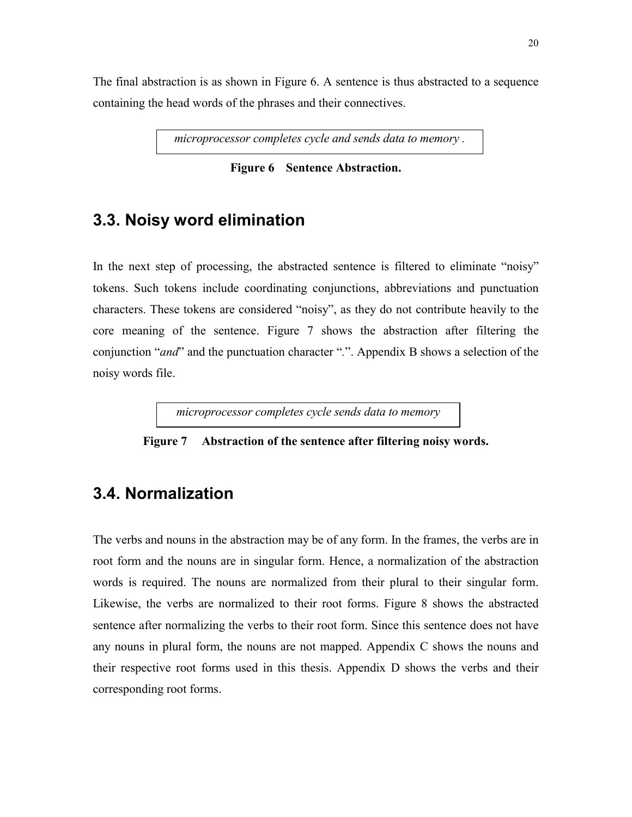The final abstraction is as shown in Figure 6. A sentence is thus abstracted to a sequence containing the head words of the phrases and their connectives.

*microprocessor completes cycle and sends data to memory .* 

**Figure 6 Sentence Abstraction.** 

### **3.3. Noisy word elimination**

In the next step of processing, the abstracted sentence is filtered to eliminate "noisy" tokens. Such tokens include coordinating conjunctions, abbreviations and punctuation characters. These tokens are considered "noisy", as they do not contribute heavily to the core meaning of the sentence. Figure 7 shows the abstraction after filtering the conjunction *"and"* and the punctuation character ".". Appendix B shows a selection of the noisy words file.

*microprocessor completes cycle sends data to memory* 

**Figure 7 Abstraction of the sentence after filtering noisy words.** 

### **3.4. Normalization**

The verbs and nouns in the abstraction may be of any form. In the frames, the verbs are in root form and the nouns are in singular form. Hence, a normalization of the abstraction words is required. The nouns are normalized from their plural to their singular form. Likewise, the verbs are normalized to their root forms. Figure 8 shows the abstracted sentence after normalizing the verbs to their root form. Since this sentence does not have any nouns in plural form, the nouns are not mapped. Appendix C shows the nouns and their respective root forms used in this thesis. Appendix D shows the verbs and their corresponding root forms.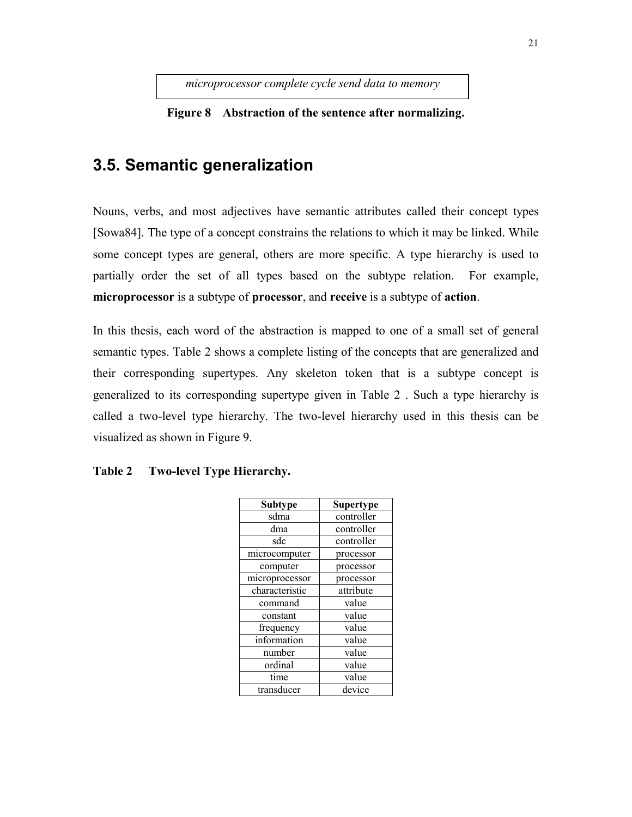*microprocessor complete cycle send data to memory* 

**Figure 8 Abstraction of the sentence after normalizing.** 

# **3.5. Semantic generalization**

Nouns, verbs, and most adjectives have semantic attributes called their concept types [Sowa84]. The type of a concept constrains the relations to which it may be linked. While some concept types are general, others are more specific. A type hierarchy is used to partially order the set of all types based on the subtype relation. For example, **microprocessor** is a subtype of **processor**, and **receive** is a subtype of **action**.

In this thesis, each word of the abstraction is mapped to one of a small set of general semantic types. Table 2 shows a complete listing of the concepts that are generalized and their corresponding supertypes. Any skeleton token that is a subtype concept is generalized to its corresponding supertype given in Table 2 . Such a type hierarchy is called a two-level type hierarchy. The two-level hierarchy used in this thesis can be visualized as shown in Figure 9.

| <b>Subtype</b> | Supertype  |  |
|----------------|------------|--|
| sdma           | controller |  |
| dma            | controller |  |
| sdc            | controller |  |
| microcomputer  | processor  |  |
| computer       | processor  |  |
| microprocessor | processor  |  |
| characteristic | attribute  |  |
| command        | value      |  |
| constant       | value      |  |
| frequency      | value      |  |
| information    | value      |  |
| number         | value      |  |
| ordinal        | value      |  |
| time           | value      |  |
| transducer     | device     |  |

#### **Table 2 Two-level Type Hierarchy.**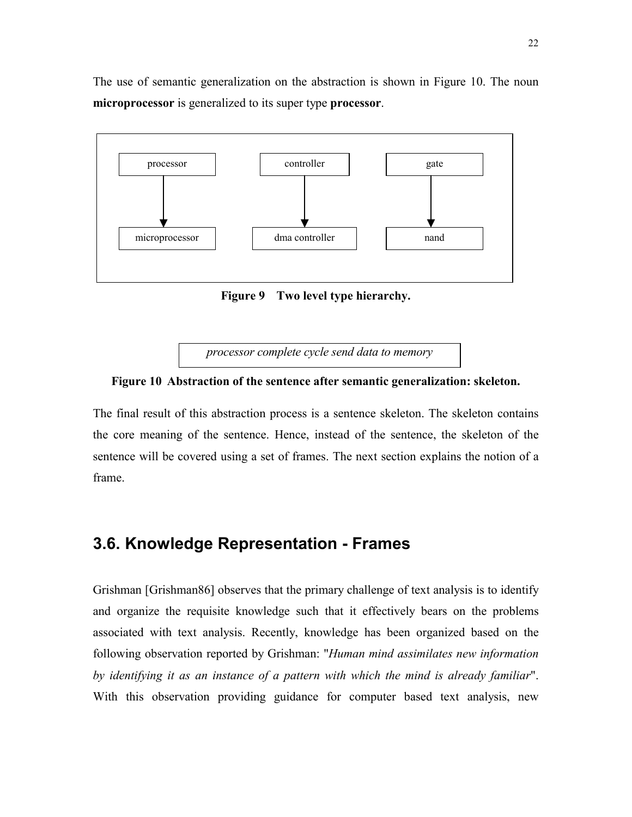The use of semantic generalization on the abstraction is shown in Figure 10. The noun **microprocessor** is generalized to its super type **processor**.



**Figure 9 Two level type hierarchy.** 

*processor complete cycle send data to memory* 



The final result of this abstraction process is a sentence skeleton. The skeleton contains the core meaning of the sentence. Hence, instead of the sentence, the skeleton of the sentence will be covered using a set of frames. The next section explains the notion of a frame.

### **3.6. Knowledge Representation - Frames**

Grishman [Grishman86] observes that the primary challenge of text analysis is to identify and organize the requisite knowledge such that it effectively bears on the problems associated with text analysis. Recently, knowledge has been organized based on the following observation reported by Grishman: "*Human mind assimilates new information by identifying it as an instance of a pattern with which the mind is already familiar*". With this observation providing guidance for computer based text analysis, new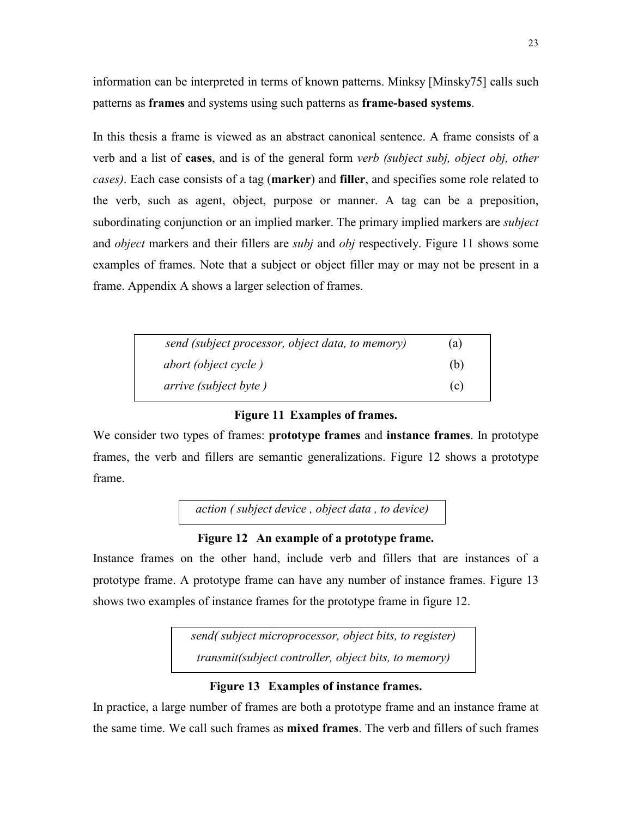information can be interpreted in terms of known patterns. Minksy [Minsky75] calls such patterns as **frames** and systems using such patterns as **frame-based systems**.

In this thesis a frame is viewed as an abstract canonical sentence. A frame consists of a verb and a list of **cases**, and is of the general form *verb (subject subj, object obj, other cases)*. Each case consists of a tag (**marker**) and **filler**, and specifies some role related to the verb, such as agent, object, purpose or manner. A tag can be a preposition, subordinating conjunction or an implied marker. The primary implied markers are *subject* and *object* markers and their fillers are *subj* and *obj* respectively. Figure 11 shows some examples of frames. Note that a subject or object filler may or may not be present in a frame. Appendix A shows a larger selection of frames.

| send (subject processor, object data, to memory) | (a) |
|--------------------------------------------------|-----|
| <i>abort (object cycle)</i>                      | (b) |
| <i>arrive</i> ( <i>subject byte</i> )            | (c) |

### **Figure 11 Examples of frames.**

We consider two types of frames: **prototype frames** and **instance frames**. In prototype frames, the verb and fillers are semantic generalizations. Figure 12 shows a prototype frame.

*action ( subject device , object data , to device)* 

### **Figure 12 An example of a prototype frame.**

Instance frames on the other hand, include verb and fillers that are instances of a prototype frame. A prototype frame can have any number of instance frames. Figure 13 shows two examples of instance frames for the prototype frame in figure 12.

> *send( subject microprocessor, object bits, to register) transmit(subject controller, object bits, to memory)*

### **Figure 13 Examples of instance frames.**

In practice, a large number of frames are both a prototype frame and an instance frame at the same time. We call such frames as **mixed frames**. The verb and fillers of such frames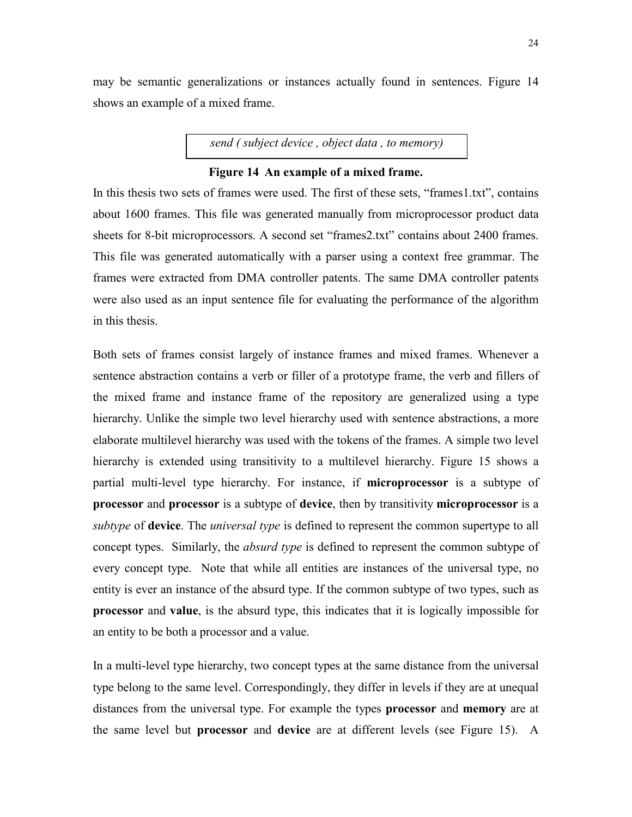may be semantic generalizations or instances actually found in sentences. Figure 14 shows an example of a mixed frame.

*send ( subject device , object data , to memory)* 

#### **Figure 14 An example of a mixed frame.**

In this thesis two sets of frames were used. The first of these sets, "frames1.txt", contains about 1600 frames. This file was generated manually from microprocessor product data sheets for 8-bit microprocessors. A second set "frames2.txt" contains about 2400 frames. This file was generated automatically with a parser using a context free grammar. The frames were extracted from DMA controller patents. The same DMA controller patents were also used as an input sentence file for evaluating the performance of the algorithm in this thesis.

Both sets of frames consist largely of instance frames and mixed frames. Whenever a sentence abstraction contains a verb or filler of a prototype frame, the verb and fillers of the mixed frame and instance frame of the repository are generalized using a type hierarchy. Unlike the simple two level hierarchy used with sentence abstractions, a more elaborate multilevel hierarchy was used with the tokens of the frames. A simple two level hierarchy is extended using transitivity to a multilevel hierarchy. Figure 15 shows a partial multi-level type hierarchy. For instance, if **microprocessor** is a subtype of **processor** and **processor** is a subtype of **device**, then by transitivity **microprocessor** is a *subtype* of **device**. The *universal type* is defined to represent the common supertype to all concept types. Similarly, the *absurd type* is defined to represent the common subtype of every concept type. Note that while all entities are instances of the universal type, no entity is ever an instance of the absurd type. If the common subtype of two types, such as **processor** and **value**, is the absurd type, this indicates that it is logically impossible for an entity to be both a processor and a value.

In a multi-level type hierarchy, two concept types at the same distance from the universal type belong to the same level. Correspondingly, they differ in levels if they are at unequal distances from the universal type. For example the types **processor** and **memory** are at the same level but **processor** and **device** are at different levels (see Figure 15). A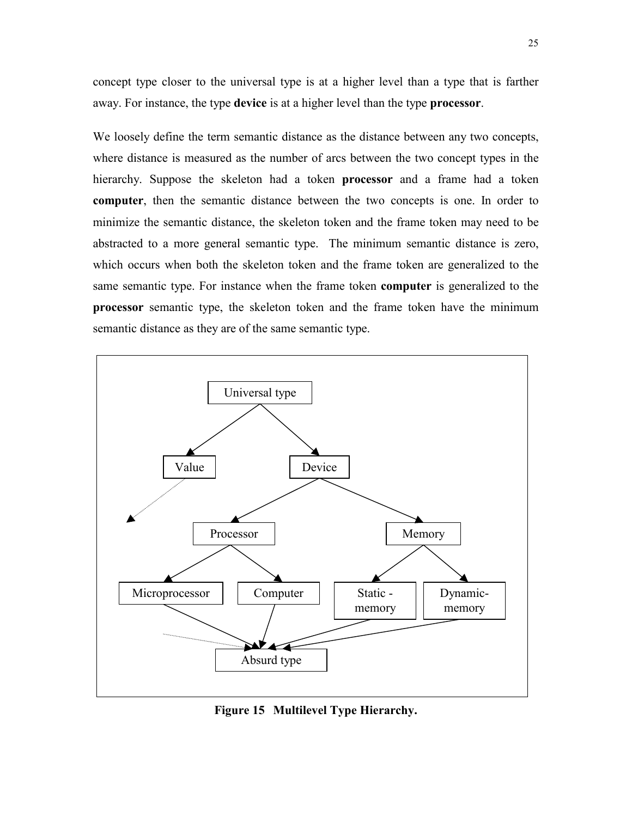concept type closer to the universal type is at a higher level than a type that is farther away. For instance, the type **device** is at a higher level than the type **processor**.

We loosely define the term semantic distance as the distance between any two concepts, where distance is measured as the number of arcs between the two concept types in the hierarchy. Suppose the skeleton had a token **processor** and a frame had a token **computer**, then the semantic distance between the two concepts is one. In order to minimize the semantic distance, the skeleton token and the frame token may need to be abstracted to a more general semantic type. The minimum semantic distance is zero, which occurs when both the skeleton token and the frame token are generalized to the same semantic type. For instance when the frame token **computer** is generalized to the **processor** semantic type, the skeleton token and the frame token have the minimum semantic distance as they are of the same semantic type.



**Figure 15 Multilevel Type Hierarchy.**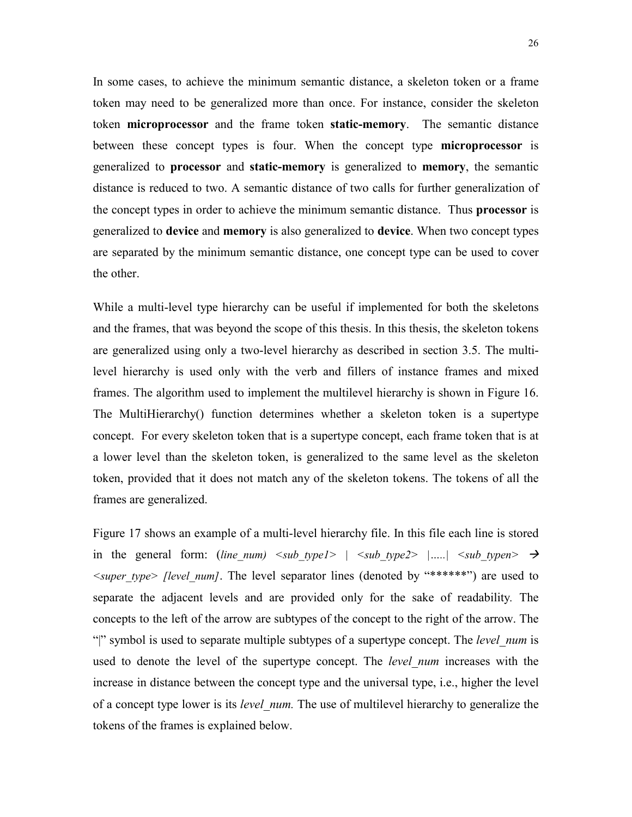In some cases, to achieve the minimum semantic distance, a skeleton token or a frame token may need to be generalized more than once. For instance, consider the skeleton token **microprocessor** and the frame token **static-memory**. The semantic distance between these concept types is four. When the concept type **microprocessor** is generalized to **processor** and **static-memory** is generalized to **memory**, the semantic distance is reduced to two. A semantic distance of two calls for further generalization of the concept types in order to achieve the minimum semantic distance. Thus **processor** is generalized to **device** and **memory** is also generalized to **device**. When two concept types are separated by the minimum semantic distance, one concept type can be used to cover the other.

While a multi-level type hierarchy can be useful if implemented for both the skeletons and the frames, that was beyond the scope of this thesis. In this thesis, the skeleton tokens are generalized using only a two-level hierarchy as described in section 3.5. The multilevel hierarchy is used only with the verb and fillers of instance frames and mixed frames. The algorithm used to implement the multilevel hierarchy is shown in Figure 16. The MultiHierarchy() function determines whether a skeleton token is a supertype concept. For every skeleton token that is a supertype concept, each frame token that is at a lower level than the skeleton token, is generalized to the same level as the skeleton token, provided that it does not match any of the skeleton tokens. The tokens of all the frames are generalized.

Figure 17 shows an example of a multi-level hierarchy file. In this file each line is stored in the general form: (*line num)*  $\langle sub\ type1 \rangle$   $| \langle sub\ type2 \rangle$   $|...| \langle sub\ type2 \rangle \rightarrow$ *<super\_type> [level\_num]*. The level separator lines (denoted by ì\*\*\*\*\*\*î) are used to separate the adjacent levels and are provided only for the sake of readability*.* The concepts to the left of the arrow are subtypes of the concept to the right of the arrow. The ì|î symbol is used to separate multiple subtypes of a supertype concept. The *level\_num* is used to denote the level of the supertype concept. The *level\_num* increases with the increase in distance between the concept type and the universal type, i.e., higher the level of a concept type lower is its *level\_num.* The use of multilevel hierarchy to generalize the tokens of the frames is explained below.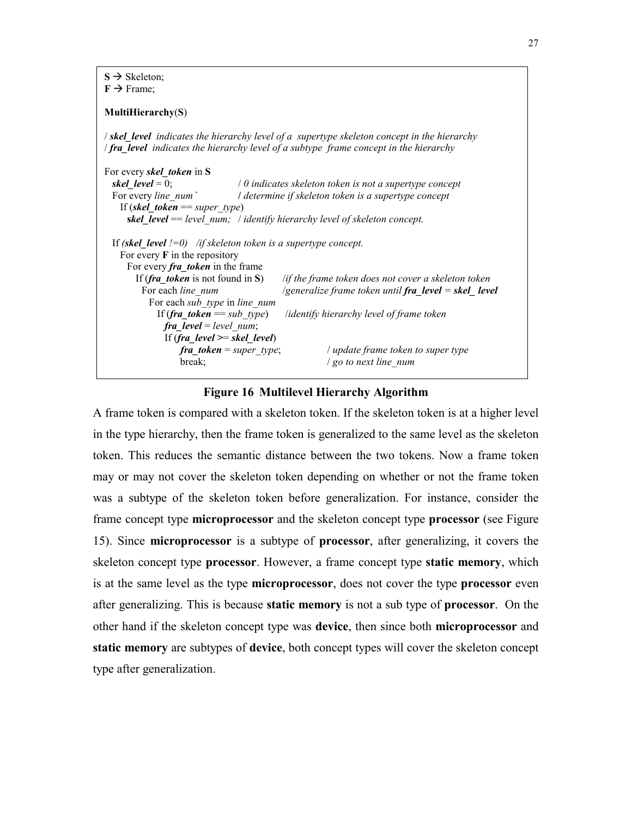$S \rightarrow$  Skeleton;  $F \rightarrow$  Frame;

#### **MultiHierarchy**(**S**)

/ *skel\_level indicates the hierarchy level of a supertype skeleton concept in the hierarchy* / *fra\_level indicates the hierarchy level of a subtype frame concept in the hierarchy* 

For every *skel\_token* in **S** *skel\_level* = 0; / *0 indicates skeleton token is not a supertype concept* For every *line\_num `* **/** *determine if skeleton token is a supertype concept* If (*skel\_token* == *super\_type*) **s***kel\_level* == *level\_num;* / *identify hierarchy level of skeleton concept.*  If *(skel\_level !=0) /if skeleton token is a supertype concept.*  For every **F** in the repository For every *fra* token in the frame If (*fra\_token* is not found in **S**) /*if the frame token does not cover a skeleton token* For each *line\_num* /*generalize frame token until fra\_level = skel\_ level*  For each *sub\_type* in *line\_num* If (*fra\_token* == *sub\_type*) /*identify hierarchy level of frame token fra\_level* = *level\_num*; If (*fra\_level >*= *skel\_level*) *fra\_token* = *super\_type*; / *update frame token to super type*  **break**;  $/$  *go to next line\_num* 

#### **Figure 16 Multilevel Hierarchy Algorithm**

A frame token is compared with a skeleton token. If the skeleton token is at a higher level in the type hierarchy, then the frame token is generalized to the same level as the skeleton token. This reduces the semantic distance between the two tokens. Now a frame token may or may not cover the skeleton token depending on whether or not the frame token was a subtype of the skeleton token before generalization. For instance, consider the frame concept type **microprocessor** and the skeleton concept type **processor** (see Figure 15). Since **microprocessor** is a subtype of **processor**, after generalizing, it covers the skeleton concept type **processor**. However, a frame concept type **static memory**, which is at the same level as the type **microprocessor**, does not cover the type **processor** even after generalizing. This is because **static memory** is not a sub type of **processor**. On the other hand if the skeleton concept type was **device**, then since both **microprocessor** and **static memory** are subtypes of **device**, both concept types will cover the skeleton concept type after generalization.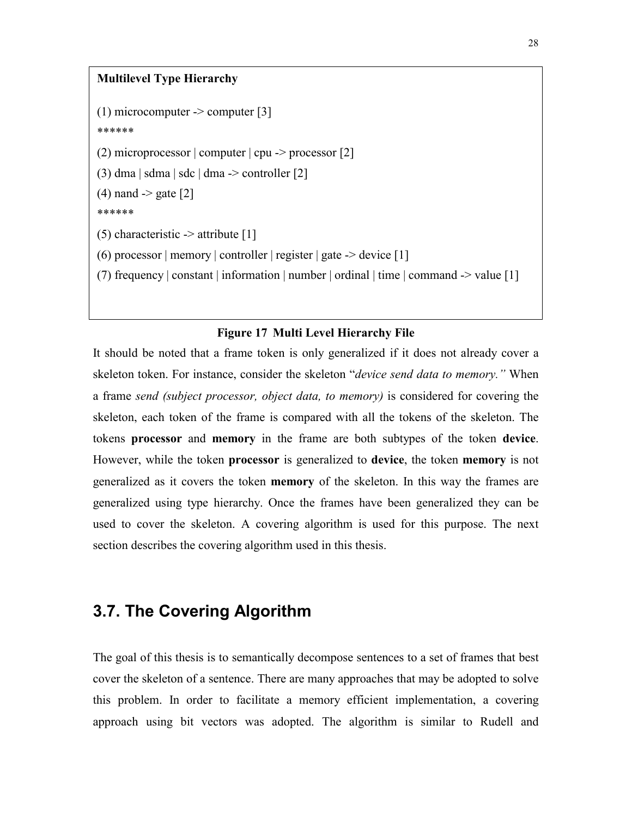### **Multilevel Type Hierarchy**

(1) microcomputer  $\geq$  computer [3] \*\*\*\*\*\* (2) microprocessor  $|$  computer  $|$  cpu  $\rightarrow$  processor  $[2]$ (3) dma  $\vert$  sdma  $\vert$  sdc  $\vert$  dma  $\vert$  > controller [2]  $(4)$  nand  $\geq$  gate [2] \*\*\*\*\*\* (5) characteristic  $\rightarrow$  attribute [1] (6) processor | memory | controller | register | gate  $\rightarrow$  device [1] (7) frequency | constant | information | number | ordinal | time | command -> value [1]

#### **Figure 17 Multi Level Hierarchy File**

It should be noted that a frame token is only generalized if it does not already cover a skeleton token. For instance, consider the skeleton "*device send data to memory*." When a frame *send (subject processor, object data, to memory)* is considered for covering the skeleton, each token of the frame is compared with all the tokens of the skeleton. The tokens **processor** and **memory** in the frame are both subtypes of the token **device**. However, while the token **processor** is generalized to **device**, the token **memory** is not generalized as it covers the token **memory** of the skeleton. In this way the frames are generalized using type hierarchy. Once the frames have been generalized they can be used to cover the skeleton. A covering algorithm is used for this purpose. The next section describes the covering algorithm used in this thesis.

# **3.7. The Covering Algorithm**

The goal of this thesis is to semantically decompose sentences to a set of frames that best cover the skeleton of a sentence. There are many approaches that may be adopted to solve this problem. In order to facilitate a memory efficient implementation, a covering approach using bit vectors was adopted. The algorithm is similar to Rudell and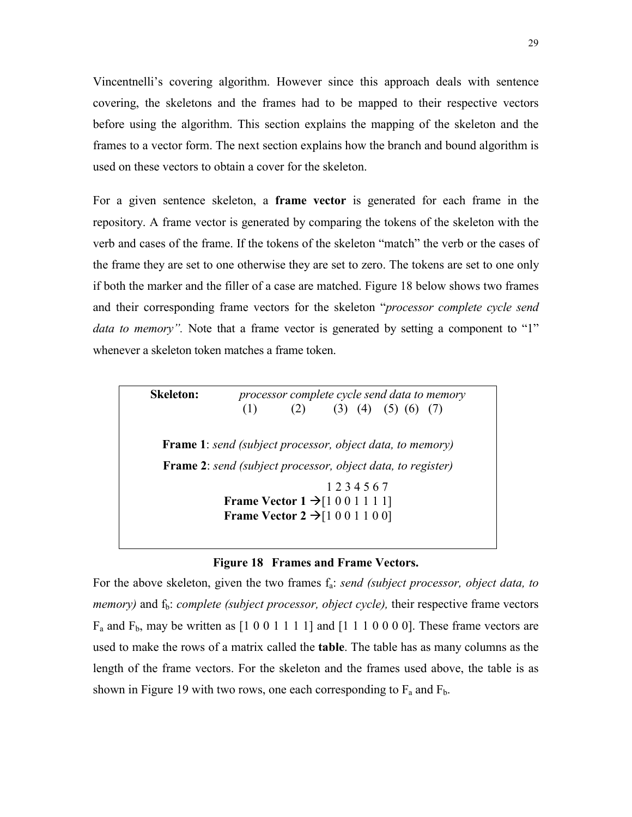Vincentnelliís covering algorithm. However since this approach deals with sentence covering, the skeletons and the frames had to be mapped to their respective vectors before using the algorithm. This section explains the mapping of the skeleton and the frames to a vector form. The next section explains how the branch and bound algorithm is used on these vectors to obtain a cover for the skeleton.

For a given sentence skeleton, a **frame vector** is generated for each frame in the repository. A frame vector is generated by comparing the tokens of the skeleton with the verb and cases of the frame. If the tokens of the skeleton "match" the verb or the cases of the frame they are set to one otherwise they are set to zero. The tokens are set to one only if both the marker and the filler of a case are matched. Figure 18 below shows two frames and their corresponding frame vectors for the skeleton *<i><sup>'processor complete cycle send*</sup> *data to memory*". Note that a frame vector is generated by setting a component to "1" whenever a skeleton token matches a frame token.

| Skeleton: |     | processor complete cycle send data to memory |                                                     |                                                                    |  |
|-----------|-----|----------------------------------------------|-----------------------------------------------------|--------------------------------------------------------------------|--|
|           | (1) |                                              |                                                     | $(2)$ $(3)$ $(4)$ $(5)$ $(6)$ $(7)$                                |  |
|           |     |                                              |                                                     | <b>Frame 1</b> : send (subject processor, object data, to memory)  |  |
|           |     |                                              |                                                     | <b>Frame 2:</b> send (subject processor, object data, to register) |  |
|           |     |                                              | 1234567                                             |                                                                    |  |
|           |     |                                              |                                                     |                                                                    |  |
|           |     |                                              | <b>Frame Vector 1</b> $\rightarrow$ [1 0 0 1 1 1 1] |                                                                    |  |

#### **Figure 18 Frames and Frame Vectors.**

For the above skeleton, given the two frames  $f_a$ : *send (subject processor, object data, to memory*) and  $f<sub>b</sub>$ : *complete (subject processor, object cycle)*, their respective frame vectors  $F_a$  and  $F_b$ , may be written as  $[1\ 0\ 0\ 1\ 1\ 1\ 1]$  and  $[1\ 1\ 1\ 0\ 0\ 0\ 0]$ . These frame vectors are used to make the rows of a matrix called the **table**. The table has as many columns as the length of the frame vectors. For the skeleton and the frames used above, the table is as shown in Figure 19 with two rows, one each corresponding to  $F_a$  and  $F_b$ .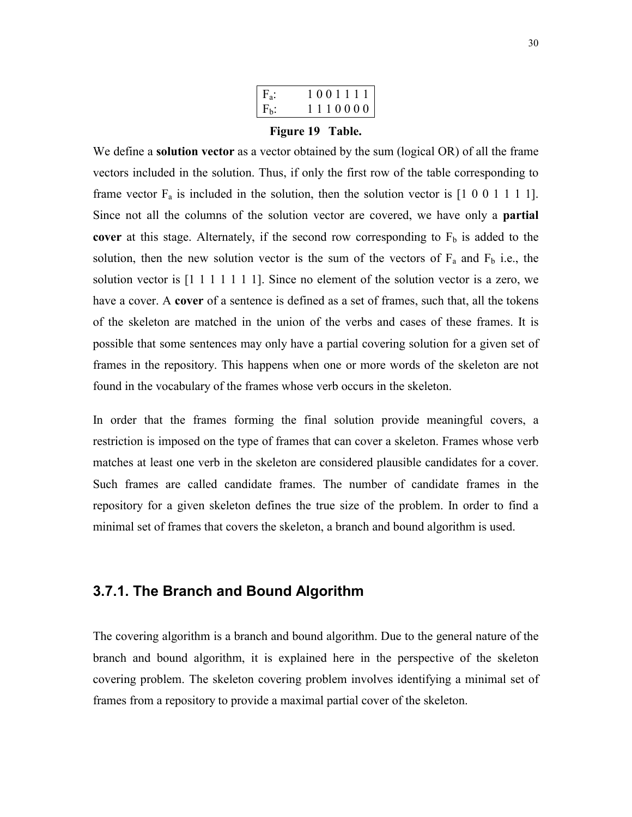|         | 1001111 |
|---------|---------|
| $F_h$ : | 1110000 |

#### **Figure 19 Table.**

We define a **solution vector** as a vector obtained by the sum (logical OR) of all the frame vectors included in the solution. Thus, if only the first row of the table corresponding to frame vector  $F_a$  is included in the solution, then the solution vector is  $[1\ 0\ 0\ 1\ 1\ 1\ 1]$ . Since not all the columns of the solution vector are covered, we have only a **partial cover** at this stage. Alternately, if the second row corresponding to  $F_b$  is added to the solution, then the new solution vector is the sum of the vectors of  $F_a$  and  $F_b$  i.e., the solution vector is [1 1 1 1 1 1 1]. Since no element of the solution vector is a zero, we have a cover. A **cover** of a sentence is defined as a set of frames, such that, all the tokens of the skeleton are matched in the union of the verbs and cases of these frames. It is possible that some sentences may only have a partial covering solution for a given set of frames in the repository. This happens when one or more words of the skeleton are not found in the vocabulary of the frames whose verb occurs in the skeleton.

In order that the frames forming the final solution provide meaningful covers, a restriction is imposed on the type of frames that can cover a skeleton. Frames whose verb matches at least one verb in the skeleton are considered plausible candidates for a cover. Such frames are called candidate frames. The number of candidate frames in the repository for a given skeleton defines the true size of the problem. In order to find a minimal set of frames that covers the skeleton, a branch and bound algorithm is used.

### **3.7.1. The Branch and Bound Algorithm**

The covering algorithm is a branch and bound algorithm. Due to the general nature of the branch and bound algorithm, it is explained here in the perspective of the skeleton covering problem. The skeleton covering problem involves identifying a minimal set of frames from a repository to provide a maximal partial cover of the skeleton.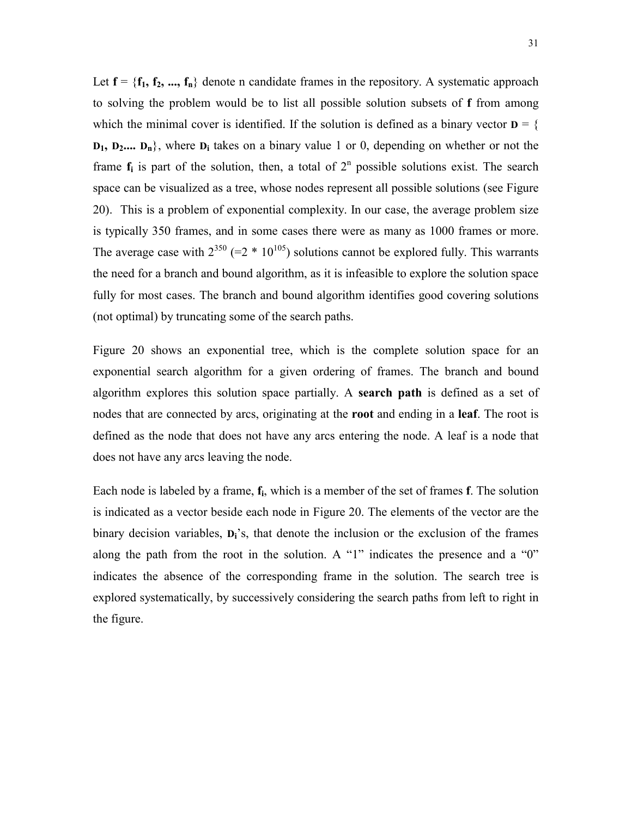Let  $f = \{f_1, f_2, ..., f_n\}$  denote n candidate frames in the repository. A systematic approach to solving the problem would be to list all possible solution subsets of **f** from among which the minimal cover is identified. If the solution is defined as a binary vector  $D = \{$ **D<sub>1</sub>, D<sub>2</sub>....** D<sub>n</sub><sup>}</sup>, where D<sub>i</sub> takes on a binary value 1 or 0, depending on whether or not the frame  $f_i$  is part of the solution, then, a total of  $2<sup>n</sup>$  possible solutions exist. The search space can be visualized as a tree, whose nodes represent all possible solutions (see Figure 20). This is a problem of exponential complexity. In our case, the average problem size is typically 350 frames, and in some cases there were as many as 1000 frames or more. The average case with  $2^{350}$  (=2  $*$  10<sup>105</sup>) solutions cannot be explored fully. This warrants the need for a branch and bound algorithm, as it is infeasible to explore the solution space fully for most cases. The branch and bound algorithm identifies good covering solutions (not optimal) by truncating some of the search paths.

Figure 20 shows an exponential tree, which is the complete solution space for an exponential search algorithm for a given ordering of frames. The branch and bound algorithm explores this solution space partially. A **search path** is defined as a set of nodes that are connected by arcs, originating at the **root** and ending in a **leaf**. The root is defined as the node that does not have any arcs entering the node. A leaf is a node that does not have any arcs leaving the node.

Each node is labeled by a frame, **fi**, which is a member of the set of frames **f**. The solution is indicated as a vector beside each node in Figure 20. The elements of the vector are the binary decision variables,  $D_i$ <sup>'</sup>s, that denote the inclusion or the exclusion of the frames along the path from the root in the solution. A "1" indicates the presence and a " $0$ " indicates the absence of the corresponding frame in the solution. The search tree is explored systematically, by successively considering the search paths from left to right in the figure.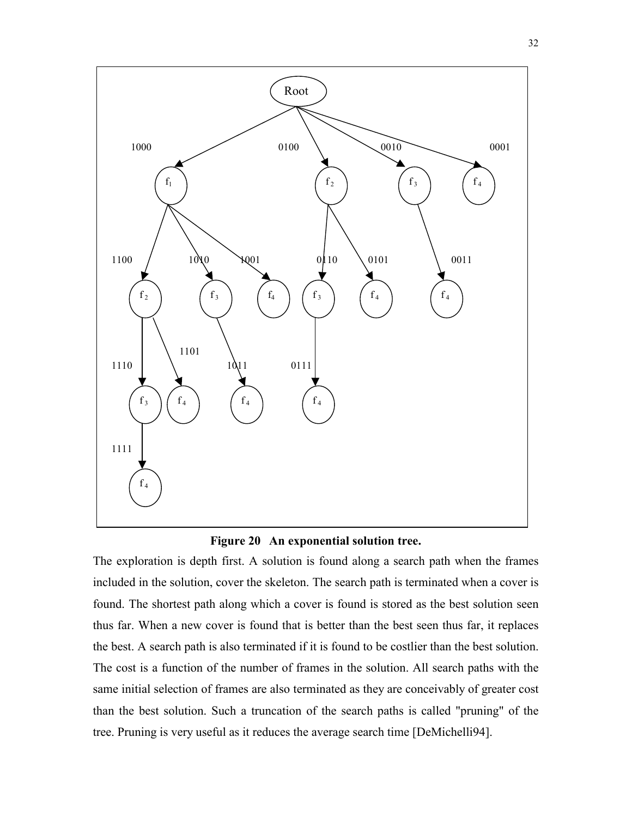



The exploration is depth first. A solution is found along a search path when the frames included in the solution, cover the skeleton. The search path is terminated when a cover is found. The shortest path along which a cover is found is stored as the best solution seen thus far. When a new cover is found that is better than the best seen thus far, it replaces the best. A search path is also terminated if it is found to be costlier than the best solution. The cost is a function of the number of frames in the solution. All search paths with the same initial selection of frames are also terminated as they are conceivably of greater cost than the best solution. Such a truncation of the search paths is called "pruning" of the tree. Pruning is very useful as it reduces the average search time [DeMichelli94].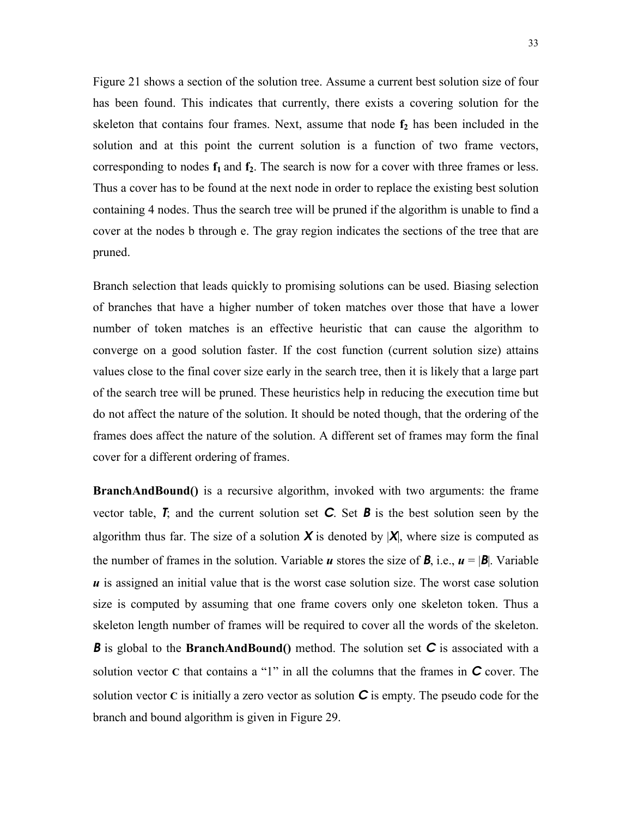Figure 21 shows a section of the solution tree. Assume a current best solution size of four has been found. This indicates that currently, there exists a covering solution for the skeleton that contains four frames. Next, assume that node  $f_2$  has been included in the solution and at this point the current solution is a function of two frame vectors, corresponding to nodes  $f_1$  and  $f_2$ . The search is now for a cover with three frames or less. Thus a cover has to be found at the next node in order to replace the existing best solution containing 4 nodes. Thus the search tree will be pruned if the algorithm is unable to find a cover at the nodes b through e. The gray region indicates the sections of the tree that are pruned.

Branch selection that leads quickly to promising solutions can be used. Biasing selection of branches that have a higher number of token matches over those that have a lower number of token matches is an effective heuristic that can cause the algorithm to converge on a good solution faster. If the cost function (current solution size) attains values close to the final cover size early in the search tree, then it is likely that a large part of the search tree will be pruned. These heuristics help in reducing the execution time but do not affect the nature of the solution. It should be noted though, that the ordering of the frames does affect the nature of the solution. A different set of frames may form the final cover for a different ordering of frames.

**BranchAndBound()** is a recursive algorithm, invoked with two arguments: the frame vector table, *T*; and the current solution set *C*. Set *B* is the best solution seen by the algorithm thus far. The size of a solution  $X$  is denoted by  $|X|$ , where size is computed as the number of frames in the solution. Variable *u* stores the size of *B*, i.e.,  $u = |B|$ . Variable *u* is assigned an initial value that is the worst case solution size. The worst case solution size is computed by assuming that one frame covers only one skeleton token. Thus a skeleton length number of frames will be required to cover all the words of the skeleton. *B* is global to the **BranchAndBound**() method. The solution set **C** is associated with a solution vector  $C$  that contains a "1" in all the columns that the frames in  $C$  cover. The solution vector  $C$  is initially a zero vector as solution  $C$  is empty. The pseudo code for the branch and bound algorithm is given in Figure 29.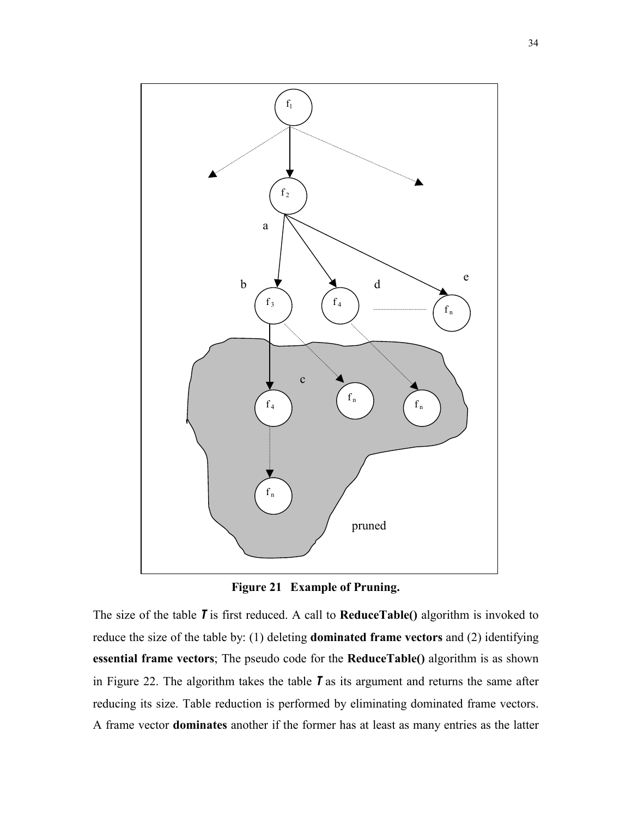

**Figure 21 Example of Pruning.** 

The size of the table *T* is first reduced. A call to **ReduceTable()** algorithm is invoked to reduce the size of the table by: (1) deleting **dominated frame vectors** and (2) identifying **essential frame vectors**; The pseudo code for the **ReduceTable()** algorithm is as shown in Figure 22. The algorithm takes the table *T* as its argument and returns the same after reducing its size. Table reduction is performed by eliminating dominated frame vectors. A frame vector **dominates** another if the former has at least as many entries as the latter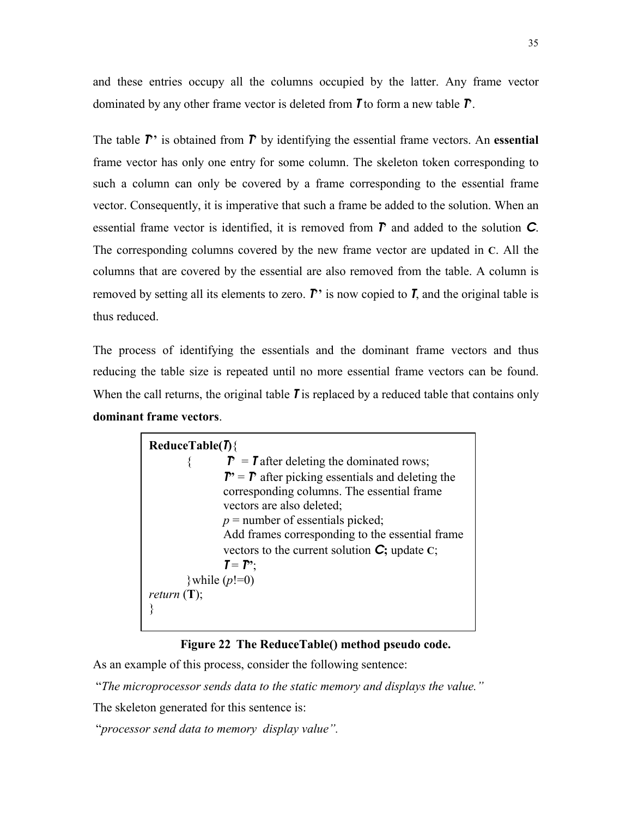and these entries occupy all the columns occupied by the latter. Any frame vector dominated by any other frame vector is deleted from *T* to form a new table *T***í**.

The table  $\mathbf{r}'$  is obtained from  $\mathbf{r}'$  by identifying the essential frame vectors. An **essential** frame vector has only one entry for some column. The skeleton token corresponding to such a column can only be covered by a frame corresponding to the essential frame vector. Consequently, it is imperative that such a frame be added to the solution. When an essential frame vector is identified, it is removed from  $\vec{r}$  and added to the solution  $\vec{c}$ . The corresponding columns covered by the new frame vector are updated in **C**. All the columns that are covered by the essential are also removed from the table. A column is removed by setting all its elements to zero.  $\vec{P}$  is now copied to  $\vec{I}$ , and the original table is thus reduced.

The process of identifying the essentials and the dominant frame vectors and thus reducing the table size is repeated until no more essential frame vectors can be found. When the call returns, the original table **T** is replaced by a reduced table that contains only **dominant frame vectors**.

| ReduceTable(I)                                                                                                     |  |  |  |  |
|--------------------------------------------------------------------------------------------------------------------|--|--|--|--|
| $\mathbf{r}$ = <b>T</b> after deleting the dominated rows;                                                         |  |  |  |  |
| $\mathbf{P}' = \mathbf{P}$ after picking essentials and deleting the<br>corresponding columns. The essential frame |  |  |  |  |
| vectors are also deleted;                                                                                          |  |  |  |  |
| $p =$ number of essentials picked;                                                                                 |  |  |  |  |
| Add frames corresponding to the essential frame                                                                    |  |  |  |  |
| vectors to the current solution $\bf{C}$ ; update $\bf{C}$ ;                                                       |  |  |  |  |
| $T = T^{\prime}$                                                                                                   |  |  |  |  |
| \while $(p!=0)$                                                                                                    |  |  |  |  |
| <i>return</i> $(T)$ ;                                                                                              |  |  |  |  |
|                                                                                                                    |  |  |  |  |

### **Figure 22 The ReduceTable() method pseudo code.**

As an example of this process, consider the following sentence:

<sup>"</sup>The microprocessor sends data to the static memory and displays the value."

The skeleton generated for this sentence is:

<sup>"</sup>*processor send data to memory display value"*.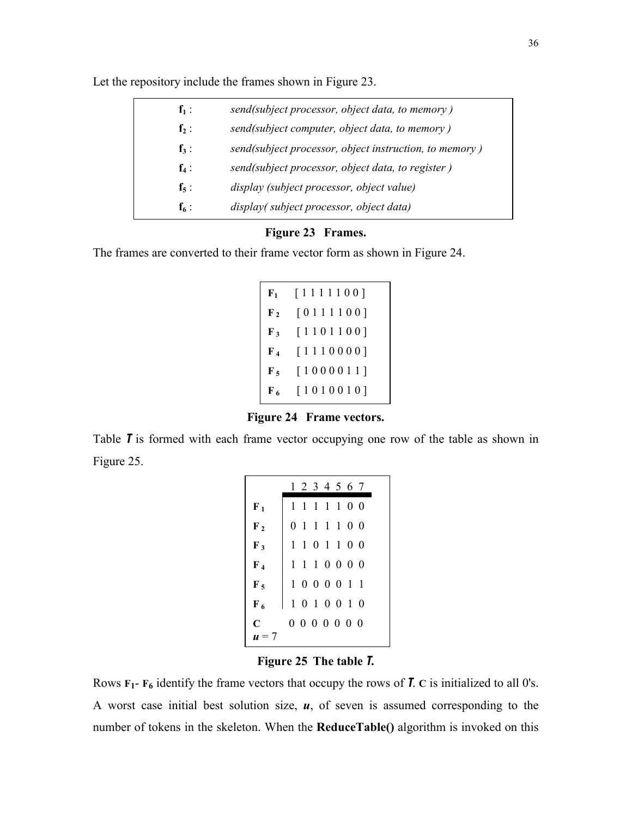| $f_1$ :   | send(subject processor, object data, to memory)        |
|-----------|--------------------------------------------------------|
| $f_2$ :   | send(subject computer, object data, to memory)         |
| $f_3$ :   | send(subject processor, object instruction, to memory) |
| $f_4$ :   | send(subject processor, object data, to register)      |
| $f_5$ :   | display (subject processor, object value)              |
| $f_{6}$ : | display(subject processor, object data)                |

Let the repository include the frames shown in Figure 23.

### **Figure 23 Frames.**

The frames are converted to their frame vector form as shown in Figure 24.

| $F_1$            | [1111100] |
|------------------|-----------|
| $\mathbf{F}_2$   | [0111100] |
| $\mathbf{F}_3$   | [1101100] |
| $\mathbf{F}_4$   | [1110000] |
| $\mathbf{F}_{5}$ | [1000011] |
| $\overline{F}_6$ | [1010010] |

**Figure 24 Frame vectors.** 

Table *T* is formed with each frame vector occupying one row of the table as shown in Figure 25.

|                      |              | 1 2 3 4 5 6 7 |             |  |  |
|----------------------|--------------|---------------|-------------|--|--|
| ${\bf F_1}$          | $\mathbf{1}$ |               | 1 1 1 1 0 0 |  |  |
| $\mathbf{F}_2$       |              | 0 1 1 1 1 0 0 |             |  |  |
| $\mathbf{F}_3$       |              | 1 1 0 1 1 0 0 |             |  |  |
| $\mathbf{F}_4$       |              | 1 1 1 0 0 0 0 |             |  |  |
| $\mathbf{F}_5$       |              | 1 0 0 0 0 1 1 |             |  |  |
| $\mathbf{F}_{6}$     |              | 1 0 1 0 0 1 0 |             |  |  |
| C                    |              | 0000000       |             |  |  |
| $\boldsymbol{u} = 7$ |              |               |             |  |  |

**Figure 25 The table** *T***.** 

Rows  $\mathbf{F}_1$ -  $\mathbf{F}_6$  identify the frame vectors that occupy the rows of *T*. **C** is initialized to all 0's. A worst case initial best solution size, *u*, of seven is assumed corresponding to the number of tokens in the skeleton. When the **ReduceTable()** algorithm is invoked on this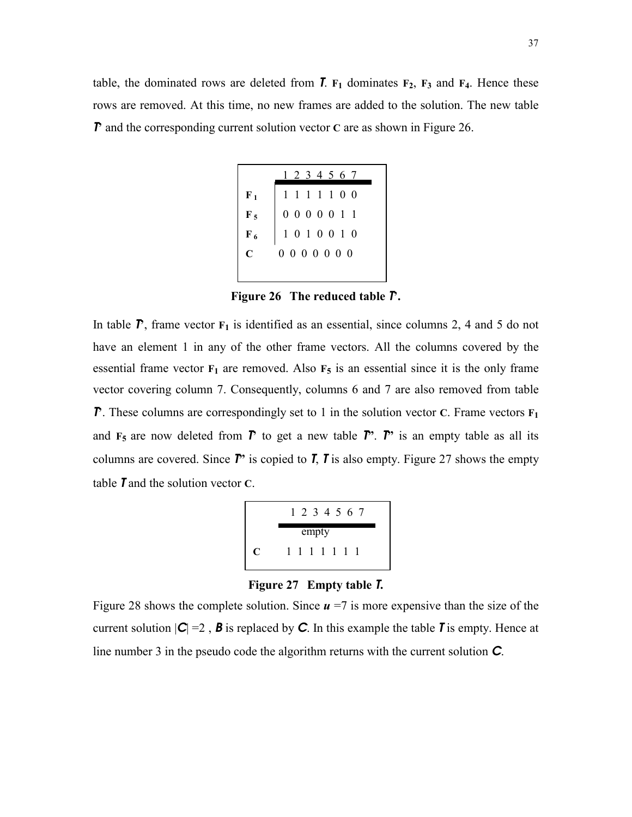table, the dominated rows are deleted from  $\overline{I}$ .  $F_1$  dominates  $F_2$ ,  $F_3$  and  $F_4$ . Hence these rows are removed. At this time, no new frames are added to the solution. The new table *T* and the corresponding current solution vector **C** are as shown in Figure 26.

|                | 1 2 3 4 5 6 7                                                                                |
|----------------|----------------------------------------------------------------------------------------------|
| $F_1$          | 1 1 1 1 1 0 0                                                                                |
| $F_5$<br>$F_6$ | $\begin{array}{cccccc}\n0 & 0 & 0 & 0 & 0 & 1 & 1 \\ 1 & 0 & 1 & 0 & 0 & 1 & 0\n\end{array}$ |
|                |                                                                                              |
| $\mathbf{C}$   | $0\; 0\; 0\; 0\; 0\; 0\; 0$                                                                  |
|                |                                                                                              |

**Figure 26 The reduced table** *T***í.** 

In table  $\overline{P}$ , frame vector  $F_1$  is identified as an essential, since columns 2, 4 and 5 do not have an element 1 in any of the other frame vectors. All the columns covered by the essential frame vector  $\mathbf{F}_1$  are removed. Also  $\mathbf{F}_5$  is an essential since it is the only frame vector covering column 7. Consequently, columns 6 and 7 are also removed from table *T*. These columns are correspondingly set to 1 in the solution vector **C**. Frame vectors  $\mathbf{F}_1$ and  $\mathbf{F}_5$  are now deleted from  $\mathbf{\Gamma}$  to get a new table  $\mathbf{\Gamma}$ <sup>\*</sup>.  $\mathbf{\Gamma}$ <sup>\*</sup> is an empty table as all its columns are covered. Since  $\vec{P}$  is copied to  $\vec{I}$ ,  $\vec{I}$  is also empty. Figure 27 shows the empty table *T* and the solution vector **C**.



**Figure 27 Empty table** *T***.** 

Figure 28 shows the complete solution. Since  $u = 7$  is more expensive than the size of the current solution  $|C| = 2$ , **B** is replaced by C. In this example the table **T** is empty. Hence at line number 3 in the pseudo code the algorithm returns with the current solution *C*.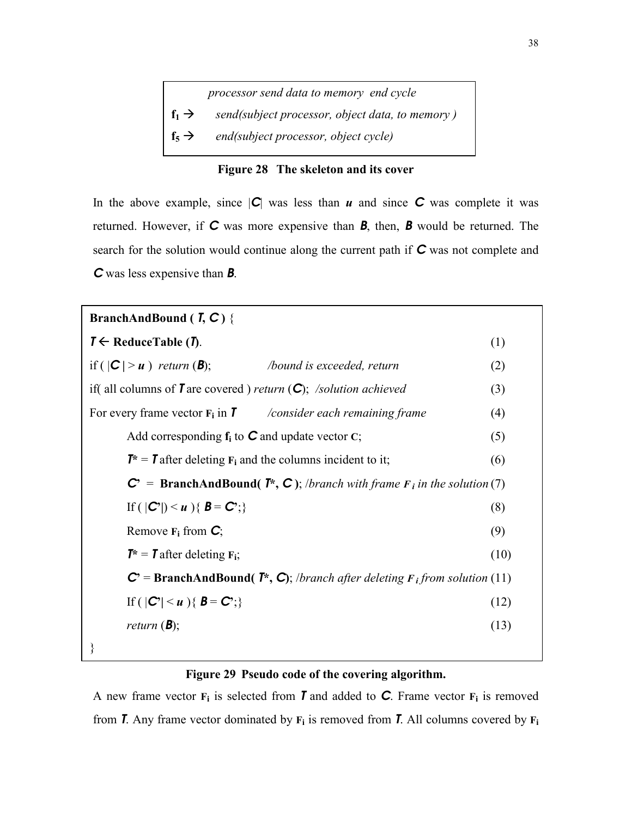|                   | processor send data to memory end cycle         |
|-------------------|-------------------------------------------------|
| $f_1 \rightarrow$ | send(subject processor, object data, to memory) |
| $f_5 \rightarrow$ | end(subject processor, object cycle)            |



In the above example, since  $|C|$  was less than  $u$  and since  $C$  was complete it was returned. However, if *C* was more expensive than *B*, then, *B* would be returned. The search for the solution would continue along the current path if *C* was not complete and *C* was less expensive than *B*.

# **BranchAndBound (** *T***,** *C* **)** {  $T \leftarrow \text{ReduceTable} (T)$ . (1) if  $(|C| > u)$  *return*  $(B)$ ; */bound is exceeded, return* (2) if( all columns of *T* are covered ) *return* (*C*); */solution achieved* (3) For every frame vector  $\mathbf{F}_i$  in **T** */consider each remaining frame* (4) Add corresponding  $f_i$  to  $C$  and update vector  $C$ ; (5)  $T^* = T$  after deleting  $F_i$  and the columns incident to it; (6)  $C^*$  = **BranchAndBound(** *T***<sup>\*</sup>,** *C***); /***branch with frame F<sub>i</sub></sub> in the solution* **(7)** If  $(|C'|) < u$   $\{B = C$ ;  $\}$  (8) Remove  $\mathbf{F}_i$  from  $\mathbf{C}_i$ ; (9)  $T^* = T$  after deleting  $F_i$ ; (10)  $C^{\prime}$  = **BranchAndBound(** *T***<sup>\*</sup>,** *C***)**; /*branch after deleting F<sub>i</sub> from solution (11)* If  $(|C'| < u)$  {  $B = C$ <sup>*;*</sup>} (12) *return* ( $\mathbf{B}$ ); (13) }

### **Figure 29 Pseudo code of the covering algorithm.**

A new frame vector  $\mathbf{F}_i$  is selected from *T* and added to **C**. Frame vector  $\mathbf{F}_i$  is removed from *T*. Any frame vector dominated by  $\mathbf{F}_i$  is removed from *T*. All columns covered by  $\mathbf{F}_i$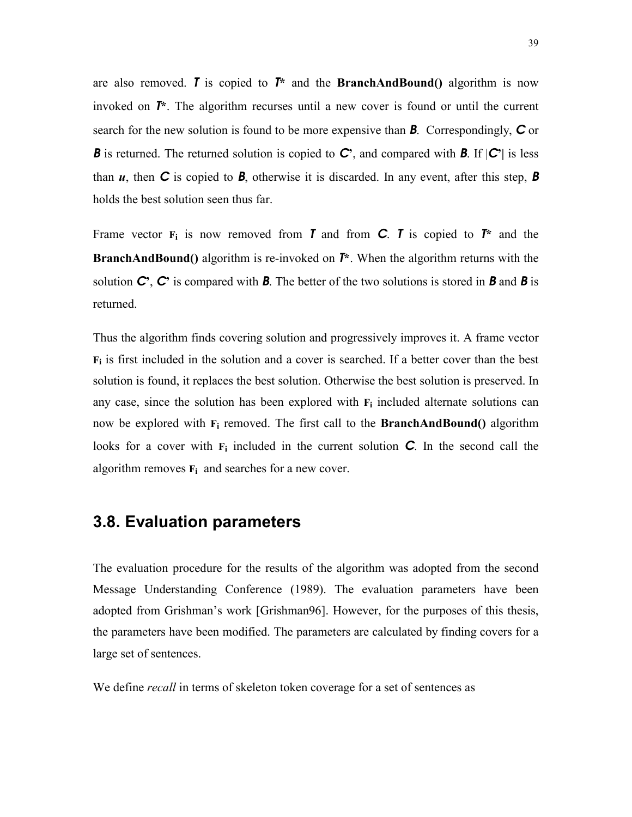are also removed. *T* is copied to  $T^*$  and the **BranchAndBound**() algorithm is now invoked on *T***\***. The algorithm recurses until a new cover is found or until the current search for the new solution is found to be more expensive than *B*. Correspondingly, *C* or *B* is returned. The returned solution is copied to *C*<sup>*c*</sup>, and compared with *B*. If  $|C^{\prime}|$  is less than  $u$ , then  $C$  is copied to  $B$ , otherwise it is discarded. In any event, after this step,  $B$ holds the best solution seen thus far.

Frame vector  $F_i$  is now removed from *T* and from *C***.** *T* is copied to  $T^*$  and the **BranchAndBound()** algorithm is re-invoked on *T***\***. When the algorithm returns with the solution  $C$ ,  $C$  is compared with **B**. The better of the two solutions is stored in **B** and **B** is returned.

Thus the algorithm finds covering solution and progressively improves it. A frame vector **Fi** is first included in the solution and a cover is searched. If a better cover than the best solution is found, it replaces the best solution. Otherwise the best solution is preserved. In any case, since the solution has been explored with  $F_i$  included alternate solutions can now be explored with **Fi** removed. The first call to the **BranchAndBound()** algorithm looks for a cover with  $F_i$  included in the current solution **C**. In the second call the algorithm removes  $\mathbf{F}_i$  and searches for a new cover.

### **3.8. Evaluation parameters**

The evaluation procedure for the results of the algorithm was adopted from the second Message Understanding Conference (1989). The evaluation parameters have been adopted from Grishmanís work [Grishman96]. However, for the purposes of this thesis, the parameters have been modified. The parameters are calculated by finding covers for a large set of sentences.

We define *recall* in terms of skeleton token coverage for a set of sentences as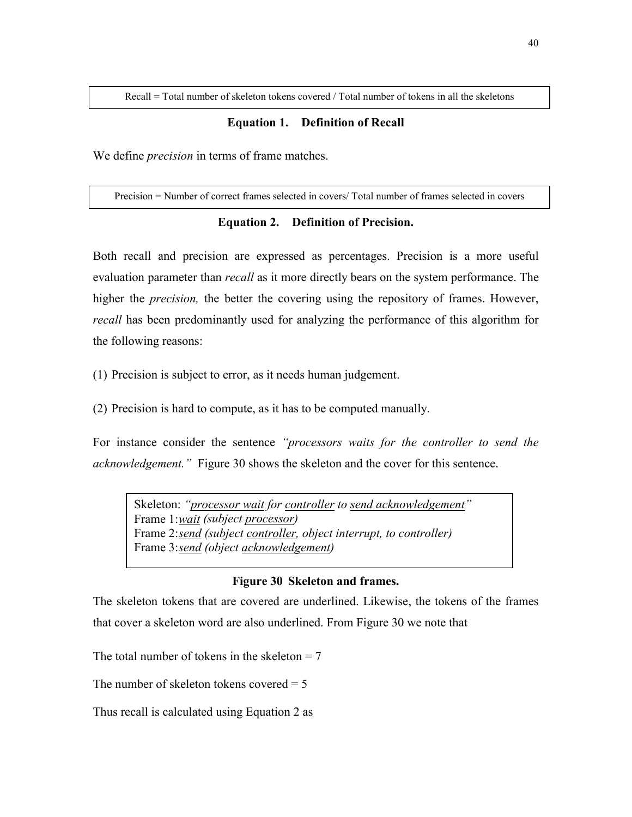Recall = Total number of skeleton tokens covered / Total number of tokens in all the skeletons

### **Equation 1. Definition of Recall**

We define *precision* in terms of frame matches.

Precision = Number of correct frames selected in covers/ Total number of frames selected in covers

### **Equation 2. Definition of Precision.**

Both recall and precision are expressed as percentages. Precision is a more useful evaluation parameter than *recall* as it more directly bears on the system performance. The higher the *precision,* the better the covering using the repository of frames. However, *recall* has been predominantly used for analyzing the performance of this algorithm for the following reasons:

(1) Precision is subject to error, as it needs human judgement.

(2) Precision is hard to compute, as it has to be computed manually.

For instance consider the sentence *"processors waits for the controller to send the acknowledgement.*" Figure 30 shows the skeleton and the cover for this sentence.

Skeleton: "*processor wait for controller to send acknowledgement*" Frame 1: *wait (subject processor)*  Frame 2: *send (subject controller, object interrupt, to controller)*  Frame 3: *send (object acknowledgement)* 

### **Figure 30 Skeleton and frames.**

The skeleton tokens that are covered are underlined. Likewise, the tokens of the frames that cover a skeleton word are also underlined. From Figure 30 we note that

The total number of tokens in the skeleton  $= 7$ 

The number of skeleton tokens covered  $= 5$ 

Thus recall is calculated using Equation 2 as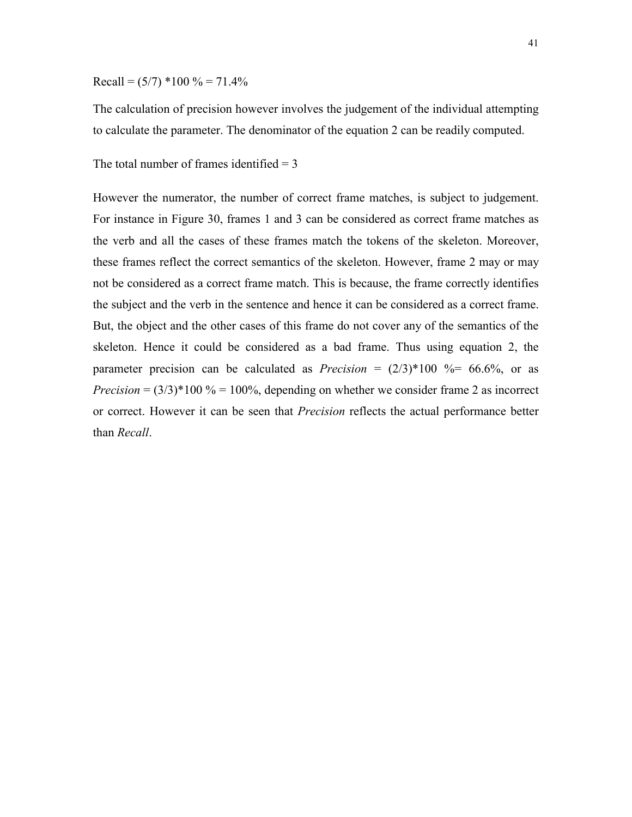$Recall = (5/7) *100 \% = 71.4%$ 

The calculation of precision however involves the judgement of the individual attempting to calculate the parameter. The denominator of the equation 2 can be readily computed.

The total number of frames identified  $= 3$ 

However the numerator, the number of correct frame matches, is subject to judgement. For instance in Figure 30, frames 1 and 3 can be considered as correct frame matches as the verb and all the cases of these frames match the tokens of the skeleton. Moreover, these frames reflect the correct semantics of the skeleton. However, frame 2 may or may not be considered as a correct frame match. This is because, the frame correctly identifies the subject and the verb in the sentence and hence it can be considered as a correct frame. But, the object and the other cases of this frame do not cover any of the semantics of the skeleton. Hence it could be considered as a bad frame. Thus using equation 2, the parameter precision can be calculated as *Precision* =  $(2/3)*100$  %= 66.6%, or as *Precision* =  $(3/3)^*100\% = 100\%$ , depending on whether we consider frame 2 as incorrect or correct. However it can be seen that *Precision* reflects the actual performance better than *Recall*.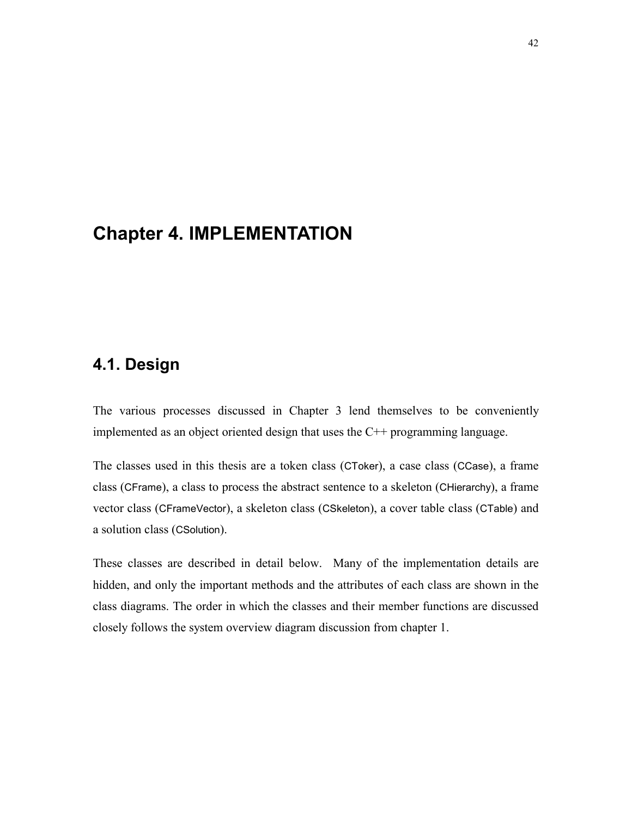# **Chapter 4. IMPLEMENTATION**

# **4.1. Design**

The various processes discussed in Chapter 3 lend themselves to be conveniently implemented as an object oriented design that uses the C++ programming language.

The classes used in this thesis are a token class (CToker), a case class (CCase), a frame class (CFrame), a class to process the abstract sentence to a skeleton (CHierarchy), a frame vector class (CFrameVector), a skeleton class (CSkeleton), a cover table class (CTable) and a solution class (CSolution).

These classes are described in detail below. Many of the implementation details are hidden, and only the important methods and the attributes of each class are shown in the class diagrams. The order in which the classes and their member functions are discussed closely follows the system overview diagram discussion from chapter 1.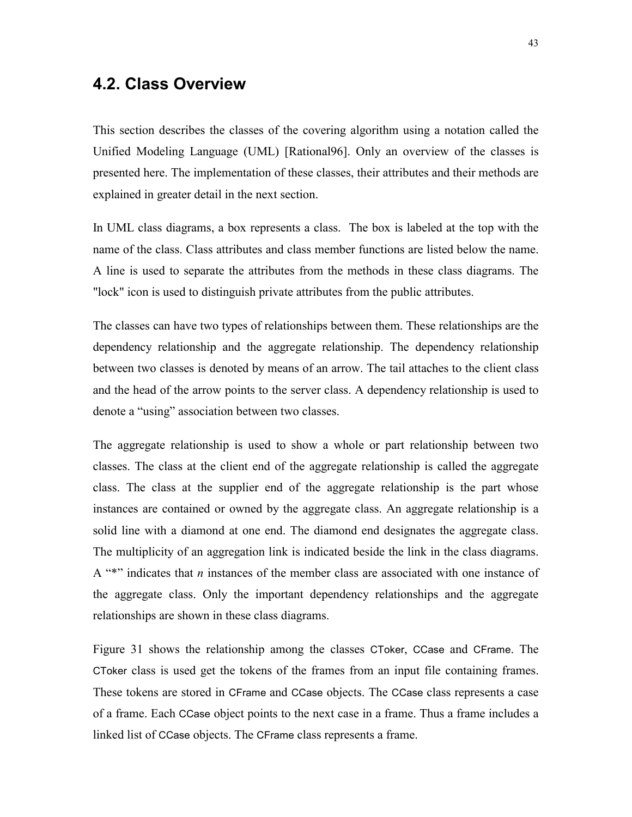### **4.2. Class Overview**

This section describes the classes of the covering algorithm using a notation called the Unified Modeling Language (UML) [Rational96]. Only an overview of the classes is presented here. The implementation of these classes, their attributes and their methods are explained in greater detail in the next section.

In UML class diagrams, a box represents a class. The box is labeled at the top with the name of the class. Class attributes and class member functions are listed below the name. A line is used to separate the attributes from the methods in these class diagrams. The "lock" icon is used to distinguish private attributes from the public attributes.

The classes can have two types of relationships between them. These relationships are the dependency relationship and the aggregate relationship. The dependency relationship between two classes is denoted by means of an arrow. The tail attaches to the client class and the head of the arrow points to the server class. A dependency relationship is used to denote a "using" association between two classes.

The aggregate relationship is used to show a whole or part relationship between two classes. The class at the client end of the aggregate relationship is called the aggregate class. The class at the supplier end of the aggregate relationship is the part whose instances are contained or owned by the aggregate class. An aggregate relationship is a solid line with a diamond at one end. The diamond end designates the aggregate class. The multiplicity of an aggregation link is indicated beside the link in the class diagrams. A  $**$  indicates that *n* instances of the member class are associated with one instance of the aggregate class. Only the important dependency relationships and the aggregate relationships are shown in these class diagrams.

Figure 31 shows the relationship among the classes CToker, CCase and CFrame. The CToker class is used get the tokens of the frames from an input file containing frames. These tokens are stored in CFrame and CCase objects. The CCase class represents a case of a frame. Each CCase object points to the next case in a frame. Thus a frame includes a linked list of CCase objects. The CFrame class represents a frame.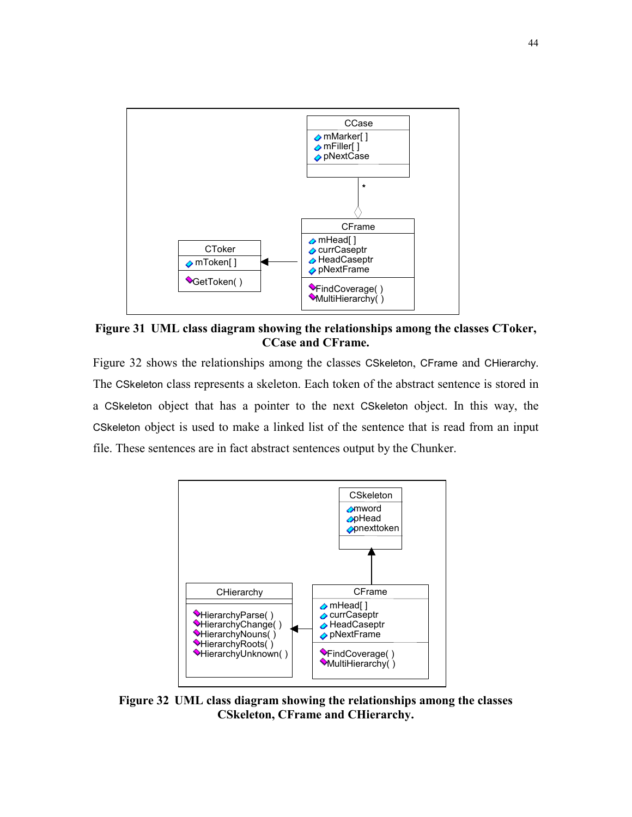

**Figure 31 UML class diagram showing the relationships among the classes CToker, CCase and CFrame.** 

Figure 32 shows the relationships among the classes CSkeleton, CFrame and CHierarchy. The CSkeleton class represents a skeleton. Each token of the abstract sentence is stored in a CSkeleton object that has a pointer to the next CSkeleton object. In this way, the CSkeleton object is used to make a linked list of the sentence that is read from an input file. These sentences are in fact abstract sentences output by the Chunker.



**Figure 32 UML class diagram showing the relationships among the classes CSkeleton, CFrame and CHierarchy.**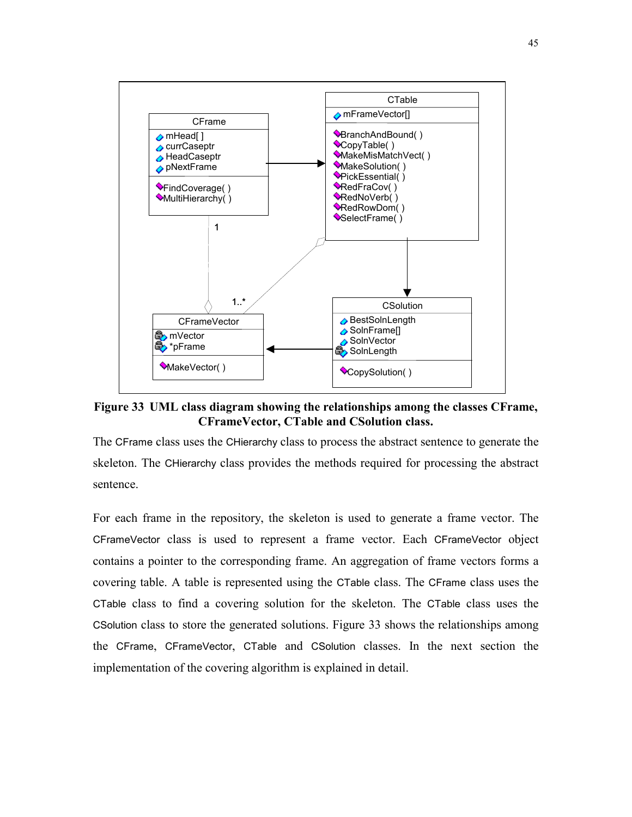

**Figure 33 UML class diagram showing the relationships among the classes CFrame, CFrameVector, CTable and CSolution class.** 

The CFrame class uses the CHierarchy class to process the abstract sentence to generate the skeleton. The CHierarchy class provides the methods required for processing the abstract sentence.

For each frame in the repository, the skeleton is used to generate a frame vector. The CFrameVector class is used to represent a frame vector. Each CFrameVector object contains a pointer to the corresponding frame. An aggregation of frame vectors forms a covering table. A table is represented using the CTable class. The CFrame class uses the CTable class to find a covering solution for the skeleton. The CTable class uses the CSolution class to store the generated solutions. Figure 33 shows the relationships among the CFrame, CFrameVector, CTable and CSolution classes. In the next section the implementation of the covering algorithm is explained in detail.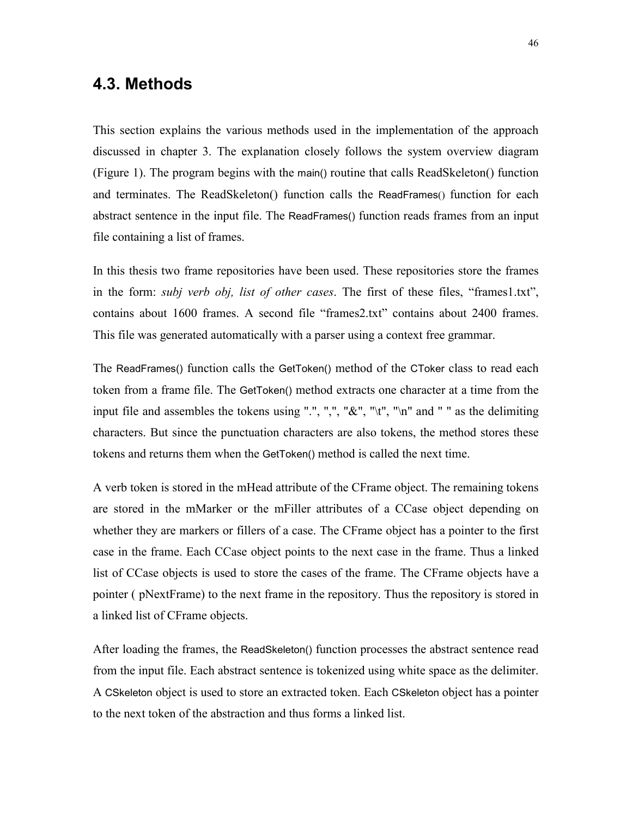### **4.3. Methods**

This section explains the various methods used in the implementation of the approach discussed in chapter 3. The explanation closely follows the system overview diagram (Figure 1). The program begins with the main() routine that calls ReadSkeleton() function and terminates. The ReadSkeleton() function calls the ReadFrames() function for each abstract sentence in the input file. The ReadFrames() function reads frames from an input file containing a list of frames.

In this thesis two frame repositories have been used. These repositories store the frames in the form: *subj verb obj, list of other cases*. The first of these files, "frames1.txt", contains about 1600 frames. A second file "frames2.txt" contains about 2400 frames. This file was generated automatically with a parser using a context free grammar.

The ReadFrames() function calls the GetToken() method of the CToker class to read each token from a frame file. The GetToken() method extracts one character at a time from the input file and assembles the tokens using ".", ",", " $\&$ ", " $\&$ ", " $\|$ n" and " " as the delimiting characters. But since the punctuation characters are also tokens, the method stores these tokens and returns them when the GetToken() method is called the next time.

A verb token is stored in the mHead attribute of the CFrame object. The remaining tokens are stored in the mMarker or the mFiller attributes of a CCase object depending on whether they are markers or fillers of a case. The CFrame object has a pointer to the first case in the frame. Each CCase object points to the next case in the frame. Thus a linked list of CCase objects is used to store the cases of the frame. The CFrame objects have a pointer ( pNextFrame) to the next frame in the repository. Thus the repository is stored in a linked list of CFrame objects.

After loading the frames, the ReadSkeleton() function processes the abstract sentence read from the input file. Each abstract sentence is tokenized using white space as the delimiter. A CSkeleton object is used to store an extracted token. Each CSkeleton object has a pointer to the next token of the abstraction and thus forms a linked list.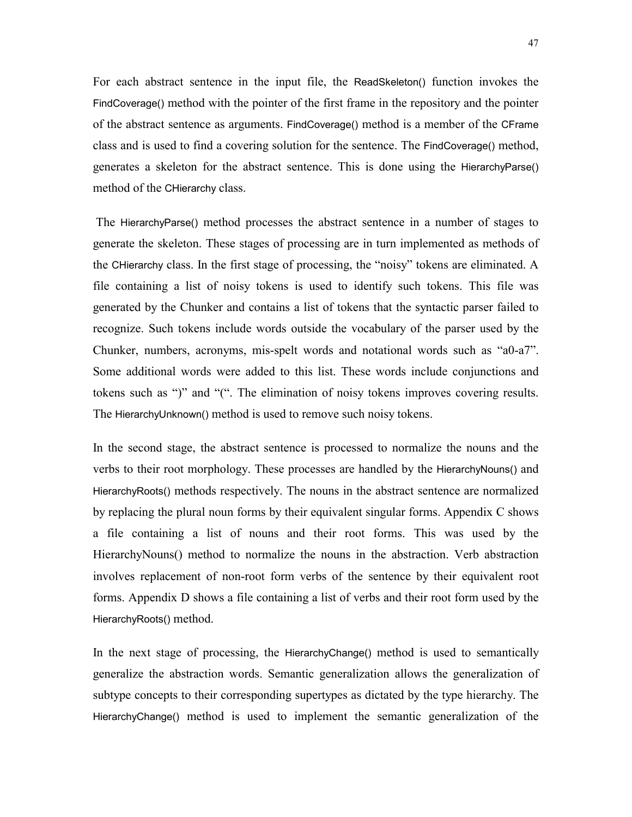For each abstract sentence in the input file, the ReadSkeleton() function invokes the FindCoverage() method with the pointer of the first frame in the repository and the pointer of the abstract sentence as arguments. FindCoverage() method is a member of the CFrame class and is used to find a covering solution for the sentence. The FindCoverage() method, generates a skeleton for the abstract sentence. This is done using the HierarchyParse() method of the CHierarchy class.

 The HierarchyParse() method processes the abstract sentence in a number of stages to generate the skeleton. These stages of processing are in turn implemented as methods of the CHierarchy class. In the first stage of processing, the "noisy" tokens are eliminated. A file containing a list of noisy tokens is used to identify such tokens. This file was generated by the Chunker and contains a list of tokens that the syntactic parser failed to recognize. Such tokens include words outside the vocabulary of the parser used by the Chunker, numbers, acronyms, mis-spelt words and notational words such as "a0-a7". Some additional words were added to this list. These words include conjunctions and tokens such as ")" and " $($ ". The elimination of noisy tokens improves covering results. The HierarchyUnknown() method is used to remove such noisy tokens.

In the second stage, the abstract sentence is processed to normalize the nouns and the verbs to their root morphology. These processes are handled by the HierarchyNouns() and HierarchyRoots() methods respectively. The nouns in the abstract sentence are normalized by replacing the plural noun forms by their equivalent singular forms. Appendix C shows a file containing a list of nouns and their root forms. This was used by the HierarchyNouns() method to normalize the nouns in the abstraction. Verb abstraction involves replacement of non-root form verbs of the sentence by their equivalent root forms. Appendix D shows a file containing a list of verbs and their root form used by the HierarchyRoots() method.

In the next stage of processing, the HierarchyChange() method is used to semantically generalize the abstraction words. Semantic generalization allows the generalization of subtype concepts to their corresponding supertypes as dictated by the type hierarchy. The HierarchyChange() method is used to implement the semantic generalization of the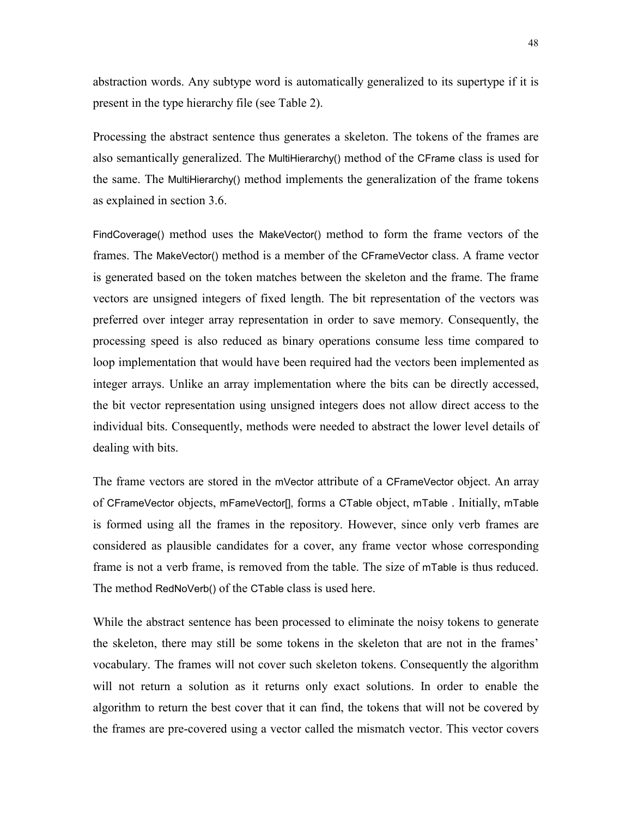abstraction words. Any subtype word is automatically generalized to its supertype if it is present in the type hierarchy file (see Table 2).

Processing the abstract sentence thus generates a skeleton. The tokens of the frames are also semantically generalized. The MultiHierarchy() method of the CFrame class is used for the same. The MultiHierarchy() method implements the generalization of the frame tokens as explained in section 3.6.

FindCoverage() method uses the MakeVector() method to form the frame vectors of the frames. The MakeVector() method is a member of the CFrameVector class. A frame vector is generated based on the token matches between the skeleton and the frame. The frame vectors are unsigned integers of fixed length. The bit representation of the vectors was preferred over integer array representation in order to save memory. Consequently, the processing speed is also reduced as binary operations consume less time compared to loop implementation that would have been required had the vectors been implemented as integer arrays. Unlike an array implementation where the bits can be directly accessed, the bit vector representation using unsigned integers does not allow direct access to the individual bits. Consequently, methods were needed to abstract the lower level details of dealing with bits.

The frame vectors are stored in the mVector attribute of a CFrameVector object. An array of CFrameVector objects, mFameVector[], forms a CTable object, mTable . Initially, mTable is formed using all the frames in the repository. However, since only verb frames are considered as plausible candidates for a cover, any frame vector whose corresponding frame is not a verb frame, is removed from the table. The size of mTable is thus reduced. The method RedNoVerb() of the CTable class is used here.

While the abstract sentence has been processed to eliminate the noisy tokens to generate the skeleton, there may still be some tokens in the skeleton that are not in the frames' vocabulary. The frames will not cover such skeleton tokens. Consequently the algorithm will not return a solution as it returns only exact solutions. In order to enable the algorithm to return the best cover that it can find, the tokens that will not be covered by the frames are pre-covered using a vector called the mismatch vector. This vector covers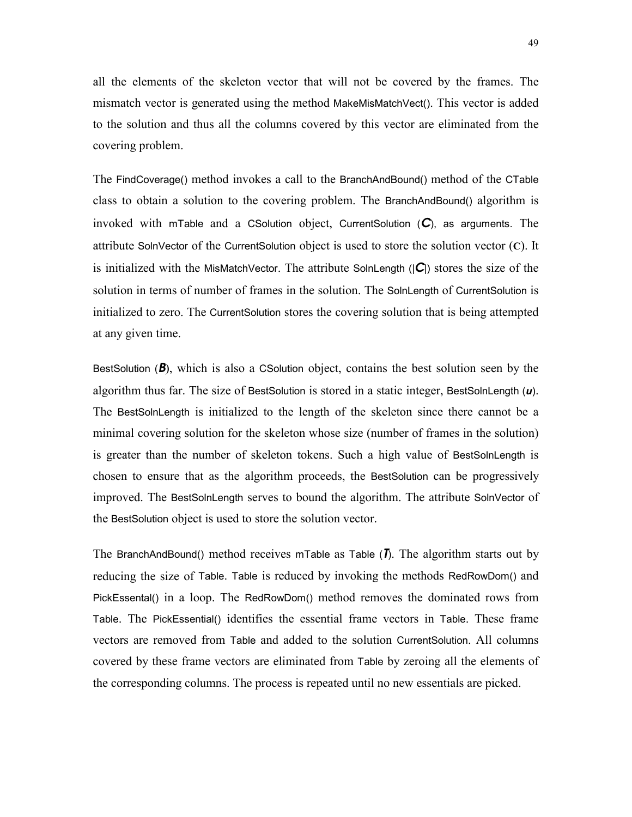all the elements of the skeleton vector that will not be covered by the frames. The mismatch vector is generated using the method MakeMisMatchVect(). This vector is added to the solution and thus all the columns covered by this vector are eliminated from the covering problem.

The FindCoverage() method invokes a call to the BranchAndBound() method of the CTable class to obtain a solution to the covering problem. The BranchAndBound() algorithm is invoked with mTable and a CSolution object, CurrentSolution (*C*), as arguments. The attribute SolnVector of the CurrentSolution object is used to store the solution vector (**C**). It is initialized with the MisMatchVector. The attribute SolnLength (|*C*|) stores the size of the solution in terms of number of frames in the solution. The SolnLength of CurrentSolution is initialized to zero. The CurrentSolution stores the covering solution that is being attempted at any given time.

BestSolution (*B*), which is also a CSolution object, contains the best solution seen by the algorithm thus far. The size of BestSolution is stored in a static integer, BestSolnLength (*u*). The BestSolnLength is initialized to the length of the skeleton since there cannot be a minimal covering solution for the skeleton whose size (number of frames in the solution) is greater than the number of skeleton tokens. Such a high value of BestSolnLength is chosen to ensure that as the algorithm proceeds, the BestSolution can be progressively improved. The BestSolnLength serves to bound the algorithm. The attribute SolnVector of the BestSolution object is used to store the solution vector.

The BranchAndBound() method receives mTable as Table (*T*). The algorithm starts out by reducing the size of Table. Table is reduced by invoking the methods RedRowDom() and PickEssental() in a loop. The RedRowDom() method removes the dominated rows from Table. The PickEssential() identifies the essential frame vectors in Table. These frame vectors are removed from Table and added to the solution CurrentSolution. All columns covered by these frame vectors are eliminated from Table by zeroing all the elements of the corresponding columns. The process is repeated until no new essentials are picked.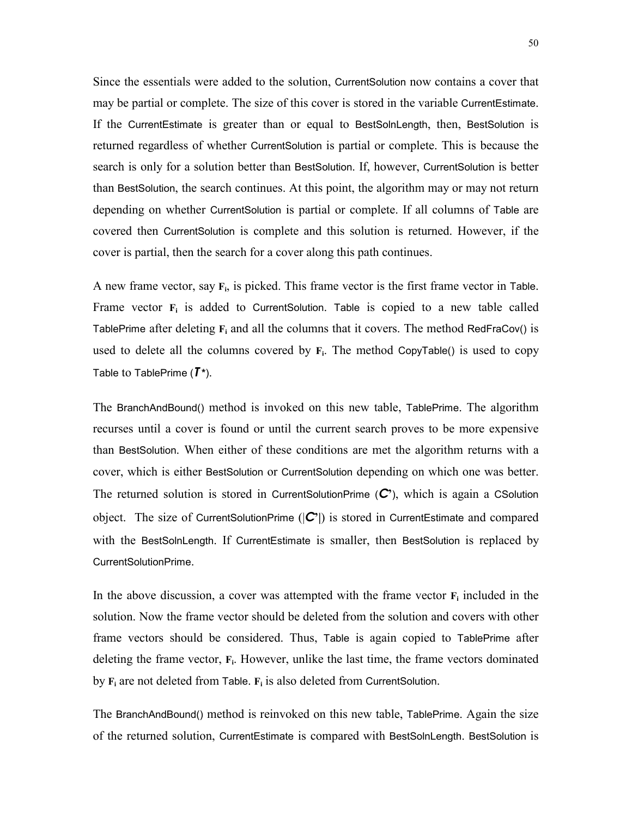Since the essentials were added to the solution, CurrentSolution now contains a cover that may be partial or complete. The size of this cover is stored in the variable CurrentEstimate. If the CurrentEstimate is greater than or equal to BestSolnLength, then, BestSolution is returned regardless of whether CurrentSolution is partial or complete. This is because the search is only for a solution better than BestSolution. If, however, CurrentSolution is better than BestSolution, the search continues. At this point, the algorithm may or may not return depending on whether CurrentSolution is partial or complete. If all columns of Table are covered then CurrentSolution is complete and this solution is returned. However, if the cover is partial, then the search for a cover along this path continues.

A new frame vector, say **Fi**, is picked. This frame vector is the first frame vector in Table. Frame vector  $\mathbf{F}_i$  is added to CurrentSolution. Table is copied to a new table called TablePrime after deleting  $\mathbf{F}_i$  and all the columns that it covers. The method RedFraCov() is used to delete all the columns covered by **Fi**. The method CopyTable() is used to copy Table to TablePrime (*T* **\***).

The BranchAndBound() method is invoked on this new table, TablePrime. The algorithm recurses until a cover is found or until the current search proves to be more expensive than BestSolution. When either of these conditions are met the algorithm returns with a cover, which is either BestSolution or CurrentSolution depending on which one was better. The returned solution is stored in CurrentSolutionPrime (*C***í**), which is again a CSolution object. The size of CurrentSolutionPrime (|*C***í|**) is stored in CurrentEstimate and compared with the BestSolnLength. If CurrentEstimate is smaller, then BestSolution is replaced by CurrentSolutionPrime.

In the above discussion, a cover was attempted with the frame vector  $\mathbf{F}_i$  included in the solution. Now the frame vector should be deleted from the solution and covers with other frame vectors should be considered. Thus, Table is again copied to TablePrime after deleting the frame vector, **Fi**. However, unlike the last time, the frame vectors dominated by  $\mathbf{F}_i$  are not deleted from Table.  $\mathbf{F}_i$  is also deleted from CurrentSolution.

The BranchAndBound() method is reinvoked on this new table, TablePrime. Again the size of the returned solution, CurrentEstimate is compared with BestSolnLength. BestSolution is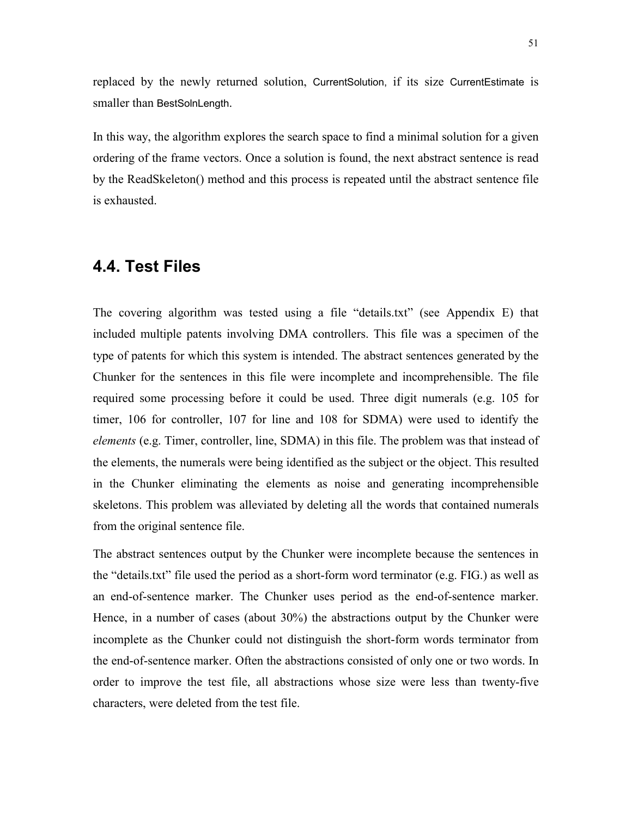replaced by the newly returned solution, CurrentSolution, if its size CurrentEstimate is smaller than BestSolnLength.

In this way, the algorithm explores the search space to find a minimal solution for a given ordering of the frame vectors. Once a solution is found, the next abstract sentence is read by the ReadSkeleton() method and this process is repeated until the abstract sentence file is exhausted.

# **4.4. Test Files**

The covering algorithm was tested using a file "details.txt" (see Appendix E) that included multiple patents involving DMA controllers. This file was a specimen of the type of patents for which this system is intended. The abstract sentences generated by the Chunker for the sentences in this file were incomplete and incomprehensible. The file required some processing before it could be used. Three digit numerals (e.g. 105 for timer, 106 for controller, 107 for line and 108 for SDMA) were used to identify the *elements* (e.g. Timer, controller, line, SDMA) in this file. The problem was that instead of the elements, the numerals were being identified as the subject or the object. This resulted in the Chunker eliminating the elements as noise and generating incomprehensible skeletons. This problem was alleviated by deleting all the words that contained numerals from the original sentence file.

The abstract sentences output by the Chunker were incomplete because the sentences in the "details.txt" file used the period as a short-form word terminator (e.g. FIG.) as well as an end-of-sentence marker. The Chunker uses period as the end-of-sentence marker. Hence, in a number of cases (about 30%) the abstractions output by the Chunker were incomplete as the Chunker could not distinguish the short-form words terminator from the end-of-sentence marker. Often the abstractions consisted of only one or two words. In order to improve the test file, all abstractions whose size were less than twenty-five characters, were deleted from the test file.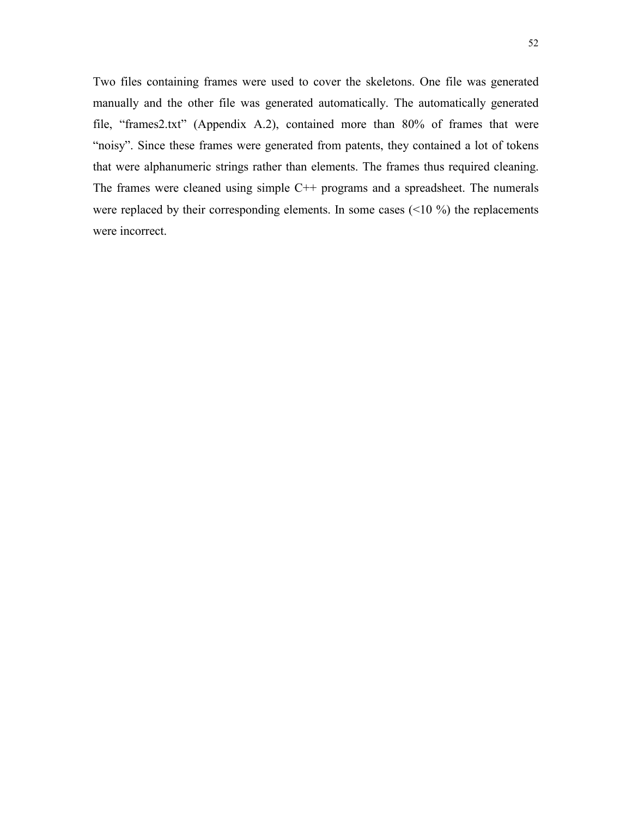Two files containing frames were used to cover the skeletons. One file was generated manually and the other file was generated automatically. The automatically generated file, "frames2.txt" (Appendix A.2), contained more than  $80\%$  of frames that were "noisy". Since these frames were generated from patents, they contained a lot of tokens that were alphanumeric strings rather than elements. The frames thus required cleaning. The frames were cleaned using simple C++ programs and a spreadsheet. The numerals were replaced by their corresponding elements. In some cases  $(10\%)$  the replacements were incorrect.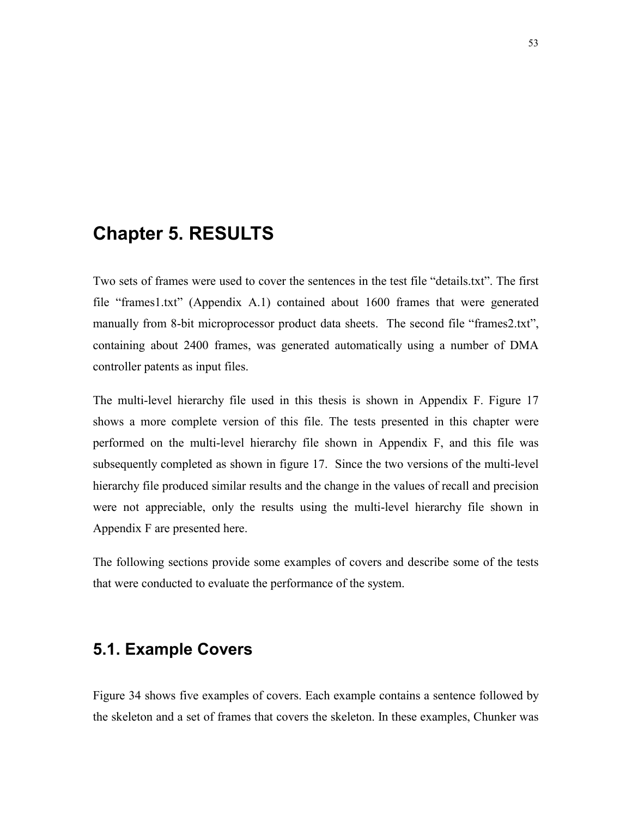# **Chapter 5. RESULTS**

Two sets of frames were used to cover the sentences in the test file "details.txt". The first file "frames1.txt" (Appendix A.1) contained about 1600 frames that were generated manually from 8-bit microprocessor product data sheets. The second file "frames2.txt", containing about 2400 frames, was generated automatically using a number of DMA controller patents as input files.

The multi-level hierarchy file used in this thesis is shown in Appendix F. Figure 17 shows a more complete version of this file. The tests presented in this chapter were performed on the multi-level hierarchy file shown in Appendix F, and this file was subsequently completed as shown in figure 17. Since the two versions of the multi-level hierarchy file produced similar results and the change in the values of recall and precision were not appreciable, only the results using the multi-level hierarchy file shown in Appendix F are presented here.

The following sections provide some examples of covers and describe some of the tests that were conducted to evaluate the performance of the system.

# **5.1. Example Covers**

Figure 34 shows five examples of covers. Each example contains a sentence followed by the skeleton and a set of frames that covers the skeleton. In these examples, Chunker was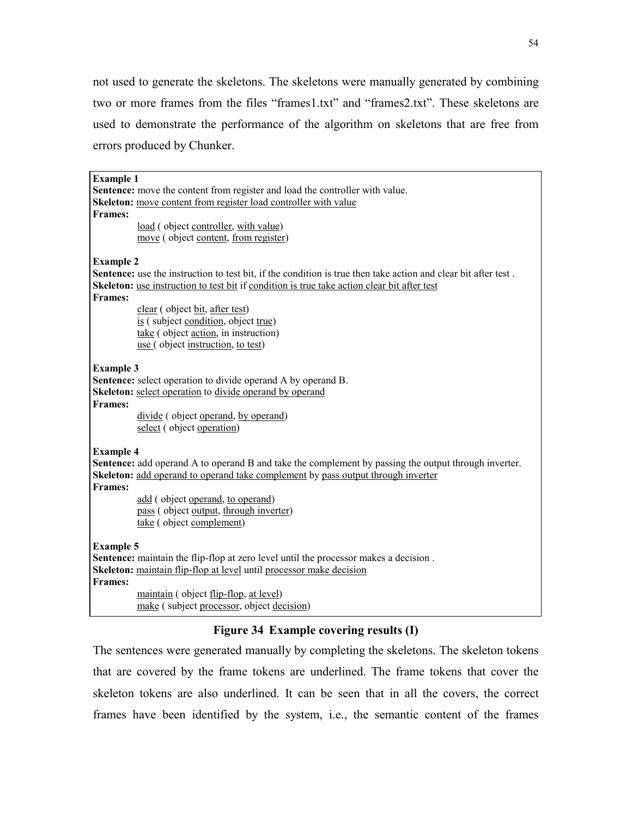not used to generate the skeletons. The skeletons were manually generated by combining two or more frames from the files "frames1.txt" and "frames2.txt". These skeletons are used to demonstrate the performance of the algorithm on skeletons that are free from errors produced by Chunker.

| <b>Example 1</b> |                                                                                                                |
|------------------|----------------------------------------------------------------------------------------------------------------|
|                  | Sentence: move the content from register and load the controller with value.                                   |
|                  | Skeleton: move content from register load controller with value                                                |
| <b>Frames:</b>   |                                                                                                                |
|                  |                                                                                                                |
|                  | load (object controller, with value)                                                                           |
|                  | move (object content, from register)                                                                           |
|                  |                                                                                                                |
| <b>Example 2</b> |                                                                                                                |
|                  | Sentence: use the instruction to test bit, if the condition is true then take action and clear bit after test. |
|                  | Skeleton: use instruction to test bit if condition is true take action clear bit after test                    |
| <b>Frames:</b>   |                                                                                                                |
|                  | clear (object bit, after test)                                                                                 |
|                  | is (subject condition, object true)                                                                            |
|                  | take (object action, in instruction)                                                                           |
|                  | use (object instruction, to test)                                                                              |
|                  |                                                                                                                |
| <b>Example 3</b> |                                                                                                                |
|                  | <b>Sentence:</b> select operation to divide operand A by operand B.                                            |
|                  | <b>Skeleton:</b> select operation to divide operand by operand                                                 |
| <b>Frames:</b>   |                                                                                                                |
|                  | divide (object operand, by operand)                                                                            |
|                  | select (object operation)                                                                                      |
|                  |                                                                                                                |
| <b>Example 4</b> |                                                                                                                |
|                  | <b>Sentence:</b> add operand A to operand B and take the complement by passing the output through inverter.    |
|                  | Skeleton: add operand to operand take complement by pass output through inverter                               |
| <b>Frames:</b>   |                                                                                                                |
|                  | add (object operand, to operand)                                                                               |
|                  | pass (object output, through inverter)                                                                         |
|                  | take (object complement)                                                                                       |
|                  |                                                                                                                |
| <b>Example 5</b> |                                                                                                                |
|                  | Sentence: maintain the flip-flop at zero level until the processor makes a decision.                           |
|                  | Skeleton: maintain flip-flop at level until processor make decision                                            |
| <b>Frames:</b>   |                                                                                                                |
|                  | maintain (object flip-flop, at level)                                                                          |
|                  | make (subject processor, object decision)                                                                      |
|                  |                                                                                                                |

### **Figure 34 Example covering results (I)**

The sentences were generated manually by completing the skeletons. The skeleton tokens that are covered by the frame tokens are underlined. The frame tokens that cover the skeleton tokens are also underlined. It can be seen that in all the covers, the correct frames have been identified by the system, i.e., the semantic content of the frames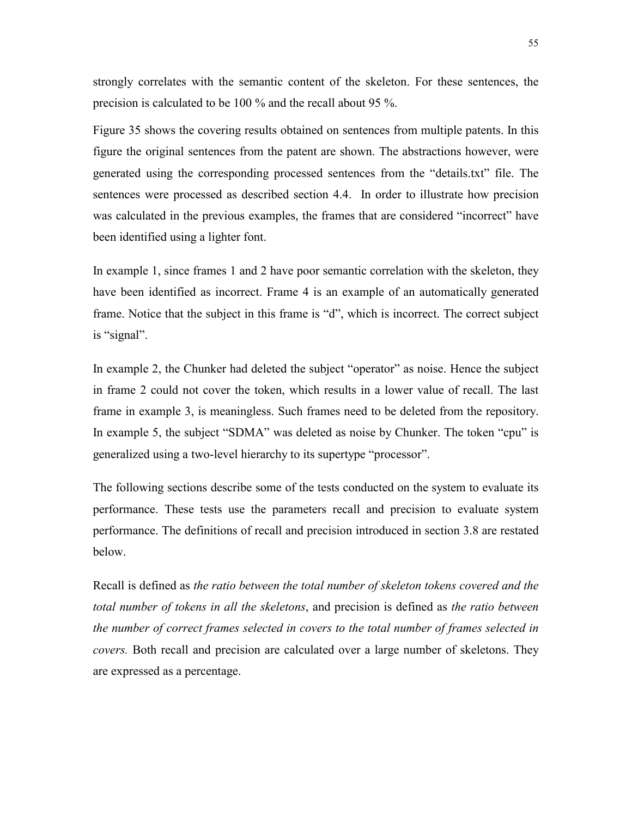strongly correlates with the semantic content of the skeleton. For these sentences, the precision is calculated to be 100 % and the recall about 95 %.

Figure 35 shows the covering results obtained on sentences from multiple patents. In this figure the original sentences from the patent are shown. The abstractions however, were generated using the corresponding processed sentences from the "details.txt" file. The sentences were processed as described section 4.4. In order to illustrate how precision was calculated in the previous examples, the frames that are considered "incorrect" have been identified using a lighter font.

In example 1, since frames 1 and 2 have poor semantic correlation with the skeleton, they have been identified as incorrect. Frame 4 is an example of an automatically generated frame. Notice that the subject in this frame is "d", which is incorrect. The correct subject is "signal".

In example 2, the Chunker had deleted the subject "operator" as noise. Hence the subject in frame 2 could not cover the token, which results in a lower value of recall. The last frame in example 3, is meaningless. Such frames need to be deleted from the repository. In example 5, the subject "SDMA" was deleted as noise by Chunker. The token "cpu" is generalized using a two-level hierarchy to its supertype "processor".

The following sections describe some of the tests conducted on the system to evaluate its performance. These tests use the parameters recall and precision to evaluate system performance. The definitions of recall and precision introduced in section 3.8 are restated below.

Recall is defined as *the ratio between the total number of skeleton tokens covered and the total number of tokens in all the skeletons*, and precision is defined as *the ratio between the number of correct frames selected in covers to the total number of frames selected in covers.* Both recall and precision are calculated over a large number of skeletons. They are expressed as a percentage.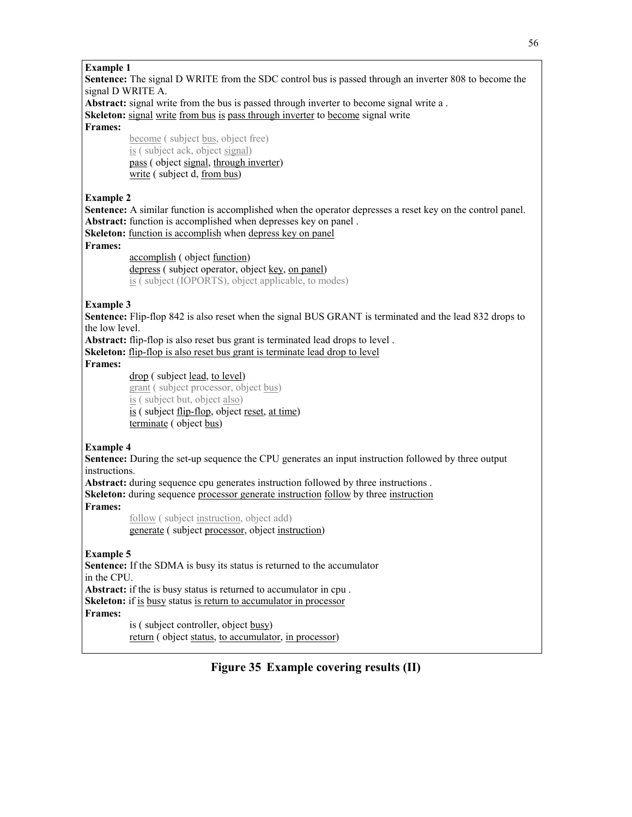#### **Example 1**

**Sentence:** The signal D WRITE from the SDC control bus is passed through an inverter 808 to become the signal D WRITE A.

**Abstract:** signal write from the bus is passed through inverter to become signal write a .

**Skeleton:** signal write from bus is pass through inverter to become signal write

**Frames:** 

become ( subject bus, object free) is ( subject ack, object signal) pass ( object signal, through inverter) write ( subject d, from bus)

#### **Example 2**

**Sentence:** A similar function is accomplished when the operator depresses a reset key on the control panel. Abstract: function is accomplished when depresses key on panel .

**Skeleton:** function is accomplish when depress key on panel

#### **Frames:**

accomplish ( object function) depress ( subject operator, object key, on panel) is ( subject (IOPORTS), object applicable, to modes)

#### **Example 3**

**Sentence:** Flip-flop 842 is also reset when the signal BUS GRANT is terminated and the lead 832 drops to the low level.

**Abstract:** flip-flop is also reset bus grant is terminated lead drops to level .

**Skeleton:** flip-flop is also reset bus grant is terminate lead drop to level

#### **Frames:**

drop ( subject lead, to level)

grant ( subject processor, object bus) is ( subject but, object also) is ( subject <u>flip-flop</u>, object <u>reset, at time</u>) terminate ( object bus)

#### **Example 4**

**Sentence:** During the set-up sequence the CPU generates an input instruction followed by three output instructions.

**Abstract:** during sequence cpu generates instruction followed by three instructions . **Skeleton:** during sequence processor generate instruction follow by three instruction **Frames:**

> follow ( subject instruction, object add) generate ( subject processor, object instruction)

#### **Example 5**

**Sentence:** If the SDMA is busy its status is returned to the accumulator in the CPU.

**Abstract:** if the is busy status is returned to accumulator in cpu . **Skeleton:** if is busy status is return to accumulator in processor **Frames:**

> is ( subject controller, object busy) return ( object status, to accumulator, in processor)

### **Figure 35 Example covering results (II)**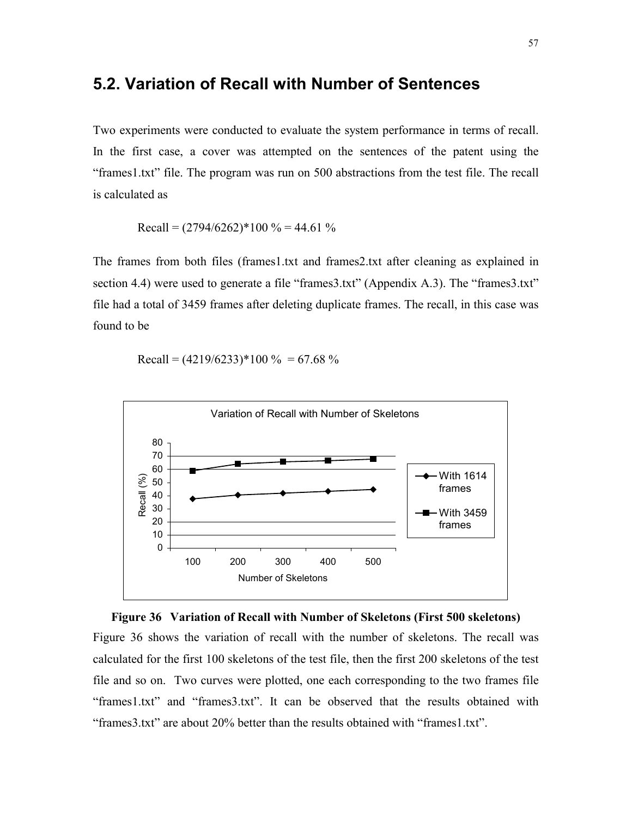### **5.2. Variation of Recall with Number of Sentences**

Two experiments were conducted to evaluate the system performance in terms of recall. In the first case, a cover was attempted on the sentences of the patent using the ìframes1.txtî file. The program was run on 500 abstractions from the test file. The recall is calculated as

Recall = 
$$
(2794/6262)^*100\% = 44.61\%
$$

The frames from both files (frames1.txt and frames2.txt after cleaning as explained in section 4.4) were used to generate a file "frames $3.txt$ " (Appendix A.3). The "frames $3.txt$ " file had a total of 3459 frames after deleting duplicate frames. The recall, in this case was found to be

Recall =  $(4219/6233)*100 \% = 67.68%$ 





Figure 36 shows the variation of recall with the number of skeletons. The recall was calculated for the first 100 skeletons of the test file, then the first 200 skeletons of the test file and so on. Two curves were plotted, one each corresponding to the two frames file ìframes1.txtî and ìframes3.txtî. It can be observed that the results obtained with "frames3.txt" are about 20% better than the results obtained with "frames1.txt".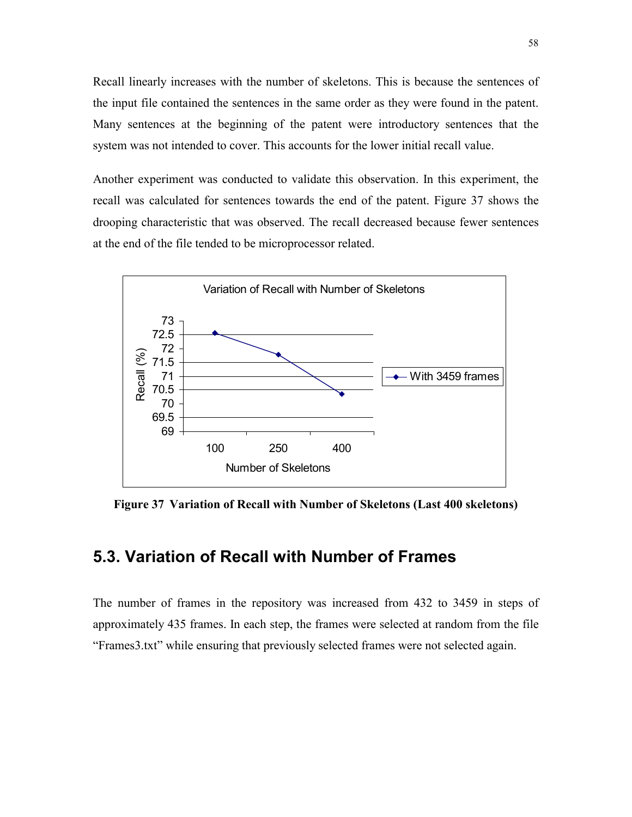Recall linearly increases with the number of skeletons. This is because the sentences of the input file contained the sentences in the same order as they were found in the patent. Many sentences at the beginning of the patent were introductory sentences that the system was not intended to cover. This accounts for the lower initial recall value.

Another experiment was conducted to validate this observation. In this experiment, the recall was calculated for sentences towards the end of the patent. Figure 37 shows the drooping characteristic that was observed. The recall decreased because fewer sentences at the end of the file tended to be microprocessor related.



**Figure 37 Variation of Recall with Number of Skeletons (Last 400 skeletons)** 

### **5.3. Variation of Recall with Number of Frames**

The number of frames in the repository was increased from 432 to 3459 in steps of approximately 435 frames. In each step, the frames were selected at random from the file ìFrames3.txtî while ensuring that previously selected frames were not selected again.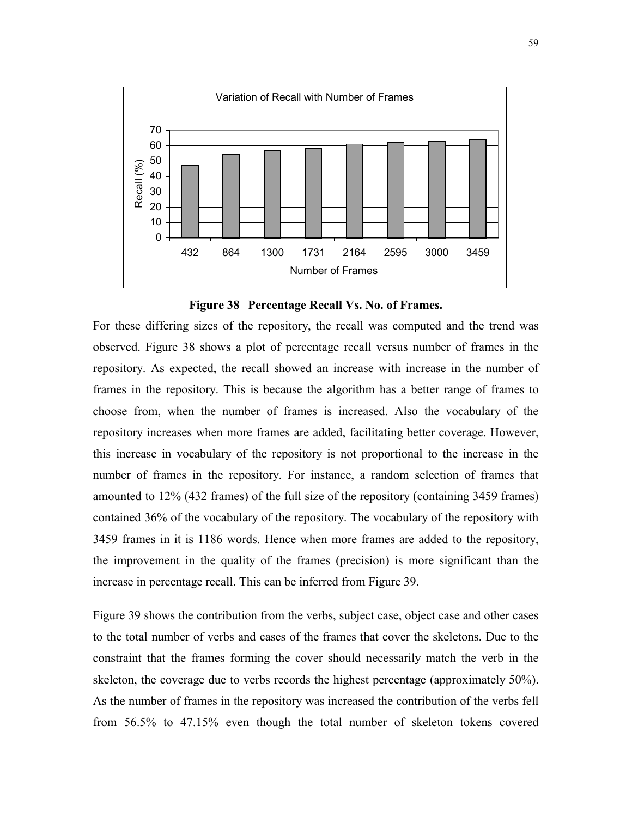

**Figure 38 Percentage Recall Vs. No. of Frames.** 

For these differing sizes of the repository, the recall was computed and the trend was observed. Figure 38 shows a plot of percentage recall versus number of frames in the repository. As expected, the recall showed an increase with increase in the number of frames in the repository. This is because the algorithm has a better range of frames to choose from, when the number of frames is increased. Also the vocabulary of the repository increases when more frames are added, facilitating better coverage. However, this increase in vocabulary of the repository is not proportional to the increase in the number of frames in the repository. For instance, a random selection of frames that amounted to 12% (432 frames) of the full size of the repository (containing 3459 frames) contained 36% of the vocabulary of the repository. The vocabulary of the repository with 3459 frames in it is 1186 words. Hence when more frames are added to the repository, the improvement in the quality of the frames (precision) is more significant than the increase in percentage recall. This can be inferred from Figure 39.

Figure 39 shows the contribution from the verbs, subject case, object case and other cases to the total number of verbs and cases of the frames that cover the skeletons. Due to the constraint that the frames forming the cover should necessarily match the verb in the skeleton, the coverage due to verbs records the highest percentage (approximately 50%). As the number of frames in the repository was increased the contribution of the verbs fell from 56.5% to 47.15% even though the total number of skeleton tokens covered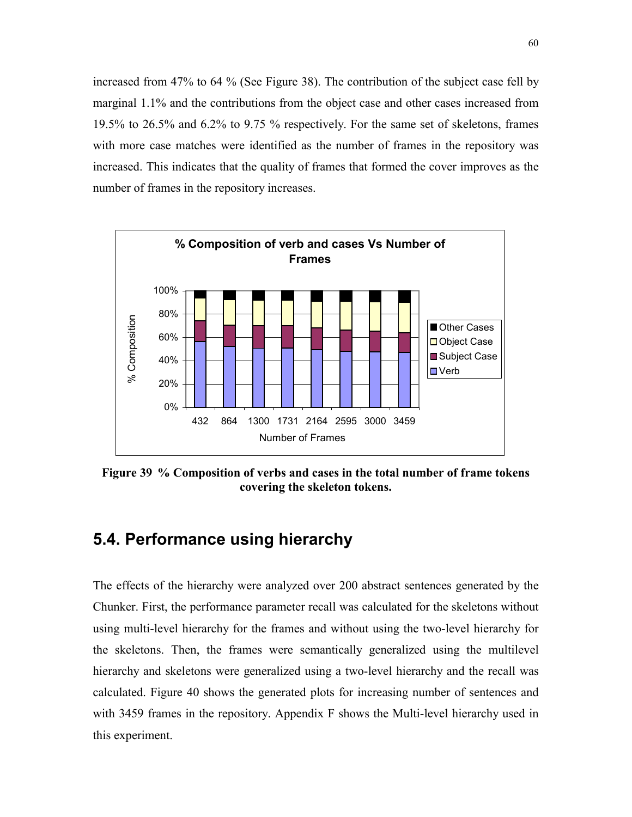increased from 47% to 64 % (See Figure 38). The contribution of the subject case fell by marginal 1.1% and the contributions from the object case and other cases increased from 19.5% to 26.5% and 6.2% to 9.75 % respectively. For the same set of skeletons, frames with more case matches were identified as the number of frames in the repository was increased. This indicates that the quality of frames that formed the cover improves as the number of frames in the repository increases.



**Figure 39 % Composition of verbs and cases in the total number of frame tokens covering the skeleton tokens.** 

# **5.4. Performance using hierarchy**

The effects of the hierarchy were analyzed over 200 abstract sentences generated by the Chunker. First, the performance parameter recall was calculated for the skeletons without using multi-level hierarchy for the frames and without using the two-level hierarchy for the skeletons. Then, the frames were semantically generalized using the multilevel hierarchy and skeletons were generalized using a two-level hierarchy and the recall was calculated. Figure 40 shows the generated plots for increasing number of sentences and with 3459 frames in the repository. Appendix F shows the Multi-level hierarchy used in this experiment.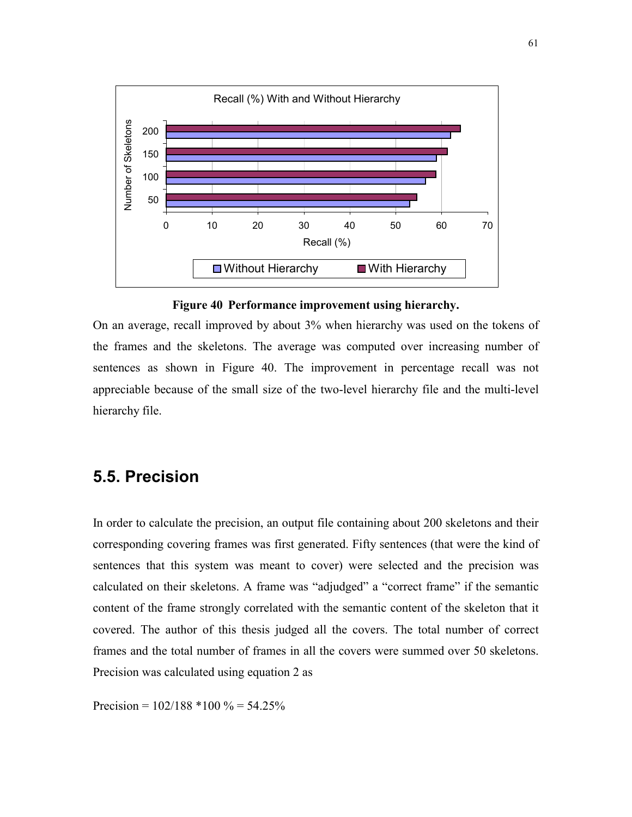

**Figure 40 Performance improvement using hierarchy.** 

On an average, recall improved by about 3% when hierarchy was used on the tokens of the frames and the skeletons. The average was computed over increasing number of sentences as shown in Figure 40. The improvement in percentage recall was not appreciable because of the small size of the two-level hierarchy file and the multi-level hierarchy file.

# **5.5. Precision**

In order to calculate the precision, an output file containing about 200 skeletons and their corresponding covering frames was first generated. Fifty sentences (that were the kind of sentences that this system was meant to cover) were selected and the precision was calculated on their skeletons. A frame was "adjudged" a "correct frame" if the semantic content of the frame strongly correlated with the semantic content of the skeleton that it covered. The author of this thesis judged all the covers. The total number of correct frames and the total number of frames in all the covers were summed over 50 skeletons. Precision was calculated using equation 2 as

Precision =  $102/188 * 100 \% = 54.25%$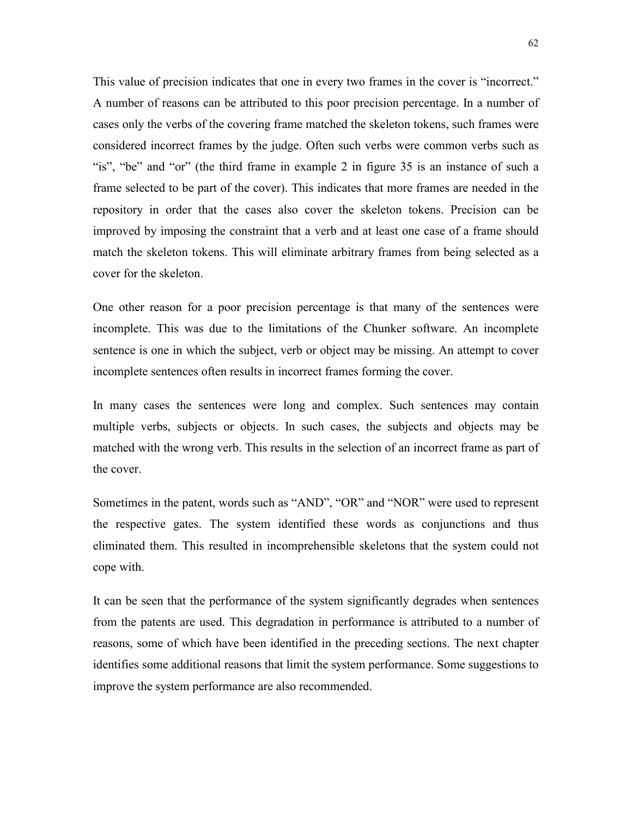This value of precision indicates that one in every two frames in the cover is "incorrect." A number of reasons can be attributed to this poor precision percentage. In a number of cases only the verbs of the covering frame matched the skeleton tokens, such frames were considered incorrect frames by the judge. Often such verbs were common verbs such as "is", "be" and "or" (the third frame in example 2 in figure  $35$  is an instance of such a frame selected to be part of the cover). This indicates that more frames are needed in the repository in order that the cases also cover the skeleton tokens. Precision can be improved by imposing the constraint that a verb and at least one case of a frame should match the skeleton tokens. This will eliminate arbitrary frames from being selected as a cover for the skeleton.

One other reason for a poor precision percentage is that many of the sentences were incomplete. This was due to the limitations of the Chunker software. An incomplete sentence is one in which the subject, verb or object may be missing. An attempt to cover incomplete sentences often results in incorrect frames forming the cover.

In many cases the sentences were long and complex. Such sentences may contain multiple verbs, subjects or objects. In such cases, the subjects and objects may be matched with the wrong verb. This results in the selection of an incorrect frame as part of the cover.

Sometimes in the patent, words such as "AND", "OR" and "NOR" were used to represent the respective gates. The system identified these words as conjunctions and thus eliminated them. This resulted in incomprehensible skeletons that the system could not cope with.

It can be seen that the performance of the system significantly degrades when sentences from the patents are used. This degradation in performance is attributed to a number of reasons, some of which have been identified in the preceding sections. The next chapter identifies some additional reasons that limit the system performance. Some suggestions to improve the system performance are also recommended.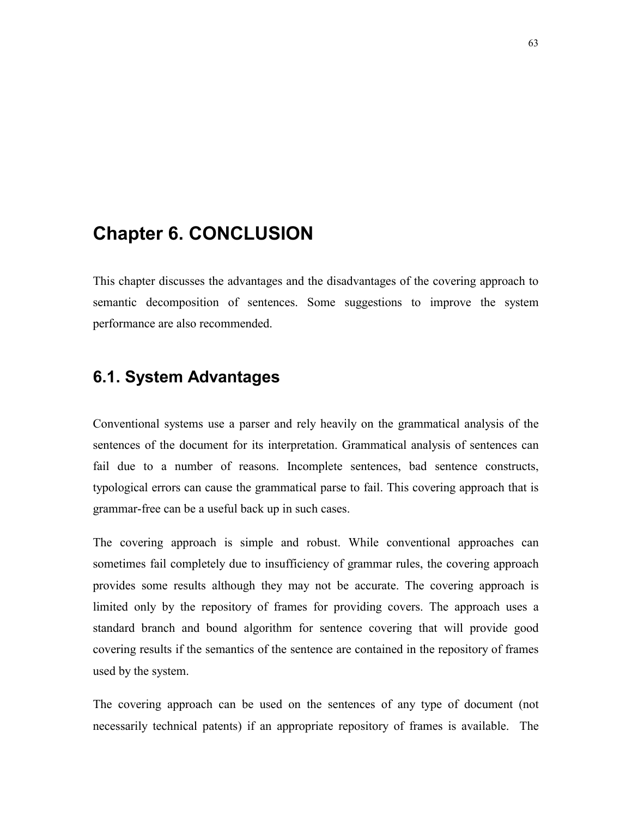# **Chapter 6. CONCLUSION**

This chapter discusses the advantages and the disadvantages of the covering approach to semantic decomposition of sentences. Some suggestions to improve the system performance are also recommended.

# **6.1. System Advantages**

Conventional systems use a parser and rely heavily on the grammatical analysis of the sentences of the document for its interpretation. Grammatical analysis of sentences can fail due to a number of reasons. Incomplete sentences, bad sentence constructs, typological errors can cause the grammatical parse to fail. This covering approach that is grammar-free can be a useful back up in such cases.

The covering approach is simple and robust. While conventional approaches can sometimes fail completely due to insufficiency of grammar rules, the covering approach provides some results although they may not be accurate. The covering approach is limited only by the repository of frames for providing covers. The approach uses a standard branch and bound algorithm for sentence covering that will provide good covering results if the semantics of the sentence are contained in the repository of frames used by the system.

The covering approach can be used on the sentences of any type of document (not necessarily technical patents) if an appropriate repository of frames is available. The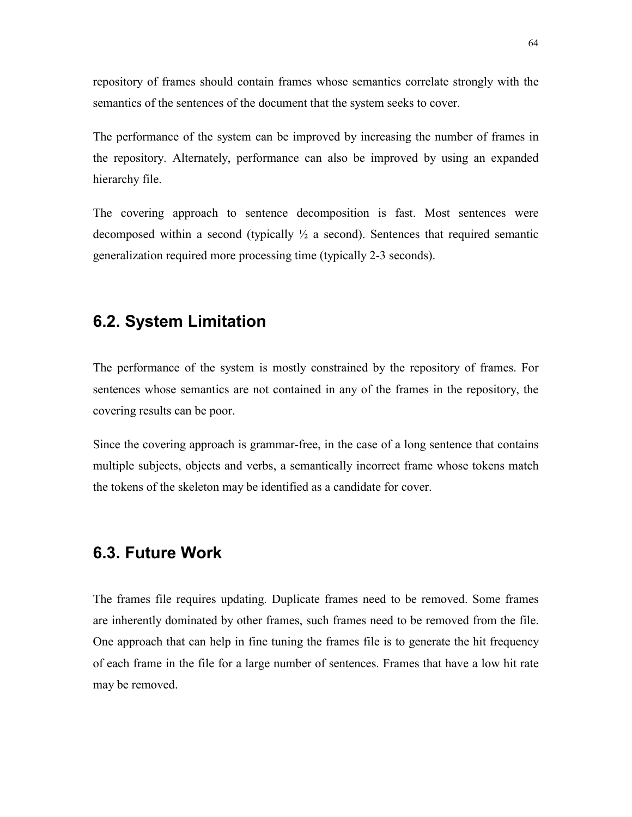repository of frames should contain frames whose semantics correlate strongly with the semantics of the sentences of the document that the system seeks to cover.

The performance of the system can be improved by increasing the number of frames in the repository. Alternately, performance can also be improved by using an expanded hierarchy file.

The covering approach to sentence decomposition is fast. Most sentences were decomposed within a second (typically  $\frac{1}{2}$  a second). Sentences that required semantic generalization required more processing time (typically 2-3 seconds).

# **6.2. System Limitation**

The performance of the system is mostly constrained by the repository of frames. For sentences whose semantics are not contained in any of the frames in the repository, the covering results can be poor.

Since the covering approach is grammar-free, in the case of a long sentence that contains multiple subjects, objects and verbs, a semantically incorrect frame whose tokens match the tokens of the skeleton may be identified as a candidate for cover.

# **6.3. Future Work**

The frames file requires updating. Duplicate frames need to be removed. Some frames are inherently dominated by other frames, such frames need to be removed from the file. One approach that can help in fine tuning the frames file is to generate the hit frequency of each frame in the file for a large number of sentences. Frames that have a low hit rate may be removed.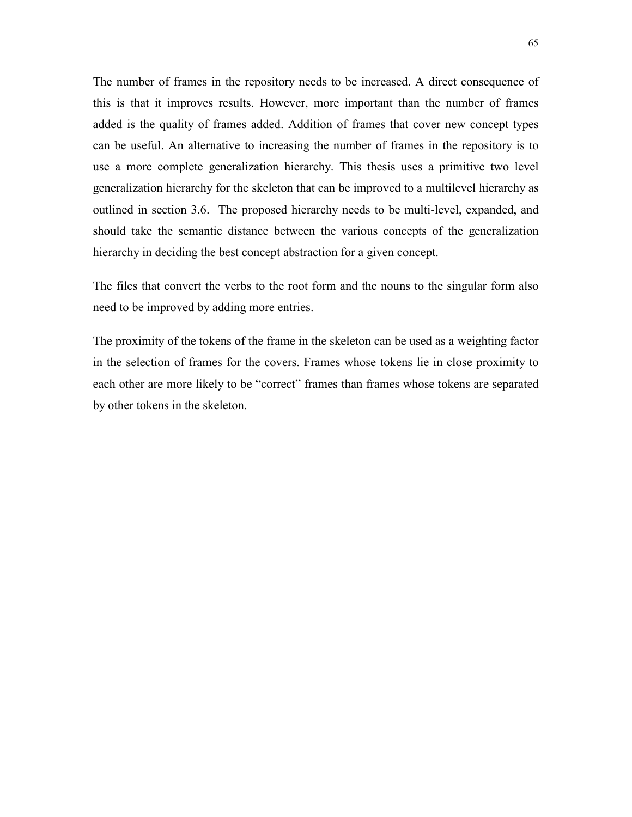The number of frames in the repository needs to be increased. A direct consequence of this is that it improves results. However, more important than the number of frames added is the quality of frames added. Addition of frames that cover new concept types can be useful. An alternative to increasing the number of frames in the repository is to use a more complete generalization hierarchy. This thesis uses a primitive two level generalization hierarchy for the skeleton that can be improved to a multilevel hierarchy as outlined in section 3.6. The proposed hierarchy needs to be multi-level, expanded, and should take the semantic distance between the various concepts of the generalization hierarchy in deciding the best concept abstraction for a given concept.

The files that convert the verbs to the root form and the nouns to the singular form also need to be improved by adding more entries.

The proximity of the tokens of the frame in the skeleton can be used as a weighting factor in the selection of frames for the covers. Frames whose tokens lie in close proximity to each other are more likely to be "correct" frames than frames whose tokens are separated by other tokens in the skeleton.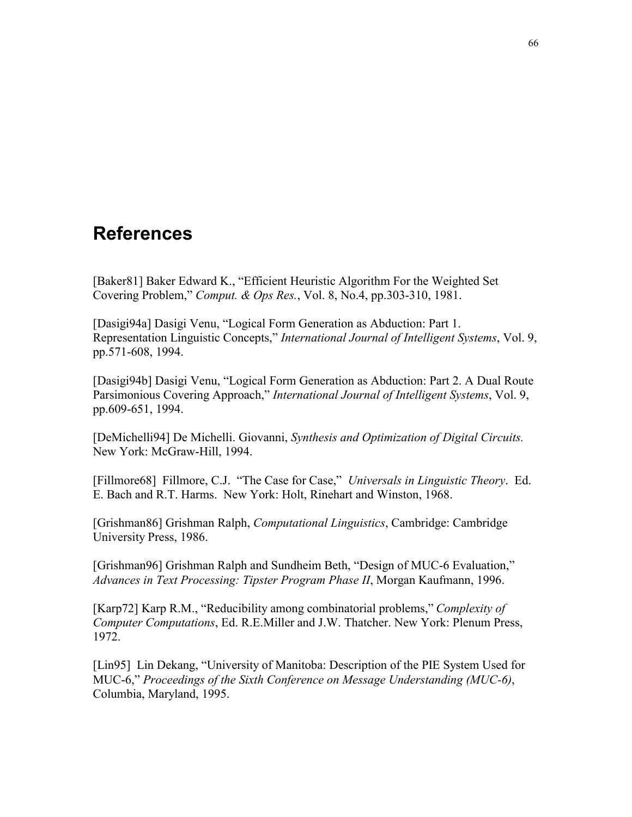## **References**

[Baker81] Baker Edward K., "Efficient Heuristic Algorithm For the Weighted Set Covering Problem,î *Comput. & Ops Res.*, Vol. 8, No.4, pp.303-310, 1981.

[Dasigi94a] Dasigi Venu, "Logical Form Generation as Abduction: Part 1. Representation Linguistic Concepts," *International Journal of Intelligent Systems*, Vol. 9, pp.571-608, 1994.

[Dasigi94b] Dasigi Venu, "Logical Form Generation as Abduction: Part 2. A Dual Route Parsimonious Covering Approach," *International Journal of Intelligent Systems*, Vol. 9, pp.609-651, 1994.

[DeMichelli94] De Michelli. Giovanni, *Synthesis and Optimization of Digital Circuits.*  New York: McGraw-Hill, 1994.

[Fillmore68] Fillmore, C.J. "The Case for Case," *Universals in Linguistic Theory*. Ed. E. Bach and R.T. Harms. New York: Holt, Rinehart and Winston, 1968.

[Grishman86] Grishman Ralph, *Computational Linguistics*, Cambridge: Cambridge University Press, 1986.

[Grishman96] Grishman Ralph and Sundheim Beth, "Design of MUC-6 Evaluation," *Advances in Text Processing: Tipster Program Phase II*, Morgan Kaufmann, 1996.

[Karp72] Karp R.M., "Reducibility among combinatorial problems," *Complexity of Computer Computations*, Ed. R.E.Miller and J.W. Thatcher. New York: Plenum Press, 1972.

[Lin95] Lin Dekang, "University of Manitoba: Description of the PIE System Used for MUC-6,î *Proceedings of the Sixth Conference on Message Understanding (MUC-6)*, Columbia, Maryland, 1995.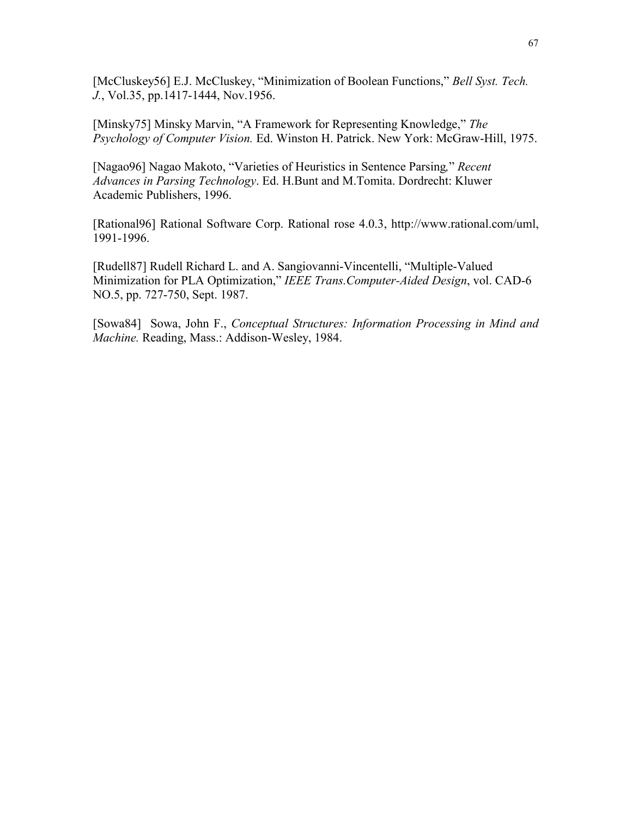[McCluskey56] E.J. McCluskey, "Minimization of Boolean Functions," *Bell Syst. Tech. J.*, Vol.35, pp.1417-1444, Nov.1956.

[Minsky75] Minsky Marvin, "A Framework for Representing Knowledge," The *Psychology of Computer Vision.* Ed. Winston H. Patrick. New York: McGraw-Hill, 1975.

[Nagao96] Nagao Makoto, "Varieties of Heuristics in Sentence Parsing," Recent *Advances in Parsing Technology*. Ed. H.Bunt and M.Tomita. Dordrecht: Kluwer Academic Publishers, 1996.

[Rational96] Rational Software Corp. Rational rose 4.0.3, http://www.rational.com/uml, 1991-1996.

[Rudell87] Rudell Richard L. and A. Sangiovanni-Vincentelli, "Multiple-Valued Minimization for PLA Optimization," *IEEE Trans.Computer-Aided Design*, vol. CAD-6 NO.5, pp. 727-750, Sept. 1987.

[Sowa84] Sowa, John F., *Conceptual Structures: Information Processing in Mind and Machine.* Reading, Mass.: Addison-Wesley, 1984.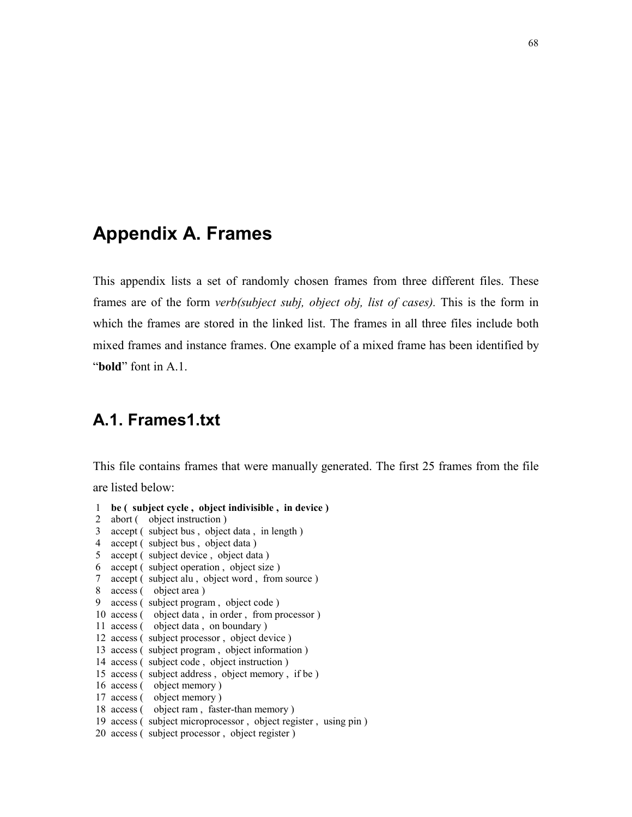#### **Appendix A. Frames**

This appendix lists a set of randomly chosen frames from three different files. These frames are of the form *verb(subject subj, object obj, list of cases).* This is the form in which the frames are stored in the linked list. The frames in all three files include both mixed frames and instance frames. One example of a mixed frame has been identified by *<u><b>*bold<sup></sup> font in A.1.</u>

#### **A.1. Frames1.txt**

This file contains frames that were manually generated. The first 25 frames from the file are listed below:

```
 1 be ( subject cycle , object indivisible , in device ) 2 abort ( object instruction )
 3 accept ( subject bus , object data , in length ) 
 4 accept ( subject bus , object data ) 
 5 accept ( subject device , object data ) 
 6 accept ( subject operation , object size ) 
 7 accept ( subject alu , object word , from source ) 
 8 access ( object area ) 
 9 access ( subject program , object code ) 
 10 access ( object data , in order , from processor ) 
 11 access ( object data , on boundary ) 
 12 access ( subject processor , object device ) 
 13 access ( subject program , object information ) 
 14 access ( subject code , object instruction ) 
 15 access ( subject address , object memory , if be ) 
 16 access ( object memory ) 
 17 access ( object memory ) 
 18 access ( object ram , faster-than memory ) 
 19 access ( subject microprocessor , object register , using pin ) 
 20 access ( subject processor , object register )
```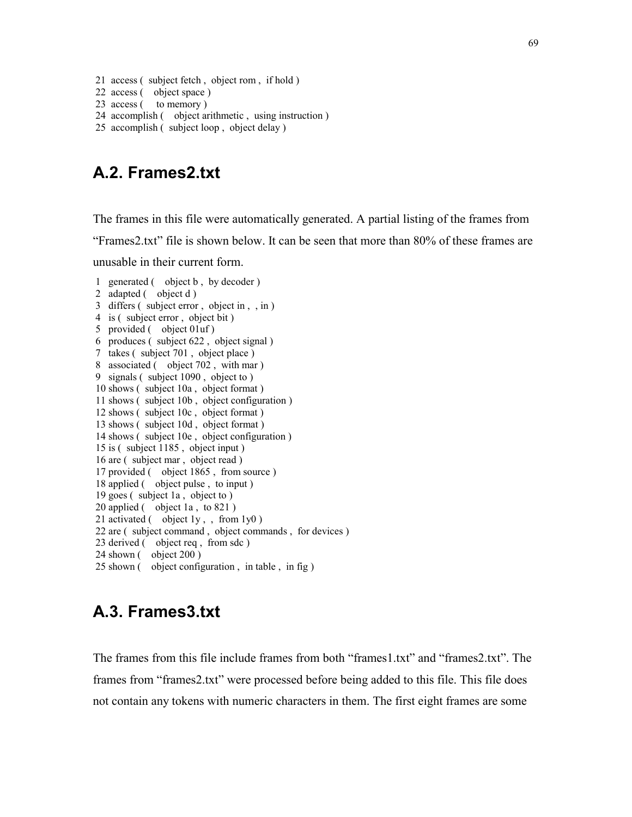21 access ( subject fetch , object rom , if hold )

```
 22 access ( object space )
```

```
23 access ( to memory )
```
- 24 accomplish ( object arithmetic , using instruction )
- 25 accomplish ( subject loop , object delay )

#### **A.2. Frames2.txt**

The frames in this file were automatically generated. A partial listing of the frames from ìFrames2.txtî file is shown below. It can be seen that more than 80% of these frames are unusable in their current form.

```
 1 generated ( object b , by decoder ) 
 2 adapted ( object d ) 
 3 differs ( subject error , object in , , in ) 
 4 is ( subject error , object bit ) 
 5 provided ( object 01uf ) 
 6 produces ( subject 622 , object signal ) 
 7 takes ( subject 701 , object place ) 
 8 associated ( object 702 , with mar ) 
 9 signals ( subject 1090 , object to ) 
 10 shows ( subject 10a , object format ) 
 11 shows ( subject 10b , object configuration ) 
 12 shows ( subject 10c , object format ) 
 13 shows ( subject 10d , object format ) 
 14 shows ( subject 10e , object configuration ) 
 15 is ( subject 1185 , object input ) 
 16 are ( subject mar , object read ) 
 17 provided ( object 1865 , from source ) 
 18 applied ( object pulse , to input ) 
 19 goes ( subject 1a , object to ) 
 20 applied ( object 1a , to 821 ) 
21 activated ( object 1y, from 1y0)
 22 are ( subject command , object commands , for devices ) 
 23 derived ( object req , from sdc ) 
 24 shown ( object 200 ) 
 25 shown ( object configuration , in table , in fig )
```
#### **A.3. Frames3.txt**

The frames from this file include frames from both "frames1.txt" and "frames2.txt". The frames from "frames2.txt" were processed before being added to this file. This file does not contain any tokens with numeric characters in them. The first eight frames are some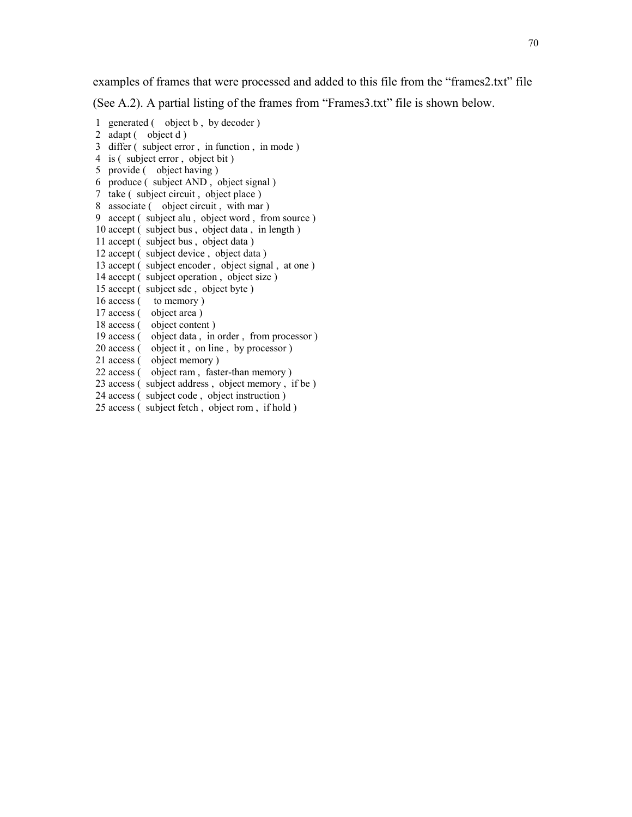examples of frames that were processed and added to this file from the "frames2.txt" file

(See A.2). A partial listing of the frames from "Frames $3.txt$ " file is shown below.

 1 generated ( object b , by decoder ) 2 adapt ( object d ) 3 differ ( subject error , in function , in mode ) 4 is ( subject error , object bit ) 5 provide ( object having ) 6 produce ( subject AND , object signal ) 7 take ( subject circuit , object place ) 8 associate ( object circuit , with mar ) 9 accept ( subject alu , object word , from source ) 10 accept ( subject bus , object data , in length ) 11 accept ( subject bus , object data ) 12 accept ( subject device , object data ) 13 accept ( subject encoder , object signal , at one ) 14 accept ( subject operation , object size ) 15 accept ( subject sdc , object byte ) 16 access ( to memory ) 17 access ( object area ) 18 access ( object content ) 19 access ( object data , in order , from processor ) 20 access ( object it, on line, by processor)<br>21 access ( object memory) object memory ) 22 access ( object ram , faster-than memory ) 23 access ( subject address , object memory , if be ) 24 access ( subject code , object instruction ) 25 access ( subject fetch , object rom , if hold )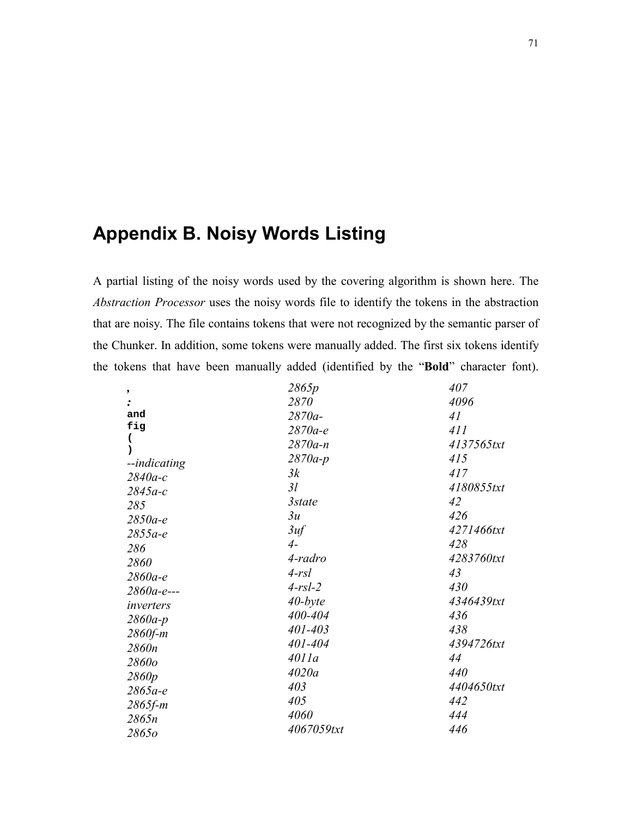## **Appendix B. Noisy Words Listing**

A partial listing of the noisy words used by the covering algorithm is shown here. The Abstraction Processor uses the noisy words file to identify the tokens in the abstraction that are noisy. The file contains tokens that were not recognized by the semantic parser of the Chunker. In addition, some tokens were manually added. The first six tokens identify the tokens that have been manually added (identified by the "Bold" character font).

| ,            | 2865p       | 407        |
|--------------|-------------|------------|
|              | 2870        | 4096       |
| and          | 2870a-      | 41         |
| fig          | $2870a-e$   | 411        |
|              | $2870a - n$ | 4137565txt |
| --indicating | $2870a-p$   | 415        |
| $2840a-c$    | 3k          | 417        |
| $2845a-c$    | 3l          | 4180855txt |
| 285          | 3state      | 42         |
| $2850a-e$    | 3u          | 426        |
| $2855a-e$    | 3uf         | 4271466txt |
| 286          | $4-$        | 428        |
| 2860         | 4-radro     | 4283760txt |
| $2860a-e$    | $4-rsl$     | 43         |
| 2860a-e---   | $4-rsl-2$   | 430        |
| inverters    | $40$ -byte  | 4346439txt |
| $2860a-p$    | 400-404     | 436        |
| $2860 f-m$   | 401-403     | 438        |
| 2860n        | 401-404     | 4394726txt |
| 2860o        | 4011a       | 44         |
| 2860p        | 4020a       | 440        |
| $2865a-e$    | 403         | 4404650txt |
| $2865 f-m$   | 405         | 442        |
| 2865n        | 4060        | 444        |
| 28650        | 4067059txt  | 446        |
|              |             |            |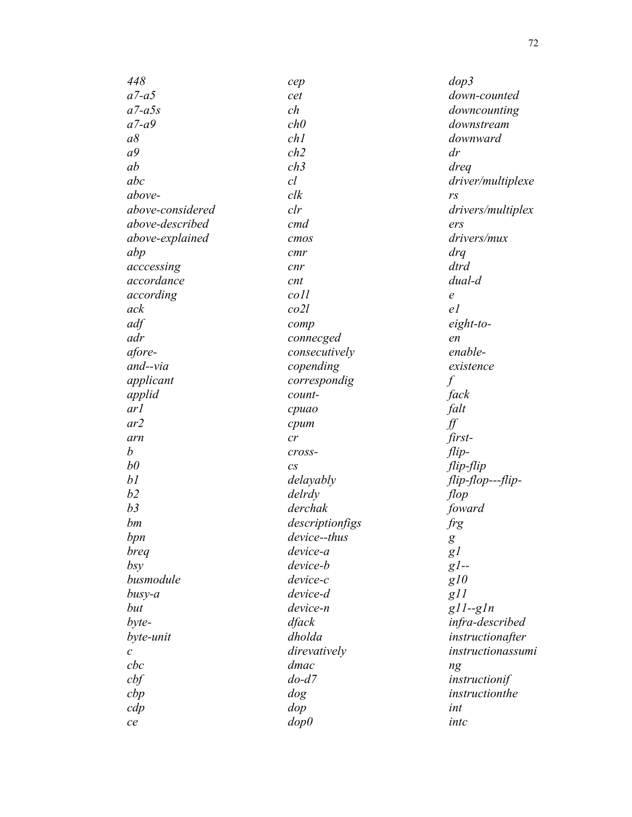| 448              | cep              | $d$ op $3$        |
|------------------|------------------|-------------------|
| $a7-a5$          | cet              | down-counted      |
| $a7-a5s$         | ch               | downcounting      |
| $a7-a9$          | ch0              | downstream        |
| $a\delta$        | ch1              | downward          |
| a <sup>9</sup>   | ch2              | dr                |
| ab               | ch3              | dreq              |
| abc              | cl               | driver/multiplexe |
| above-           | clk              | rs                |
| above-considered | clr              | drivers/multiplex |
| above-described  | cmd              | ers               |
| above-explained  | cmos             | drivers/mux       |
| abp              | cmr              | drq               |
| acccessing       | cnr              | dtrd              |
| accordance       | cnt              | dual-d            |
| according        | $\frac{coll}{L}$ | $\epsilon$        |
| ack              | col2l            | el                |
| adf              | comp             | eight-to-         |
| adr              | connecged        | en                |
| afore-           | consecutively    | enable-           |
| and--via         | copending        | existence         |
| applicant        | correspondig     | $\int$            |
| applid           | count-           | fack              |
| ar l             | cpuao            | falt              |
| ar2              | cpum             | ∬                 |
| arn              | cr               | first-            |
| $\boldsymbol{b}$ | cross-           | $flip-$           |
| $b\theta$        | $\mathcal{C}S$   | flip-flip         |
| bl               | delayably        | flip-flop---flip- |
| b2               | delrdy           | flop              |
| b3               | derchak          | foward            |
| bm               | descriptionfigs  | frg               |
| bpn              | device--thus     |                   |
| breg             | device-a         | g                 |
| bsy              | device-b         | gl<br>$gl-$       |
| busmodule        | device-c         | g10               |
|                  | device-d         |                   |
| busy-a           | device-n         | g11<br>$g11-g1n$  |
| but              |                  |                   |
| byte-            | dfack            | infra-described   |
| byte-unit        | dholda           | instructionafter  |
| $\mathcal C$     | direvatively     | instructionassumi |
| $_{cbc}$         | dmac             | ng                |
| cbf              | $do-d7$          | instructionif     |
| cbp              | dog              | instructionthe    |
| cdp              | dop              | int               |
| ce               | dop0             | intc              |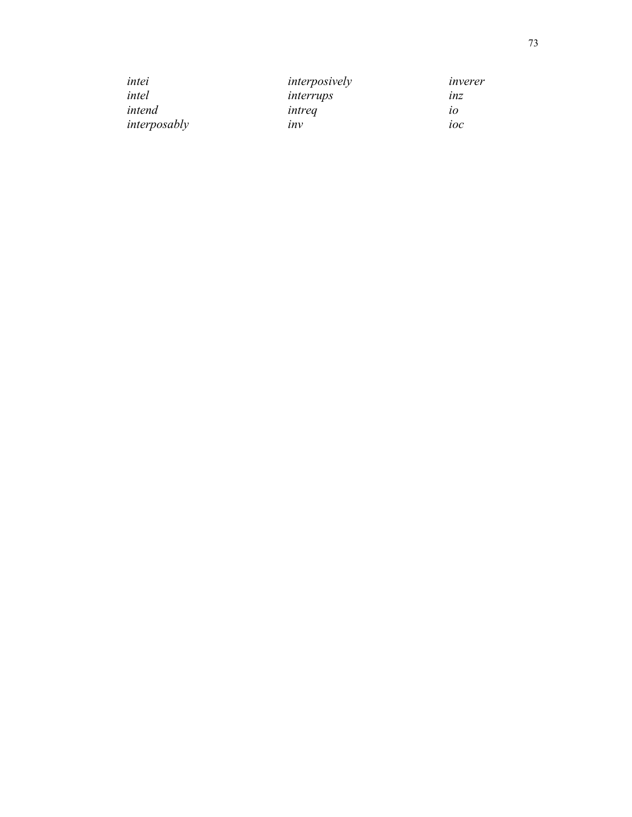| intei        | interposively | inverer |
|--------------|---------------|---------|
| intel        | interrups     | lnz     |
| intend       | intrea        | 10      |
| interposably | inv           | ioc     |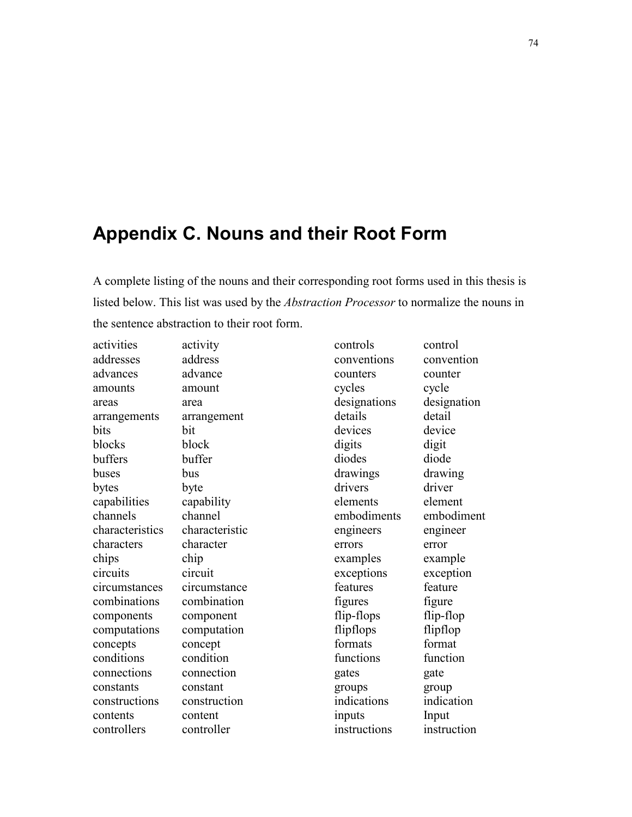## **Appendix C. Nouns and their Root Form**

A complete listing of the nouns and their corresponding root forms used in this thesis is listed below. This list was used by the *Abstraction Processor* to normalize the nouns in the sentence abstraction to their root form.

activities activity addresses address advances advance amounts amount areas area arrangements arrangement bits bit blocks block buffers buffer buses bus bytes byte capabilities capability channels channel characteristics characteristic characters character chips chip circuits circuit circumstances circumstance combinations combination components component computations computation concepts concept conditions condition connections connection constants constant constructions construction contents content controllers controller

controls control conventions convention counters counter cycles cycle designations designation details detail devices device digits digit diodes diode drawings drawing drivers driver elements element embodiments embodiment engineers engineer errors error examples example exceptions exception features feature figures figure flip-flops flip-flop flipflops flipflop formats format functions function gates gate groups group indications indication inputs Input instructions instruction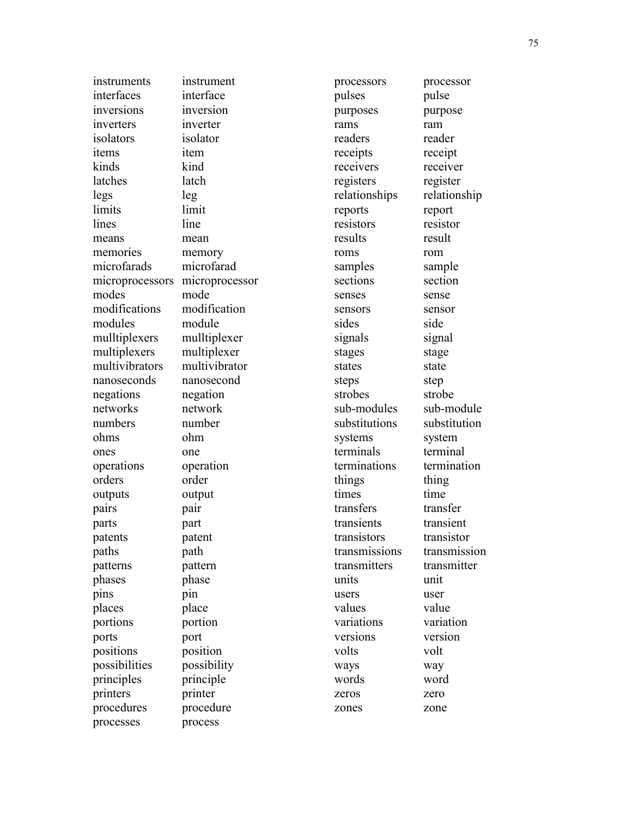| instruments     | instrument     | processors    | processor    |
|-----------------|----------------|---------------|--------------|
| interfaces      | interface      | pulses        | pulse        |
| inversions      | inversion      | purposes      | purpose      |
| inverters       | inverter       | rams          | ram          |
| isolators       | isolator       | readers       | reader       |
| items           | item           | receipts      | receipt      |
| kinds           | kind           | receivers     | receiver     |
| latches         | latch          | registers     | register     |
| legs            | leg            | relationships | relationship |
| limits          | limit          | reports       | report       |
| lines           | line           | resistors     | resistor     |
| means           | mean           | results       | result       |
| memories        | memory         | roms          | rom          |
| microfarads     | microfarad     | samples       | sample       |
| microprocessors | microprocessor | sections      | section      |
| modes           | mode           | senses        | sense        |
| modifications   | modification   | sensors       | sensor       |
| modules         | module         | sides         | side         |
| mulltiplexers   | mulltiplexer   | signals       | signal       |
| multiplexers    | multiplexer    | stages        | stage        |
| multivibrators  | multivibrator  | states        | state        |
| nanoseconds     | nanosecond     | steps         | step         |
| negations       | negation       | strobes       | strobe       |
| networks        | network        | sub-modules   | sub-module   |
| numbers         | number         | substitutions | substitution |
| ohms            | ohm            | systems       | system       |
| ones            | one            | terminals     | terminal     |
| operations      | operation      | terminations  | termination  |
| orders          | order          | things        | thing        |
| outputs         | output         | times         | time         |
| pairs           | pair           | transfers     | transfer     |
| parts           | part           | transients    | transient    |
| patents         | patent         | transistors   | transistor   |
| paths           | path           | transmissions | transmission |
| patterns        | pattern        | transmitters  | transmitter  |
| phases          | phase          | units         | unit         |
| pins            | pin            | users         | user         |
| places          | place          | values        | value        |
| portions        | portion        | variations    | variation    |
| ports           | port           | versions      | version      |
| positions       | position       | volts         | volt         |
| possibilities   | possibility    | ways          | way          |
| principles      | principle      | words         | word         |
| printers        | printer        | zeros         | zero         |
| procedures      | procedure      | zones         | zone         |
| processes       | process        |               |              |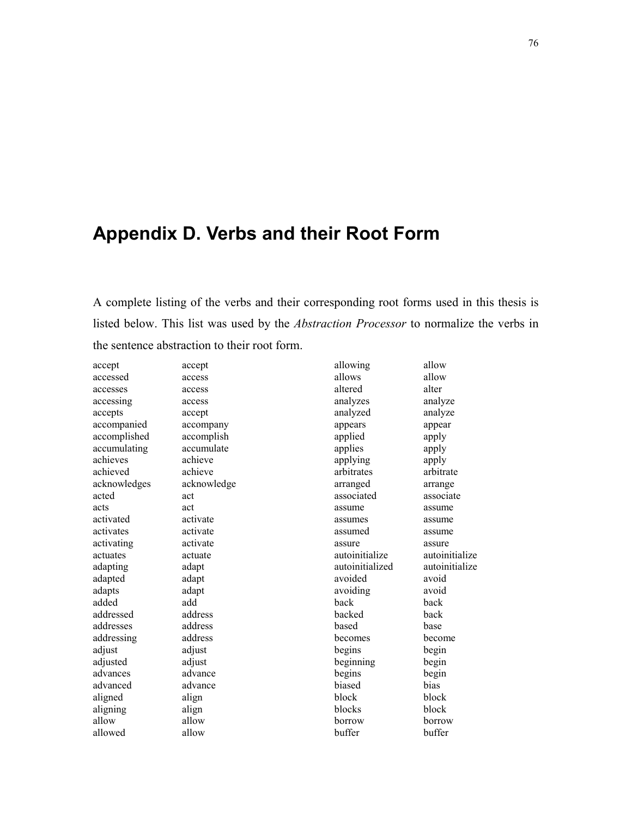# **Appendix D. Verbs and their Root Form**

A complete listing of the verbs and their corresponding root forms used in this thesis is listed below. This list was used by the *Abstraction Processor* to normalize the verbs in the sentence abstraction to their root form.

| accept       | accept      | allowing        | allow          |
|--------------|-------------|-----------------|----------------|
| accessed     | access      | allows          | allow          |
| accesses     | access      | altered         | alter          |
| accessing    | access      | analyzes        | analyze        |
| accepts      | accept      | analyzed        | analyze        |
| accompanied  | accompany   | appears         | appear         |
| accomplished | accomplish  | applied         | apply          |
| accumulating | accumulate  | applies         | apply          |
| achieves     | achieve     | applying        | apply          |
| achieved     | achieve     | arbitrates      | arbitrate      |
| acknowledges | acknowledge | arranged        | arrange        |
| acted        | act         | associated      | associate      |
| acts         | act         | assume          | assume         |
| activated    | activate    | assumes         | assume         |
| activates    | activate    | assumed         | assume         |
| activating   | activate    | assure          | assure         |
| actuates     | actuate     | autoinitialize  | autoinitialize |
| adapting     | adapt       | autoinitialized | autoinitialize |
| adapted      | adapt       | avoided         | avoid          |
| adapts       | adapt       | avoiding        | avoid          |
| added        | add         | back            | back           |
| addressed    | address     | backed          | back           |
| addresses    | address     | based           | base           |
| addressing   | address     | becomes         | become         |
| adjust       | adjust      | begins          | begin          |
| adjusted     | adjust      | beginning       | begin          |
| advances     | advance     | begins          | begin          |
| advanced     | advance     | biased          | bias           |
| aligned      | align       | block           | block          |
| aligning     | align       | blocks          | block          |
| allow        | allow       | borrow          | borrow         |
| allowed      | allow       | buffer          | buffer         |
|              |             |                 |                |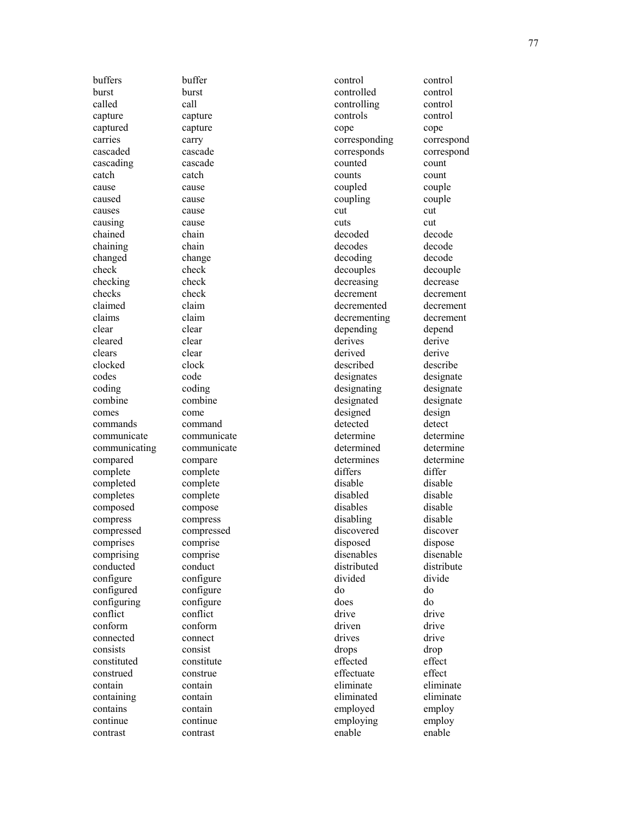buffers buffer burst burst called call capture capture captured capture carries carry cascaded cascade cascading cascade catch catch cause cause caused cause causes cause causing cause chained chain chaining chain changed change check check checking check checks check claimed claim claims claim clear clear cleared clear clears clear clocked clock codes code coding coding combine combine comes come commands command communicate communicate communicating communicate compared compare complete complete completed complete completes complete composed compose compress compress compressed compressed comprises comprise comprising comprise conducted conduct configure configure configured configure configuring configure conflict conflict conform conform connected connect consists consist constituted constitute construed construe contain contain containing contain contains contain continue continue contrast contrast

control control controlled control controlling control controls control cope cope corresponding correspond corresponds correspond counted count counts count coupled couple coupling couple cut cut cuts cut decoded decode decodes decode decoding decode decouples decouple decreasing decrease decrement decrement decremented decrement decrementing decrement depending depend derives derive derived derive described describe designates designate designating designate designated designate designed design detected detect determine determine determined determine determines determine differs differ disable disable disabled disable disables disable disabling disable discovered discover disposed dispose disenables disenable distributed distribute divided divide do do does do drive drive driven drive drives drive drops drop effected effect effectuate effect eliminate eliminate eliminated eliminate employed employ employing employ enable enable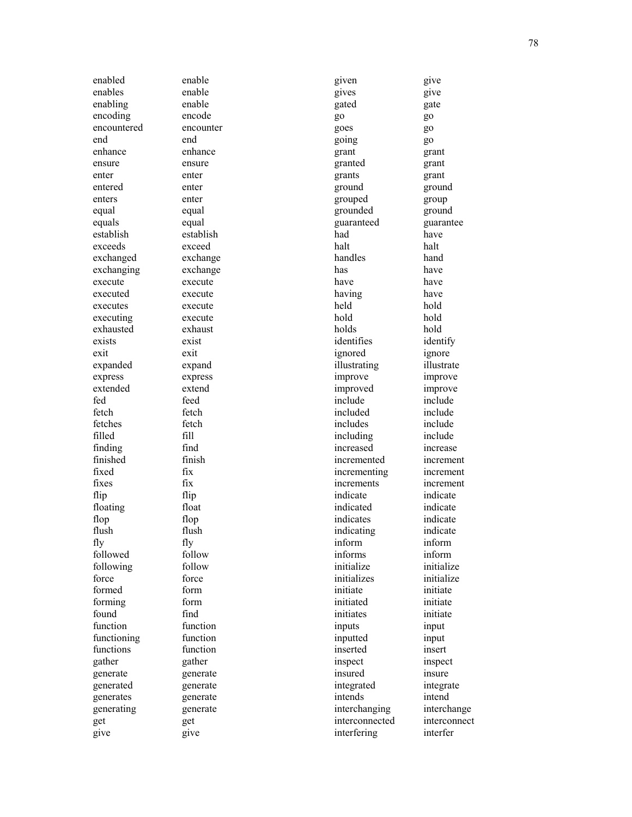enabled enable enables enable enabling enable encoding encode encountered encounter end end enhance enhance ensure ensure enter enter entered enter enters enter equal equal equals equal establish establish exceeds exceed exchanged exchange exchanging exchange execute execute executed execute executes execute executing execute exhausted exhaust exists exist exit exit expanded expand express express extended extend fed feed fetch fetch fetches fetch filled fill finding find finished finish fixed fix fixes fix flip flip floating float flop flop flush flush fly fly followed follow following follow force force formed form forming form found find function function functioning function functions function gather gather generate generate generated generate generates generate generating generate get get give give

given give gives give gated gate go go goes go going go grant grant granted grant grants grant ground ground grouped group grounded ground guaranteed guarantee had have halt halt handles hand has have have have having have held hold hold hold holds hold identifies identify ignored ignore illustrating illustrate improve improve improved improve include include included include includes include including include increased increase incremented increment incrementing increment increments increment indicate indicate indicated indicate indicates indicate indicating indicate inform inform informs inform initialize initialize<br>initializes initialize initializes initiate initiate initiated initiate initiates initiate inputs input inputted input inserted insert inspect inspect insured insure integrated integrate intends intend interchanging interchange interconnected interconnect interfering interfer

78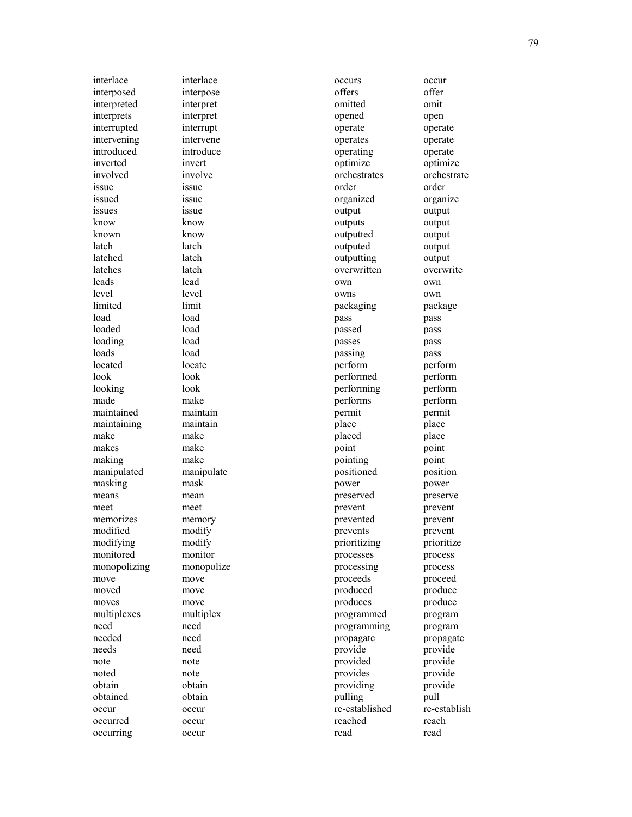interlace interlace interposed interpose interpreted interpret interprets interpret interrupted interrupt intervening intervene introduced introduce inverted invert involved involve issue issue issued issue issues issue know know known know latch latch latched latch latches latch leads lead level level limited limit load load loaded load loading load loads load located locate look look looking look made make maintained maintain maintaining maintain make make makes make making make<br>manipulated manipulate manipulated masking mask means mean meet meet memorizes memory modified modify modifying modify monitored monitor monopolizing monopolize move move moved move moves move multiplexes multiplex need need needed need needs need note note noted note obtain obtain obtained obtain occur occur occurred occur occurring occur

occurs occur offers offer omitted omit opened open operate operate operates operate operating operate optimize optimize orchestrates orchestrate order order organized organize output output outputs output outputted output outputed output outputting output overwritten overwrite own own owns own packaging package pass pass passed pass passes pass passing pass perform perform performed perform performing perform performs perform permit permit place place placed place point point pointing point positioned position power power preserved preserve prevent prevent prevented prevent prevents prevent prioritizing prioritize processes process processing process proceeds proceed produced produce produces produce programmed program programming program propagate propagate provide provide provided provide provides provide providing provide pulling pull re-established re-establish reached reach read read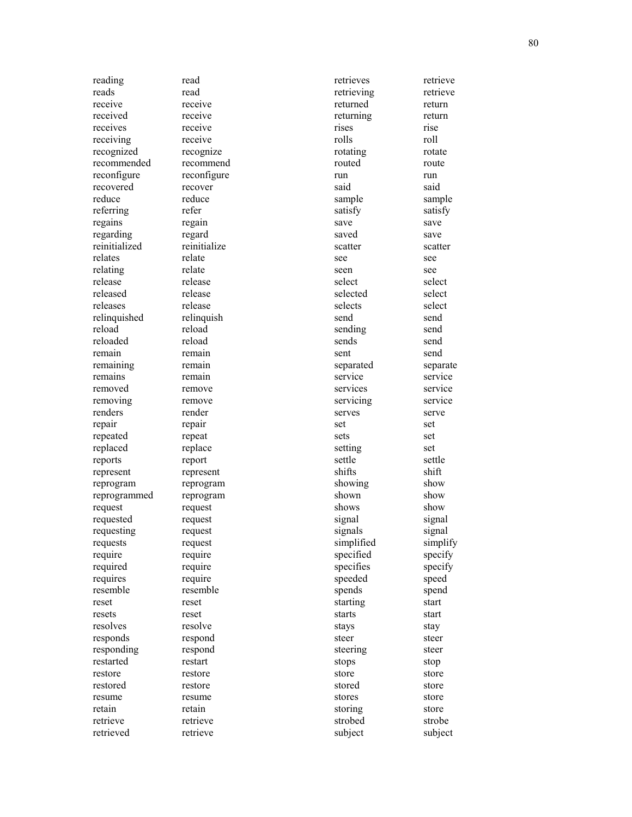reading read reads read receive receive received receive receives receive receiving receive recognized recognize recommended recommend reconfigure reconfigure recovered recover reduce reduce referring refer regains regain regarding regard reinitialized reinitialize relates relate relating relate release release released release releases release relinquished relinquish reload reload reloaded reload remain remain remaining remain remains remain removed remove removing remove renders render repair repair repeated repeat replaced replace reports report represent represent reprogram reprogram reprogrammed reprogram request request requested request requesting request requests request require require required require requires require resemble resemble reset reset resets reset resolves resolve responds respond responding respond restarted restart restore restore restored restore resume resume retain retain retrieve retrieve retrieved retrieve

retrieves retrieve retrieving retrieve returned return returning return rises rise rolls roll rotating rotate routed route run run said said sample sample satisfy satisfy save save saved save scatter scatter see see seen see select select selected select selects select send send sending send sends send sent send separated separate service service services service servicing service serves serve set set sets set setting set settle settle shifts shift showing show shown show shows show signal signal signals signal simplified simplify specified specify specifies specify speeded speed spends spend starting start starts start stays stay steer steer steering steer stops stop store store stored store stores store storing store strobed strobe subject subject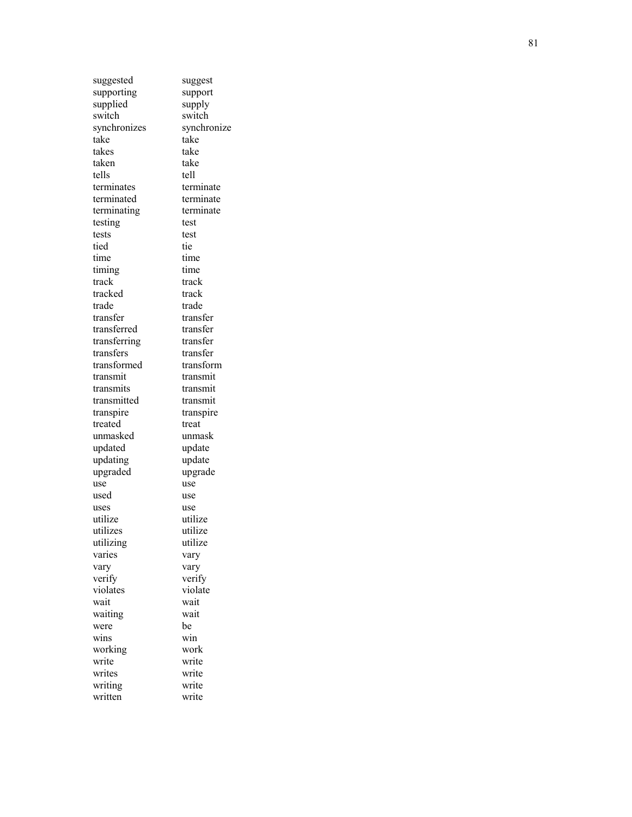| suggested       | suggest       |
|-----------------|---------------|
| supporting      | support       |
| supplied        | supply        |
| switch          | switch        |
| synchronizes    | synchronize   |
| take            | take          |
| takes           | take          |
| taken           | take          |
| tells           | tell          |
| terminates      | terminate     |
| terminated      | terminate     |
| terminating     | terminate     |
| testing         | test          |
| tests           | test          |
| tied            | tie           |
| time            | time          |
|                 |               |
| timing<br>track | time<br>track |
|                 |               |
| tracked         | track         |
| trade           | trade         |
| transfer        | transfer      |
| transferred     | transfer      |
| transferring    | transfer      |
| transfers       | transfer      |
| transformed     | transform     |
| transmit        | transmit      |
| transmits       | transmit      |
| transmitted     | transmit      |
| transpire       | transpire     |
| treated         | treat         |
| unmasked        | unmask        |
| updated         | update        |
| updating        | update        |
| upgraded        | upgrade       |
| use             | use           |
| used            | use           |
| uses            | use           |
| utilize         | utilize       |
| utilizes        | utilize       |
| utilizing       | utilize       |
| varies          | vary          |
| vary            | vary          |
| verify          | verify        |
| violates        | violate       |
| wait            | wait          |
| waiting         | wait          |
| were            | be            |
| wins            | win           |
| working         | work          |
| write           | write         |
| writes          | write         |
| writing         | write         |
| written         | write         |
|                 |               |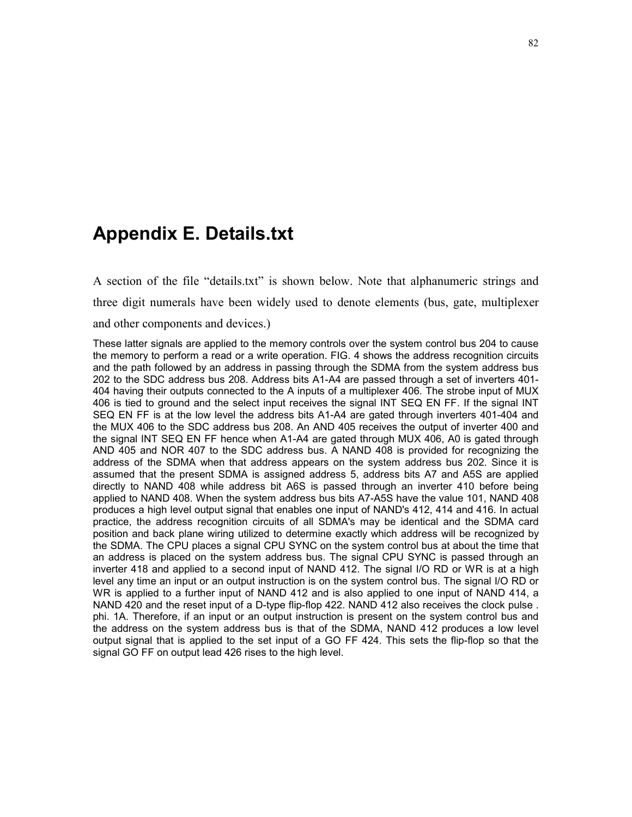#### **Appendix E. Details.txt**

A section of the file "details.txt" is shown below. Note that alphanumeric strings and three digit numerals have been widely used to denote elements (bus, gate, multiplexer

and other components and devices.)

These latter signals are applied to the memory controls over the system control bus 204 to cause the memory to perform a read or a write operation. FIG. 4 shows the address recognition circuits and the path followed by an address in passing through the SDMA from the system address bus 202 to the SDC address bus 208. Address bits A1-A4 are passed through a set of inverters 401- 404 having their outputs connected to the A inputs of a multiplexer 406. The strobe input of MUX 406 is tied to ground and the select input receives the signal INT SEQ EN FF. If the signal INT SEQ EN FF is at the low level the address bits A1-A4 are gated through inverters 401-404 and the MUX 406 to the SDC address bus 208. An AND 405 receives the output of inverter 400 and the signal INT SEQ EN FF hence when A1-A4 are gated through MUX 406, A0 is gated through AND 405 and NOR 407 to the SDC address bus. A NAND 408 is provided for recognizing the address of the SDMA when that address appears on the system address bus 202. Since it is assumed that the present SDMA is assigned address 5, address bits A7 and A5S are applied directly to NAND 408 while address bit A6S is passed through an inverter 410 before being applied to NAND 408. When the system address bus bits A7-A5S have the value 101, NAND 408 produces a high level output signal that enables one input of NAND's 412, 414 and 416. In actual practice, the address recognition circuits of all SDMA's may be identical and the SDMA card position and back plane wiring utilized to determine exactly which address will be recognized by the SDMA. The CPU places a signal CPU SYNC on the system control bus at about the time that an address is placed on the system address bus. The signal CPU SYNC is passed through an inverter 418 and applied to a second input of NAND 412. The signal I/O RD or WR is at a high level any time an input or an output instruction is on the system control bus. The signal I/O RD or WR is applied to a further input of NAND 412 and is also applied to one input of NAND 414, a NAND 420 and the reset input of a D-type flip-flop 422. NAND 412 also receives the clock pulse . phi. 1A. Therefore, if an input or an output instruction is present on the system control bus and the address on the system address bus is that of the SDMA, NAND 412 produces a low level output signal that is applied to the set input of a GO FF 424. This sets the flip-flop so that the signal GO FF on output lead 426 rises to the high level.